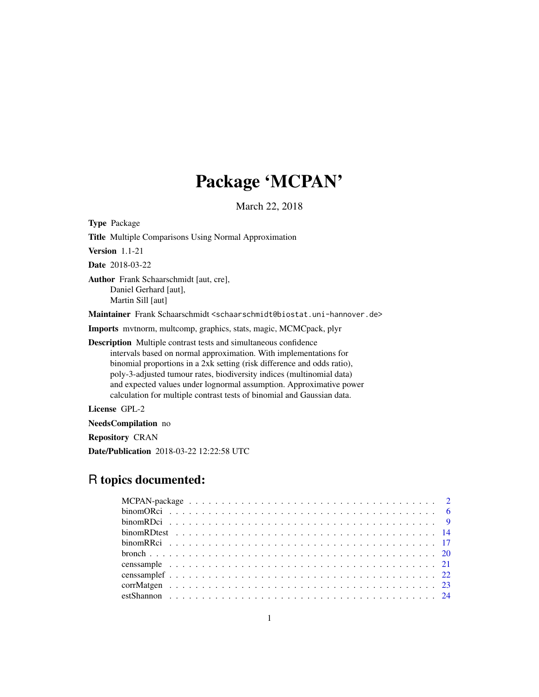# Package 'MCPAN'

March 22, 2018

<span id="page-0-0"></span>Type Package Title Multiple Comparisons Using Normal Approximation Version 1.1-21 Date 2018-03-22 Author Frank Schaarschmidt [aut, cre], Daniel Gerhard [aut], Martin Sill [aut] Maintainer Frank Schaarschmidt <schaarschmidt@biostat.uni-hannover.de> Imports mvtnorm, multcomp, graphics, stats, magic, MCMCpack, plyr Description Multiple contrast tests and simultaneous confidence intervals based on normal approximation. With implementations for binomial proportions in a 2xk setting (risk difference and odds ratio), poly-3-adjusted tumour rates, biodiversity indices (multinomial data) and expected values under lognormal assumption. Approximative power calculation for multiple contrast tests of binomial and Gaussian data. License GPL-2

NeedsCompilation no

Repository CRAN

Date/Publication 2018-03-22 12:22:58 UTC

# R topics documented: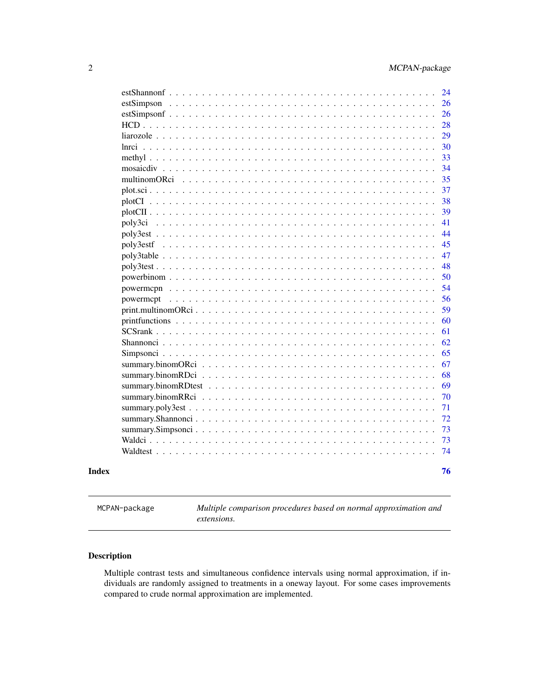<span id="page-1-0"></span>

| 24<br>estSimpson<br>26<br>26<br>28<br>$HCD$<br>29<br>liarozole $\ldots$ .<br>.<br>30<br>$lnrci$<br>33<br>methyl $\ldots$ $\ldots$<br>34<br>$mosaicdiv \dots$<br>35<br>multinomORci<br>37<br>38<br>39<br>41<br>poly3ci<br>44<br>45<br>47<br>48<br>$poly3test$<br>50<br>powerbinom $\ldots$<br>$\mathbf{r}$ . The state of the state $\mathbf{r}$<br>54<br>powermcpn $\ldots$<br>.<br>56<br>powermcpt<br>59<br>60<br>printfunctions<br>SCSrank<br>61<br>$\cdot$<br>62<br>65<br>67<br>68<br>69<br>70<br>71<br>72<br>73<br>73<br>74 | Index | 76 |
|---------------------------------------------------------------------------------------------------------------------------------------------------------------------------------------------------------------------------------------------------------------------------------------------------------------------------------------------------------------------------------------------------------------------------------------------------------------------------------------------------------------------------------|-------|----|
|                                                                                                                                                                                                                                                                                                                                                                                                                                                                                                                                 |       |    |
|                                                                                                                                                                                                                                                                                                                                                                                                                                                                                                                                 |       |    |
|                                                                                                                                                                                                                                                                                                                                                                                                                                                                                                                                 |       |    |
|                                                                                                                                                                                                                                                                                                                                                                                                                                                                                                                                 |       |    |
|                                                                                                                                                                                                                                                                                                                                                                                                                                                                                                                                 |       |    |
|                                                                                                                                                                                                                                                                                                                                                                                                                                                                                                                                 |       |    |
|                                                                                                                                                                                                                                                                                                                                                                                                                                                                                                                                 |       |    |
|                                                                                                                                                                                                                                                                                                                                                                                                                                                                                                                                 |       |    |
|                                                                                                                                                                                                                                                                                                                                                                                                                                                                                                                                 |       |    |
|                                                                                                                                                                                                                                                                                                                                                                                                                                                                                                                                 |       |    |
|                                                                                                                                                                                                                                                                                                                                                                                                                                                                                                                                 |       |    |
|                                                                                                                                                                                                                                                                                                                                                                                                                                                                                                                                 |       |    |
|                                                                                                                                                                                                                                                                                                                                                                                                                                                                                                                                 |       |    |
|                                                                                                                                                                                                                                                                                                                                                                                                                                                                                                                                 |       |    |
|                                                                                                                                                                                                                                                                                                                                                                                                                                                                                                                                 |       |    |
|                                                                                                                                                                                                                                                                                                                                                                                                                                                                                                                                 |       |    |
|                                                                                                                                                                                                                                                                                                                                                                                                                                                                                                                                 |       |    |
|                                                                                                                                                                                                                                                                                                                                                                                                                                                                                                                                 |       |    |
|                                                                                                                                                                                                                                                                                                                                                                                                                                                                                                                                 |       |    |
|                                                                                                                                                                                                                                                                                                                                                                                                                                                                                                                                 |       |    |
|                                                                                                                                                                                                                                                                                                                                                                                                                                                                                                                                 |       |    |
|                                                                                                                                                                                                                                                                                                                                                                                                                                                                                                                                 |       |    |
|                                                                                                                                                                                                                                                                                                                                                                                                                                                                                                                                 |       |    |
|                                                                                                                                                                                                                                                                                                                                                                                                                                                                                                                                 |       |    |
|                                                                                                                                                                                                                                                                                                                                                                                                                                                                                                                                 |       |    |
|                                                                                                                                                                                                                                                                                                                                                                                                                                                                                                                                 |       |    |
|                                                                                                                                                                                                                                                                                                                                                                                                                                                                                                                                 |       |    |
|                                                                                                                                                                                                                                                                                                                                                                                                                                                                                                                                 |       |    |
|                                                                                                                                                                                                                                                                                                                                                                                                                                                                                                                                 |       |    |
|                                                                                                                                                                                                                                                                                                                                                                                                                                                                                                                                 |       |    |
|                                                                                                                                                                                                                                                                                                                                                                                                                                                                                                                                 |       |    |
|                                                                                                                                                                                                                                                                                                                                                                                                                                                                                                                                 |       |    |
|                                                                                                                                                                                                                                                                                                                                                                                                                                                                                                                                 |       |    |

MCPAN-package *Multiple comparison procedures based on normal approximation and extensions.*

# Description

Multiple contrast tests and simultaneous confidence intervals using normal approximation, if individuals are randomly assigned to treatments in a oneway layout. For some cases improvements compared to crude normal approximation are implemented.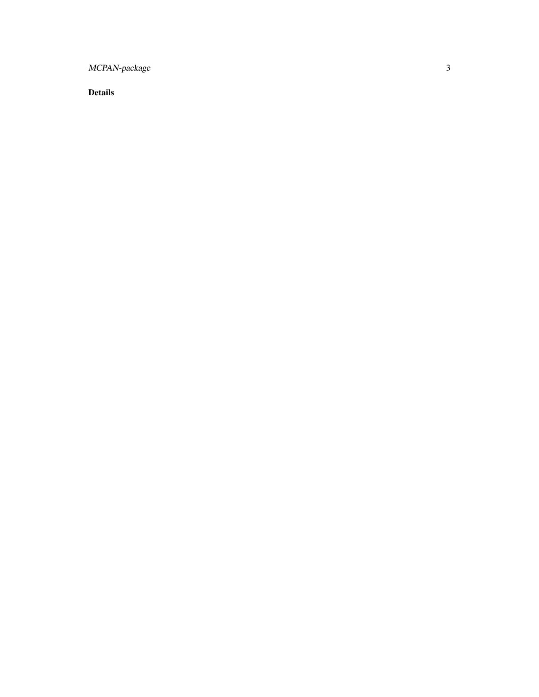MCPAN-package

Details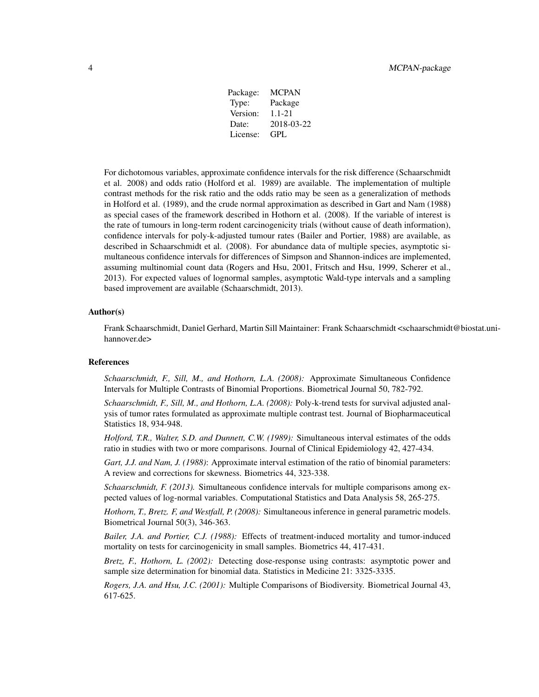| Package: | <b>MCPAN</b> |
|----------|--------------|
| Type:    | Package      |
| Version: | 1.1-21       |
| Date:    | 2018-03-22   |
| License: | GPL.         |

For dichotomous variables, approximate confidence intervals for the risk difference (Schaarschmidt et al. 2008) and odds ratio (Holford et al. 1989) are available. The implementation of multiple contrast methods for the risk ratio and the odds ratio may be seen as a generalization of methods in Holford et al. (1989), and the crude normal approximation as described in Gart and Nam (1988) as special cases of the framework described in Hothorn et al. (2008). If the variable of interest is the rate of tumours in long-term rodent carcinogenicity trials (without cause of death information), confidence intervals for poly-k-adjusted tumour rates (Bailer and Portier, 1988) are available, as described in Schaarschmidt et al. (2008). For abundance data of multiple species, asymptotic simultaneous confidence intervals for differences of Simpson and Shannon-indices are implemented, assuming multinomial count data (Rogers and Hsu, 2001, Fritsch and Hsu, 1999, Scherer et al., 2013). For expected values of lognormal samples, asymptotic Wald-type intervals and a sampling based improvement are available (Schaarschmidt, 2013).

# Author(s)

Frank Schaarschmidt, Daniel Gerhard, Martin Sill Maintainer: Frank Schaarschmidt <schaarschmidt@biostat.unihannover.de>

#### References

*Schaarschmidt, F., Sill, M., and Hothorn, L.A. (2008):* Approximate Simultaneous Confidence Intervals for Multiple Contrasts of Binomial Proportions. Biometrical Journal 50, 782-792.

*Schaarschmidt, F., Sill, M., and Hothorn, L.A. (2008):* Poly-k-trend tests for survival adjusted analysis of tumor rates formulated as approximate multiple contrast test. Journal of Biopharmaceutical Statistics 18, 934-948.

*Holford, T.R., Walter, S.D. and Dunnett, C.W. (1989):* Simultaneous interval estimates of the odds ratio in studies with two or more comparisons. Journal of Clinical Epidemiology 42, 427-434.

*Gart, J.J. and Nam, J. (1988)*: Approximate interval estimation of the ratio of binomial parameters: A review and corrections for skewness. Biometrics 44, 323-338.

*Schaarschmidt, F. (2013).* Simultaneous confidence intervals for multiple comparisons among expected values of log-normal variables. Computational Statistics and Data Analysis 58, 265-275.

*Hothorn, T., Bretz. F, and Westfall, P. (2008):* Simultaneous inference in general parametric models. Biometrical Journal 50(3), 346-363.

*Bailer, J.A. and Portier, C.J. (1988):* Effects of treatment-induced mortality and tumor-induced mortality on tests for carcinogenicity in small samples. Biometrics 44, 417-431.

*Bretz, F., Hothorn, L. (2002):* Detecting dose-response using contrasts: asymptotic power and sample size determination for binomial data. Statistics in Medicine 21: 3325-3335.

*Rogers, J.A. and Hsu, J.C. (2001):* Multiple Comparisons of Biodiversity. Biometrical Journal 43, 617-625.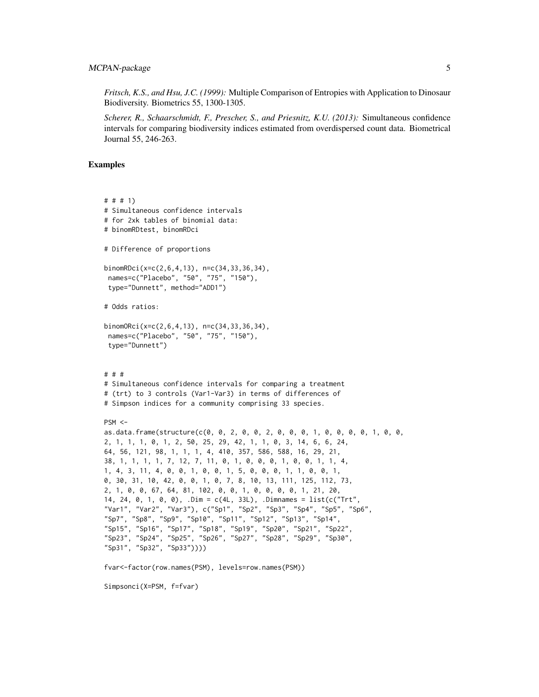*Fritsch, K.S., and Hsu, J.C. (1999):* Multiple Comparison of Entropies with Application to Dinosaur Biodiversity. Biometrics 55, 1300-1305.

*Scherer, R., Schaarschmidt, F., Prescher, S., and Priesnitz, K.U. (2013):* Simultaneous confidence intervals for comparing biodiversity indices estimated from overdispersed count data. Biometrical Journal 55, 246-263.

```
# # # 1)
# Simultaneous confidence intervals
# for 2xk tables of binomial data:
# binomRDtest, binomRDci
# Difference of proportions
binomRDci(x=c(2,6,4,13), n=c(34,33,36,34),
 names=c("Placebo", "50", "75", "150"),
 type="Dunnett", method="ADD1")
# Odds ratios:
binomORci(x=c(2,6,4,13), n=c(34,33,36,34),
 names=c("Placebo", "50", "75", "150"),
 type="Dunnett")
# # #
# Simultaneous confidence intervals for comparing a treatment
# (trt) to 3 controls (Var1-Var3) in terms of differences of
# Simpson indices for a community comprising 33 species.
PSM < -as.data.frame(structure(c(0, 0, 2, 0, 0, 2, 0, 0, 0, 1, 0, 0, 0, 0, 1, 0, 0,
2, 1, 1, 1, 0, 1, 2, 50, 25, 29, 42, 1, 1, 0, 3, 14, 6, 6, 24,
64, 56, 121, 98, 1, 1, 1, 4, 410, 357, 586, 588, 16, 29, 21,
38, 1, 1, 1, 1, 7, 12, 7, 11, 0, 1, 0, 0, 0, 1, 0, 0, 1, 1, 4,
1, 4, 3, 11, 4, 0, 0, 1, 0, 0, 1, 5, 0, 0, 0, 1, 1, 0, 0, 1,
0, 30, 31, 10, 42, 0, 0, 1, 0, 7, 8, 10, 13, 111, 125, 112, 73,
2, 1, 0, 0, 67, 64, 81, 102, 0, 0, 1, 0, 0, 0, 0, 1, 21, 20,
14, 24, 0, 1, 0, 0), .Dim = c(4L, 33L), .Dimnames = list(c("Trt",
"Var1", "Var2", "Var3"), c("Sp1", "Sp2", "Sp3", "Sp4", "Sp5", "Sp6",
"Sp7", "Sp8", "Sp9", "Sp10", "Sp11", "Sp12", "Sp13", "Sp14",
"Sp15", "Sp16", "Sp17", "Sp18", "Sp19", "Sp20", "Sp21", "Sp22",
"Sp23", "Sp24", "Sp25", "Sp26", "Sp27", "Sp28", "Sp29", "Sp30",
"Sp31", "Sp32", "Sp33"))))
fvar<-factor(row.names(PSM), levels=row.names(PSM))
Simpsonci(X=PSM, f=fvar)
```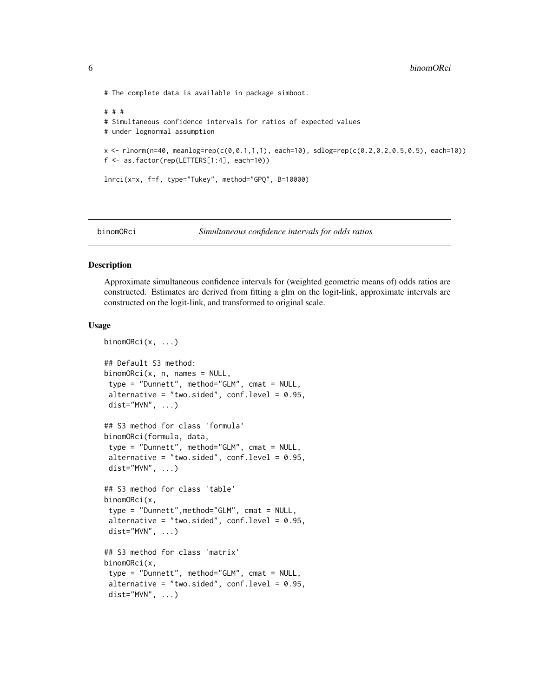<span id="page-5-0"></span># The complete data is available in package simboot.

```
# # #
# Simultaneous confidence intervals for ratios of expected values
# under lognormal assumption
x <- rlnorm(n=40, meanlog=rep(c(0,0.1,1,1), each=10), sdlog=rep(c(0.2,0.2,0.5,0.5), each=10))
f <- as.factor(rep(LETTERS[1:4], each=10))
lnrci(x=x, f=f, type="Tukey", method="GPQ", B=10000)
```
# binomORci *Simultaneous confidence intervals for odds ratios*

#### Description

Approximate simultaneous confidence intervals for (weighted geometric means of) odds ratios are constructed. Estimates are derived from fitting a glm on the logit-link, approximate intervals are constructed on the logit-link, and transformed to original scale.

#### Usage

```
binomORci(x, ...)
## Default S3 method:
binomORci(x, n, names = NULL,
type = "Dunnett", method="GLM", cmat = NULL,
alternative = "two.sided", conf.level = 0.95,
dist="MVN", \ldots)## S3 method for class 'formula'
binomORci(formula, data,
type = "Dunnett", method="GLM", cmat = NULL,
alternative = "two.sided", conf.level = 0.95,
dist="MVN", ...)## S3 method for class 'table'
binomORci(x,
type = "Dunnett",method="GLM", cmat = NULL,
alternative = "two.sided", conf.level = 0.95,
dist="MVN", \ldots)## S3 method for class 'matrix'
binomORci(x,
type = "Dunnett", method="GLM", cmat = NULL,
alternative = "two.sided", conf.level = 0.95,
dist="MVN", ...)
```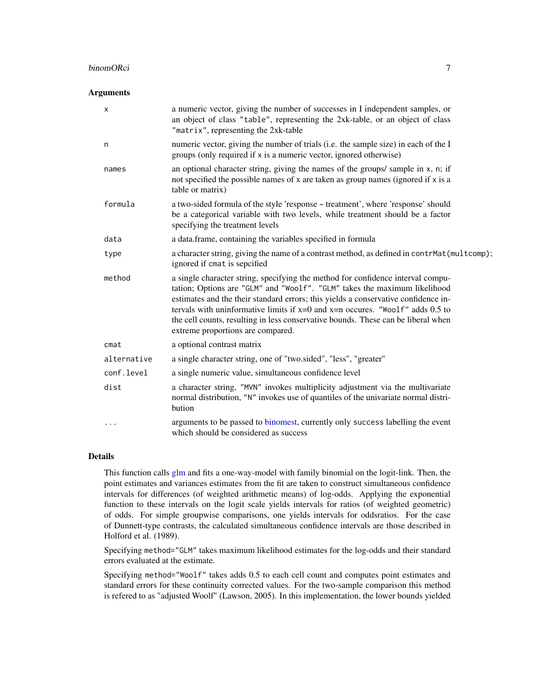#### binomORci 7

#### Arguments

| X           | a numeric vector, giving the number of successes in I independent samples, or<br>an object of class "table", representing the 2xk-table, or an object of class<br>"matrix", representing the 2xk-table                                                                                                                                                                                                                                                             |
|-------------|--------------------------------------------------------------------------------------------------------------------------------------------------------------------------------------------------------------------------------------------------------------------------------------------------------------------------------------------------------------------------------------------------------------------------------------------------------------------|
| n           | numeric vector, giving the number of trials (i.e. the sample size) in each of the I<br>groups (only required if x is a numeric vector, ignored otherwise)                                                                                                                                                                                                                                                                                                          |
| names       | an optional character string, giving the names of the groups/sample in x, n; if<br>not specified the possible names of x are taken as group names (ignored if x is a<br>table or matrix)                                                                                                                                                                                                                                                                           |
| formula     | a two-sided formula of the style 'response ~ treatment', where 'response' should<br>be a categorical variable with two levels, while treatment should be a factor<br>specifying the treatment levels                                                                                                                                                                                                                                                               |
| data        | a data.frame, containing the variables specified in formula                                                                                                                                                                                                                                                                                                                                                                                                        |
| type        | a character string, giving the name of a contrast method, as defined in contrMat (multcomp);<br>ignored if cmat is sepcified                                                                                                                                                                                                                                                                                                                                       |
| method      | a single character string, specifying the method for confidence interval compu-<br>tation; Options are "GLM" and "Woolf". "GLM" takes the maximum likelihood<br>estimates and the their standard errors; this yields a conservative confidence in-<br>tervals with uninformative limits if $x=0$ and $x=n$ occurres. "Woolf" adds 0.5 to<br>the cell counts, resulting in less conservative bounds. These can be liberal when<br>extreme proportions are compared. |
| $c$ mat     | a optional contrast matrix                                                                                                                                                                                                                                                                                                                                                                                                                                         |
| alternative | a single character string, one of "two.sided", "less", "greater"                                                                                                                                                                                                                                                                                                                                                                                                   |
| conf.level  | a single numeric value, simultaneous confidence level                                                                                                                                                                                                                                                                                                                                                                                                              |
| dist        | a character string, "MVN" invokes multiplicity adjustment via the multivariate<br>normal distribution, "N" invokes use of quantiles of the univariate normal distri-<br>bution                                                                                                                                                                                                                                                                                     |
| .           | arguments to be passed to binomest, currently only success labelling the event<br>which should be considered as success                                                                                                                                                                                                                                                                                                                                            |

# Details

This function calls [glm](#page-0-0) and fits a one-way-model with family binomial on the logit-link. Then, the point estimates and variances estimates from the fit are taken to construct simultaneous confidence intervals for differences (of weighted arithmetic means) of log-odds. Applying the exponential function to these intervals on the logit scale yields intervals for ratios (of weighted geometric) of odds. For simple groupwise comparisons, one yields intervals for oddsratios. For the case of Dunnett-type contrasts, the calculated simultaneous confidence intervals are those described in Holford et al. (1989).

Specifying method="GLM" takes maximum likelihood estimates for the log-odds and their standard errors evaluated at the estimate.

Specifying method="Woolf" takes adds 0.5 to each cell count and computes point estimates and standard errors for these continuity corrected values. For the two-sample comparison this method is refered to as "adjusted Woolf" (Lawson, 2005). In this implementation, the lower bounds yielded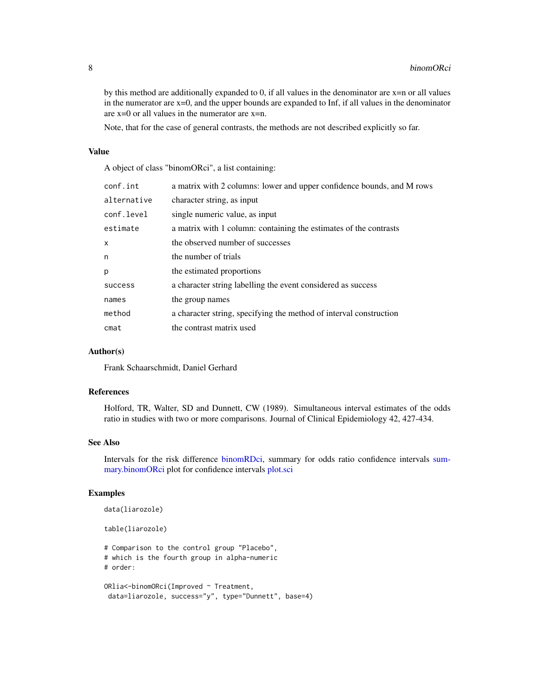by this method are additionally expanded to 0, if all values in the denominator are x=n or all values in the numerator are  $x=0$ , and the upper bounds are expanded to Inf, if all values in the denominator are x=0 or all values in the numerator are x=n.

Note, that for the case of general contrasts, the methods are not described explicitly so far.

# Value

A object of class "binomORci", a list containing:

| conf.int                  | a matrix with 2 columns: lower and upper confidence bounds, and M rows |
|---------------------------|------------------------------------------------------------------------|
| alternative               | character string, as input                                             |
| conf.level                | single numeric value, as input                                         |
| estimate                  | a matrix with 1 column: containing the estimates of the contrasts      |
| $\boldsymbol{\mathsf{x}}$ | the observed number of successes                                       |
| n                         | the number of trials                                                   |
| p                         | the estimated proportions                                              |
| success                   | a character string labelling the event considered as success           |
| names                     | the group names                                                        |
| method                    | a character string, specifying the method of interval construction     |
| cmat                      | the contrast matrix used                                               |

#### Author(s)

Frank Schaarschmidt, Daniel Gerhard

# References

Holford, TR, Walter, SD and Dunnett, CW (1989). Simultaneous interval estimates of the odds ratio in studies with two or more comparisons. Journal of Clinical Epidemiology 42, 427-434.

# See Also

Intervals for the risk difference [binomRDci,](#page-8-1) summary for odds ratio confidence intervals [sum](#page-66-1)[mary.binomORci](#page-66-1) plot for confidence intervals [plot.sci](#page-36-1)

```
data(liarozole)
table(liarozole)
# Comparison to the control group "Placebo",
# which is the fourth group in alpha-numeric
# order:
ORlia<-binomORci(Improved ~ Treatment,
data=liarozole, success="y", type="Dunnett", base=4)
```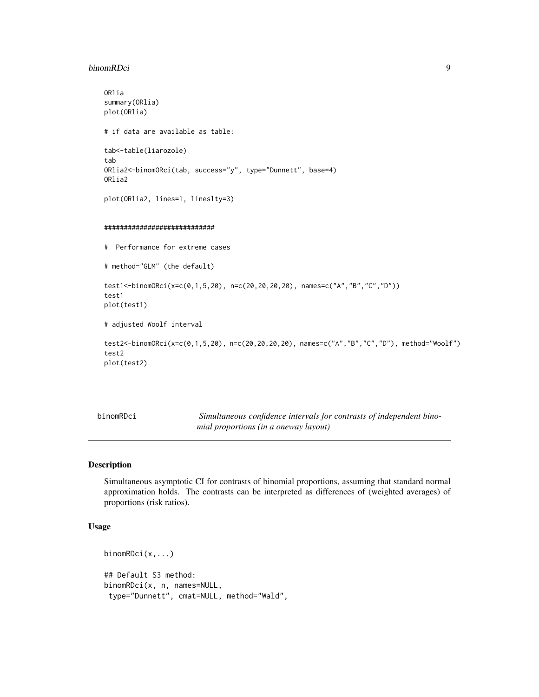#### <span id="page-8-0"></span>binomRDci 9

```
ORlia
summary(ORlia)
plot(ORlia)
# if data are available as table:
tab<-table(liarozole)
tab
ORlia2<-binomORci(tab, success="y", type="Dunnett", base=4)
ORlia2
plot(ORlia2, lines=1, lineslty=3)
############################
# Performance for extreme cases
# method="GLM" (the default)
test1<-binomORci(x=c(0,1,5,20), n=c(20,20,20,20), names=c("A","B","C","D"))
test1
plot(test1)
# adjusted Woolf interval
test2<-binomORci(x=c(0,1,5,20), n=c(20,20,20,20), names=c("A","B","C","D"), method="Woolf")
test2
plot(test2)
```
<span id="page-8-1"></span>binomRDci *Simultaneous confidence intervals for contrasts of independent binomial proportions (in a oneway layout)*

# Description

Simultaneous asymptotic CI for contrasts of binomial proportions, assuming that standard normal approximation holds. The contrasts can be interpreted as differences of (weighted averages) of proportions (risk ratios).

# Usage

```
binomRDci(x,...)
## Default S3 method:
binomRDci(x, n, names=NULL,
type="Dunnett", cmat=NULL, method="Wald",
```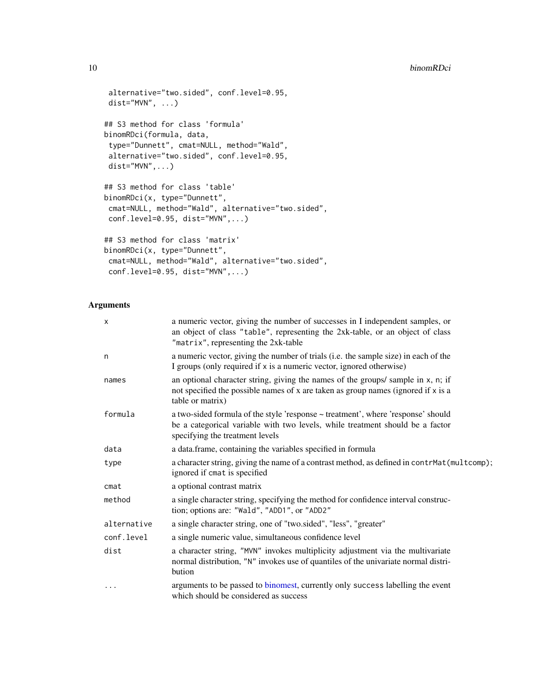```
alternative="two.sided", conf.level=0.95,
dist="MVN", \ldots)## S3 method for class 'formula'
binomRDci(formula, data,
type="Dunnett", cmat=NULL, method="Wald",
alternative="two.sided", conf.level=0.95,
dist="MVN",...)
## S3 method for class 'table'
binomRDci(x, type="Dunnett",
cmat=NULL, method="Wald", alternative="two.sided",
conf.level=0.95, dist="MVN",...)
## S3 method for class 'matrix'
binomRDci(x, type="Dunnett",
cmat=NULL, method="Wald", alternative="two.sided",
conf.level=0.95, dist="MVN",...)
```
# Arguments

| X           | a numeric vector, giving the number of successes in I independent samples, or<br>an object of class "table", representing the 2xk-table, or an object of class<br>"matrix", representing the 2xk-table |
|-------------|--------------------------------------------------------------------------------------------------------------------------------------------------------------------------------------------------------|
| n           | a numeric vector, giving the number of trials (i.e. the sample size) in each of the<br>I groups (only required if x is a numeric vector, ignored otherwise)                                            |
| names       | an optional character string, giving the names of the groups/sample in x, n; if<br>not specified the possible names of x are taken as group names (ignored if x is a<br>table or matrix)               |
| formula     | a two-sided formula of the style 'response ~ treatment', where 'response' should<br>be a categorical variable with two levels, while treatment should be a factor<br>specifying the treatment levels   |
| data        | a data.frame, containing the variables specified in formula                                                                                                                                            |
| type        | a character string, giving the name of a contrast method, as defined in contrMat(multcomp);<br>ignored if cmat is specified                                                                            |
| cmat        | a optional contrast matrix                                                                                                                                                                             |
| method      | a single character string, specifying the method for confidence interval construc-<br>tion; options are: "Wald", "ADD1", or "ADD2"                                                                     |
| alternative | a single character string, one of "two.sided", "less", "greater"                                                                                                                                       |
| conf.level  | a single numeric value, simultaneous confidence level                                                                                                                                                  |
| dist        | a character string, "MVN" invokes multiplicity adjustment via the multivariate<br>normal distribution, "N" invokes use of quantiles of the univariate normal distri-<br>bution                         |
| .           | arguments to be passed to binomest, currently only success labelling the event<br>which should be considered as success                                                                                |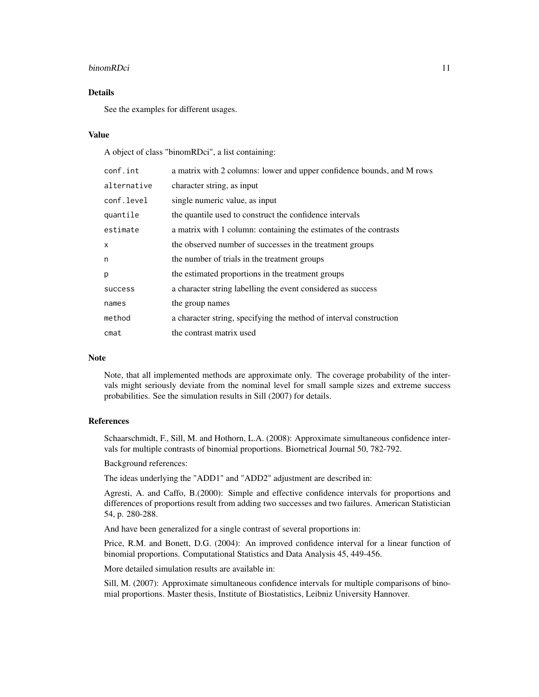#### binomRDci 11

# Details

See the examples for different usages.

# Value

A object of class "binomRDci", a list containing:

| conf.int    | a matrix with 2 columns: lower and upper confidence bounds, and M rows |
|-------------|------------------------------------------------------------------------|
| alternative | character string, as input                                             |
| conf.level  | single numeric value, as input                                         |
| quantile    | the quantile used to construct the confidence intervals                |
| estimate    | a matrix with 1 column: containing the estimates of the contrasts      |
| X           | the observed number of successes in the treatment groups               |
| n           | the number of trials in the treatment groups                           |
| p           | the estimated proportions in the treatment groups                      |
| success     | a character string labelling the event considered as success           |
| names       | the group names                                                        |
| method      | a character string, specifying the method of interval construction     |
| cmat        | the contrast matrix used                                               |

# **Note**

Note, that all implemented methods are approximate only. The coverage probability of the intervals might seriously deviate from the nominal level for small sample sizes and extreme success probabilities. See the simulation results in Sill (2007) for details.

# References

Schaarschmidt, F., Sill, M. and Hothorn, L.A. (2008): Approximate simultaneous confidence intervals for multiple contrasts of binomial proportions. Biometrical Journal 50, 782-792.

Background references:

The ideas underlying the "ADD1" and "ADD2" adjustment are described in:

Agresti, A. and Caffo, B.(2000): Simple and effective confidence intervals for proportions and differences of proportions result from adding two successes and two failures. American Statistician 54, p. 280-288.

And have been generalized for a single contrast of several proportions in:

Price, R.M. and Bonett, D.G. (2004): An improved confidence interval for a linear function of binomial proportions. Computational Statistics and Data Analysis 45, 449-456.

More detailed simulation results are available in:

Sill, M. (2007): Approximate simultaneous confidence intervals for multiple comparisons of binomial proportions. Master thesis, Institute of Biostatistics, Leibniz University Hannover.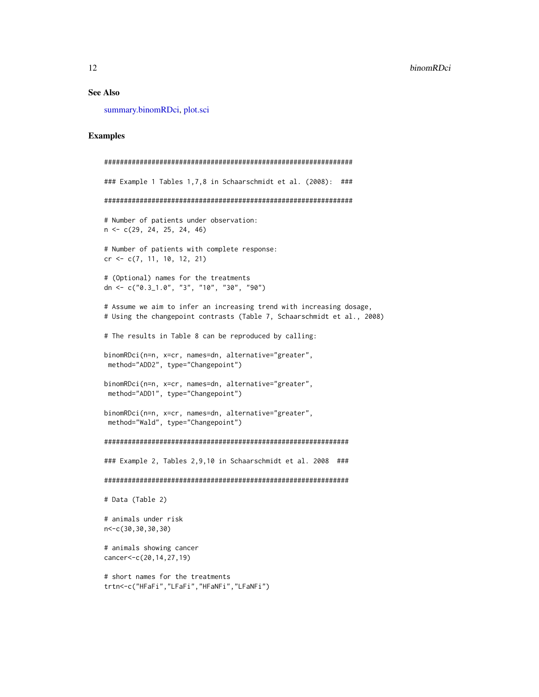#### See Also

[summary.binomRDci,](#page-67-1) [plot.sci](#page-36-1)

```
###############################################################
### Example 1 Tables 1,7,8 in Schaarschmidt et al. (2008): ###
###############################################################
# Number of patients under observation:
n <- c(29, 24, 25, 24, 46)
# Number of patients with complete response:
cr <- c(7, 11, 10, 12, 21)
# (Optional) names for the treatments
dn <- c("0.3_1.0", "3", "10", "30", "90")
# Assume we aim to infer an increasing trend with increasing dosage,
# Using the changepoint contrasts (Table 7, Schaarschmidt et al., 2008)
# The results in Table 8 can be reproduced by calling:
binomRDci(n=n, x=cr, names=dn, alternative="greater",
method="ADD2", type="Changepoint")
binomRDci(n=n, x=cr, names=dn, alternative="greater",
 method="ADD1", type="Changepoint")
binomRDci(n=n, x=cr, names=dn, alternative="greater",
 method="Wald", type="Changepoint")
##############################################################
### Example 2, Tables 2,9,10 in Schaarschmidt et al. 2008 ###
##############################################################
# Data (Table 2)
# animals under risk
n<-c(30,30,30,30)
# animals showing cancer
cancer<-c(20,14,27,19)
# short names for the treatments
trtn<-c("HFaFi","LFaFi","HFaNFi","LFaNFi")
```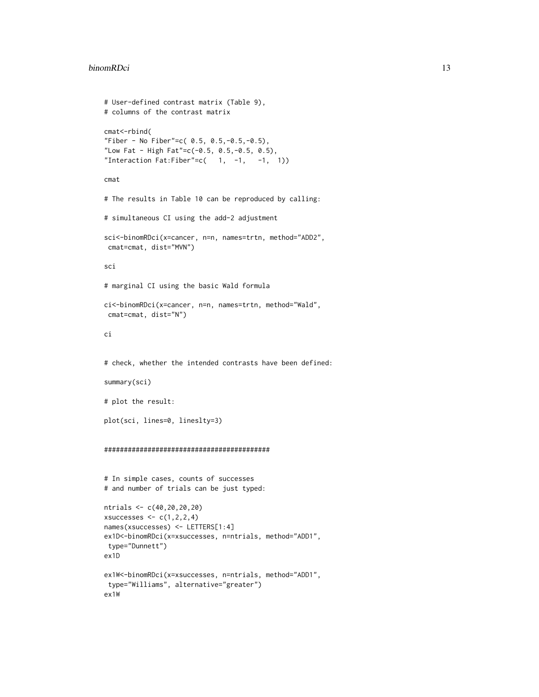#### binomRDci 13

```
# User-defined contrast matrix (Table 9),
# columns of the contrast matrix
cmat<-rbind(
"Fiber - No Fiber"=c( 0.5, 0.5,-0.5,-0.5),
"Low Fat - High Fat"=c(-0.5, 0.5,-0.5, 0.5),
"Interaction Fat:Fiber"=c( 1, -1, -1, 1))
cmat
# The results in Table 10 can be reproduced by calling:
# simultaneous CI using the add-2 adjustment
sci<-binomRDci(x=cancer, n=n, names=trtn, method="ADD2",
cmat=cmat, dist="MVN")
sci
# marginal CI using the basic Wald formula
ci<-binomRDci(x=cancer, n=n, names=trtn, method="Wald",
 cmat=cmat, dist="N")
ci
# check, whether the intended contrasts have been defined:
summary(sci)
# plot the result:
plot(sci, lines=0, lineslty=3)
##########################################
# In simple cases, counts of successes
# and number of trials can be just typed:
ntrials <- c(40,20,20,20)
xsuccesses \leq c(1,2,2,4)names(xsuccesses) <- LETTERS[1:4]
ex1D<-binomRDci(x=xsuccesses, n=ntrials, method="ADD1",
type="Dunnett")
ex1D
ex1W<-binomRDci(x=xsuccesses, n=ntrials, method="ADD1",
 type="Williams", alternative="greater")
ex1W
```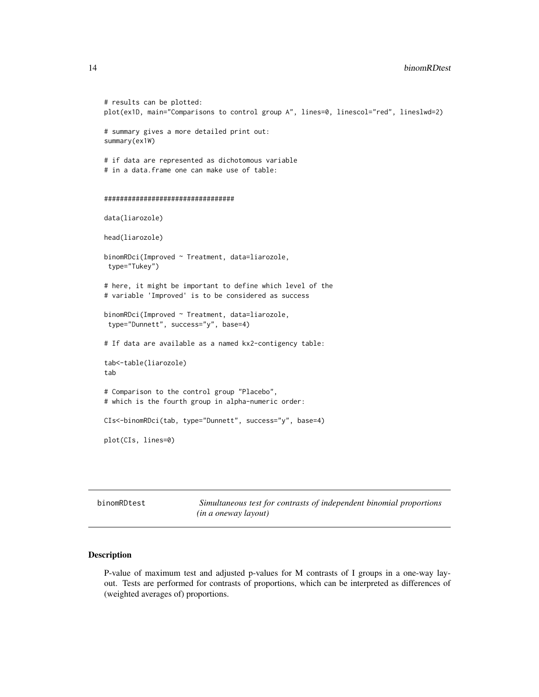```
# results can be plotted:
plot(ex1D, main="Comparisons to control group A", lines=0, linescol="red", lineslwd=2)
# summary gives a more detailed print out:
summary(ex1W)
# if data are represented as dichotomous variable
# in a data.frame one can make use of table:
#################################
data(liarozole)
head(liarozole)
binomRDci(Improved ~ Treatment, data=liarozole,
type="Tukey")
# here, it might be important to define which level of the
# variable 'Improved' is to be considered as success
binomRDci(Improved ~ Treatment, data=liarozole,
type="Dunnett", success="y", base=4)
# If data are available as a named kx2-contigency table:
tab<-table(liarozole)
tab
# Comparison to the control group "Placebo",
# which is the fourth group in alpha-numeric order:
CIs<-binomRDci(tab, type="Dunnett", success="y", base=4)
plot(CIs, lines=0)
```
binomRDtest *Simultaneous test for contrasts of independent binomial proportions (in a oneway layout)*

#### Description

P-value of maximum test and adjusted p-values for M contrasts of I groups in a one-way layout. Tests are performed for contrasts of proportions, which can be interpreted as differences of (weighted averages of) proportions.

<span id="page-13-0"></span>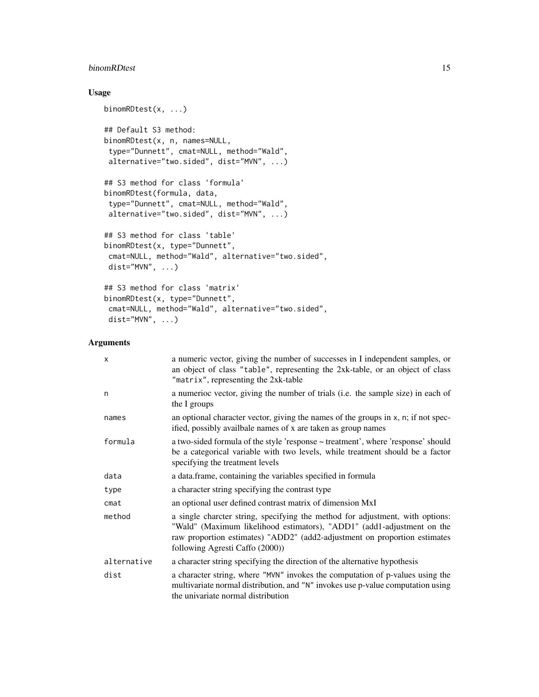# binomRDtest 15

# Usage

```
binomRDtest(x, ...)
## Default S3 method:
binomRDtest(x, n, names=NULL,
type="Dunnett", cmat=NULL, method="Wald",
alternative="two.sided", dist="MVN", ...)
## S3 method for class 'formula'
binomRDtest(formula, data,
type="Dunnett", cmat=NULL, method="Wald",
alternative="two.sided", dist="MVN", ...)
## S3 method for class 'table'
binomRDtest(x, type="Dunnett",
cmat=NULL, method="Wald", alternative="two.sided",
dist="MVN", \ldots)## S3 method for class 'matrix'
binomRDtest(x, type="Dunnett",
cmat=NULL, method="Wald", alternative="two.sided",
dist="MVN", ...)
```
# Arguments

| X           | a numeric vector, giving the number of successes in I independent samples, or<br>an object of class "table", representing the 2xk-table, or an object of class<br>"matrix", representing the 2xk-table                                                                  |
|-------------|-------------------------------------------------------------------------------------------------------------------------------------------------------------------------------------------------------------------------------------------------------------------------|
| n           | a numerioc vector, giving the number of trials (i.e. the sample size) in each of<br>the I groups                                                                                                                                                                        |
| names       | an optional character vector, giving the names of the groups in x, n; if not spec-<br>ified, possibly availbale names of x are taken as group names                                                                                                                     |
| formula     | a two-sided formula of the style 'response ~ treatment', where 'response' should<br>be a categorical variable with two levels, while treatment should be a factor<br>specifying the treatment levels                                                                    |
| data        | a data.frame, containing the variables specified in formula                                                                                                                                                                                                             |
| type        | a character string specifying the contrast type                                                                                                                                                                                                                         |
| $c$ mat     | an optional user defined contrast matrix of dimension MxI                                                                                                                                                                                                               |
| method      | a single charcter string, specifying the method for adjustment, with options:<br>"Wald" (Maximum likelihood estimators), "ADD1" (add1-adjustment on the<br>raw proportion estimates) "ADD2" (add2-adjustment on proportion estimates<br>following Agresti Caffo (2000)) |
| alternative | a character string specifying the direction of the alternative hypothesis                                                                                                                                                                                               |
| dist        | a character string, where "MVN" invokes the computation of p-values using the<br>multivariate normal distribution, and "N" invokes use p-value computation using<br>the univariate normal distribution                                                                  |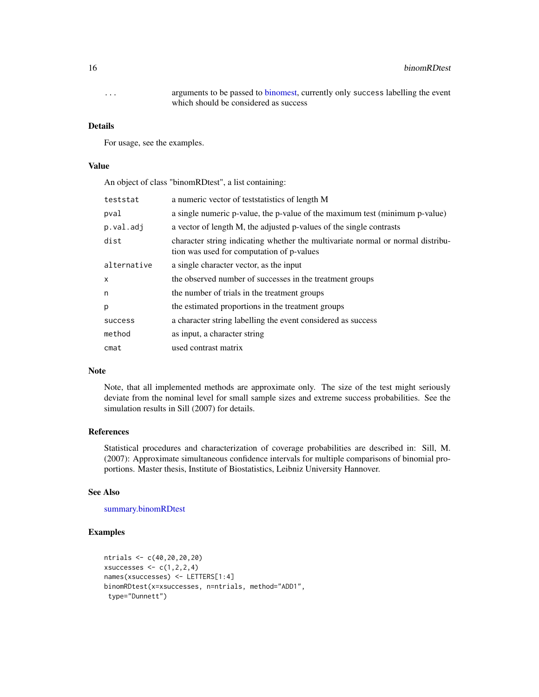... arguments to be passed to [binomest,](#page-0-0) currently only success labelling the event which should be considered as success

#### Details

For usage, see the examples.

# Value

An object of class "binomRDtest", a list containing:

| teststat    | a numeric vector of teststatistics of length M                                                                               |
|-------------|------------------------------------------------------------------------------------------------------------------------------|
| pval        | a single numeric p-value, the p-value of the maximum test (minimum p-value)                                                  |
| p.val.adj   | a vector of length M, the adjusted p-values of the single contrasts                                                          |
| dist        | character string indicating whether the multivariate normal or normal distribu-<br>tion was used for computation of p-values |
| alternative | a single character vector, as the input                                                                                      |
| X           | the observed number of successes in the treatment groups                                                                     |
| n           | the number of trials in the treatment groups                                                                                 |
| p           | the estimated proportions in the treatment groups                                                                            |
| success     | a character string labelling the event considered as success                                                                 |
| method      | as input, a character string                                                                                                 |
| cmat        | used contrast matrix                                                                                                         |

#### Note

Note, that all implemented methods are approximate only. The size of the test might seriously deviate from the nominal level for small sample sizes and extreme success probabilities. See the simulation results in Sill (2007) for details.

# References

Statistical procedures and characterization of coverage probabilities are described in: Sill, M. (2007): Approximate simultaneous confidence intervals for multiple comparisons of binomial proportions. Master thesis, Institute of Biostatistics, Leibniz University Hannover.

#### See Also

#### [summary.binomRDtest](#page-68-1)

```
ntrials <- c(40,20,20,20)
xsuccesses \leq c(1,2,2,4)names(xsuccesses) <- LETTERS[1:4]
binomRDtest(x=xsuccesses, n=ntrials, method="ADD1",
 type="Dunnett")
```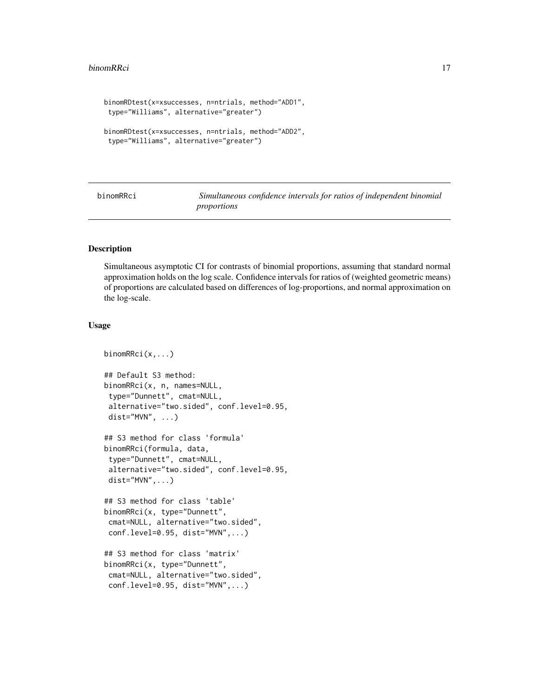#### <span id="page-16-0"></span>binomRRci 17

```
binomRDtest(x=xsuccesses, n=ntrials, method="ADD1",
 type="Williams", alternative="greater")
binomRDtest(x=xsuccesses, n=ntrials, method="ADD2",
type="Williams", alternative="greater")
```
binomRRci *Simultaneous confidence intervals for ratios of independent binomial proportions*

# Description

Simultaneous asymptotic CI for contrasts of binomial proportions, assuming that standard normal approximation holds on the log scale. Confidence intervals for ratios of (weighted geometric means) of proportions are calculated based on differences of log-proportions, and normal approximation on the log-scale.

# Usage

```
binomRRci(x,...)
## Default S3 method:
binomRRci(x, n, names=NULL,
type="Dunnett", cmat=NULL,
alternative="two.sided", conf.level=0.95,
dist="MVN", ...)
## S3 method for class 'formula'
binomRRci(formula, data,
type="Dunnett", cmat=NULL,
alternative="two.sided", conf.level=0.95,
dist="MVN", \ldots)## S3 method for class 'table'
binomRRci(x, type="Dunnett",
cmat=NULL, alternative="two.sided",
conf.level=0.95, dist="MVN",...)
## S3 method for class 'matrix'
binomRRci(x, type="Dunnett",
cmat=NULL, alternative="two.sided",
conf.level=0.95, dist="MVN",...)
```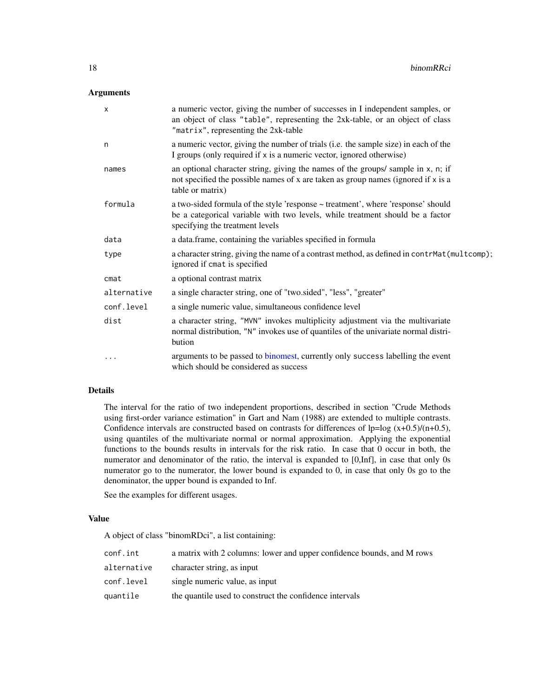# Arguments

| $\boldsymbol{\mathsf{x}}$ | a numeric vector, giving the number of successes in I independent samples, or<br>an object of class "table", representing the 2xk-table, or an object of class<br>"matrix", representing the 2xk-table |
|---------------------------|--------------------------------------------------------------------------------------------------------------------------------------------------------------------------------------------------------|
| n                         | a numeric vector, giving the number of trials (i.e. the sample size) in each of the<br>I groups (only required if x is a numeric vector, ignored otherwise)                                            |
| names                     | an optional character string, giving the names of the groups/sample in x, n; if<br>not specified the possible names of x are taken as group names (ignored if x is a<br>table or matrix)               |
| formula                   | a two-sided formula of the style 'response ~ treatment', where 'response' should<br>be a categorical variable with two levels, while treatment should be a factor<br>specifying the treatment levels   |
| data                      | a data.frame, containing the variables specified in formula                                                                                                                                            |
| type                      | a character string, giving the name of a contrast method, as defined in contrMat(multcomp);<br>ignored if cmat is specified                                                                            |
| cmat                      | a optional contrast matrix                                                                                                                                                                             |
| alternative               | a single character string, one of "two.sided", "less", "greater"                                                                                                                                       |
| conf.level                | a single numeric value, simultaneous confidence level                                                                                                                                                  |
| dist                      | a character string, "MVN" invokes multiplicity adjustment via the multivariate<br>normal distribution, "N" invokes use of quantiles of the univariate normal distri-<br>bution                         |
| $\cdots$                  | arguments to be passed to binomest, currently only success labelling the event<br>which should be considered as success                                                                                |

# Details

The interval for the ratio of two independent proportions, described in section "Crude Methods using first-order variance estimation" in Gart and Nam (1988) are extended to multiple contrasts. Confidence intervals are constructed based on contrasts for differences of  $lp = log(x+0.5)/(n+0.5)$ , using quantiles of the multivariate normal or normal approximation. Applying the exponential functions to the bounds results in intervals for the risk ratio. In case that 0 occur in both, the numerator and denominator of the ratio, the interval is expanded to [0,Inf], in case that only 0s numerator go to the numerator, the lower bound is expanded to 0, in case that only 0s go to the denominator, the upper bound is expanded to Inf.

See the examples for different usages.

# Value

A object of class "binomRDci", a list containing:

| conf.int    | a matrix with 2 columns: lower and upper confidence bounds, and M rows |
|-------------|------------------------------------------------------------------------|
| alternative | character string, as input                                             |
| conf.level  | single numeric value, as input                                         |
| quantile    | the quantile used to construct the confidence intervals                |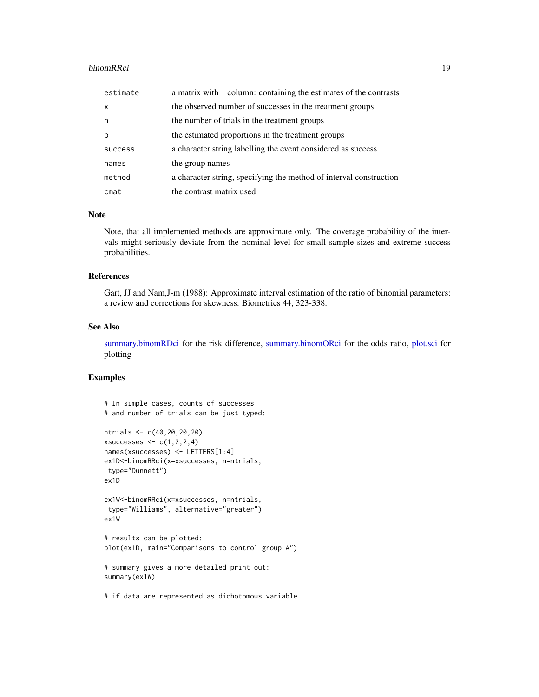#### binomRRci 19

| estimate | a matrix with 1 column: containing the estimates of the contrasts  |
|----------|--------------------------------------------------------------------|
| $\times$ | the observed number of successes in the treatment groups           |
| n        | the number of trials in the treatment groups                       |
| p        | the estimated proportions in the treatment groups                  |
| success  | a character string labelling the event considered as success       |
| names    | the group names                                                    |
| method   | a character string, specifying the method of interval construction |
| $c$ mat  | the contrast matrix used                                           |

#### Note

Note, that all implemented methods are approximate only. The coverage probability of the intervals might seriously deviate from the nominal level for small sample sizes and extreme success probabilities.

#### References

Gart, JJ and Nam,J-m (1988): Approximate interval estimation of the ratio of binomial parameters: a review and corrections for skewness. Biometrics 44, 323-338.

# See Also

[summary.binomRDci](#page-67-1) for the risk difference, [summary.binomORci](#page-66-1) for the odds ratio, [plot.sci](#page-36-1) for plotting

```
# In simple cases, counts of successes
# and number of trials can be just typed:
ntrials <- c(40,20,20,20)
xsuccesses \leq c(1,2,2,4)names(xsuccesses) <- LETTERS[1:4]
ex1D<-binomRRci(x=xsuccesses, n=ntrials,
type="Dunnett")
ex1D
ex1W<-binomRRci(x=xsuccesses, n=ntrials,
type="Williams", alternative="greater")
ex1W
# results can be plotted:
plot(ex1D, main="Comparisons to control group A")
# summary gives a more detailed print out:
summary(ex1W)
```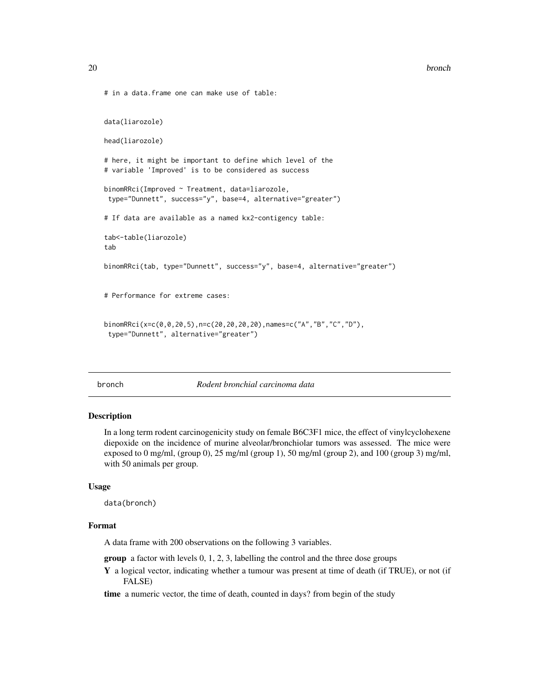```
# in a data.frame one can make use of table:
data(liarozole)
head(liarozole)
# here, it might be important to define which level of the
# variable 'Improved' is to be considered as success
binomRRci(Improved ~ Treatment, data=liarozole,
type="Dunnett", success="y", base=4, alternative="greater")
# If data are available as a named kx2-contigency table:
tab<-table(liarozole)
tab
binomRRci(tab, type="Dunnett", success="y", base=4, alternative="greater")
# Performance for extreme cases:
binomRRci(x=c(0,0,20,5),n=c(20,20,20,20),names=c("A","B","C","D"),
 type="Dunnett", alternative="greater")
```
bronch *Rodent bronchial carcinoma data*

# Description

In a long term rodent carcinogenicity study on female B6C3F1 mice, the effect of vinylcyclohexene diepoxide on the incidence of murine alveolar/bronchiolar tumors was assessed. The mice were exposed to 0 mg/ml, (group 0), 25 mg/ml (group 1), 50 mg/ml (group 2), and 100 (group 3) mg/ml, with 50 animals per group.

#### Usage

data(bronch)

# Format

A data frame with 200 observations on the following 3 variables.

group a factor with levels 0, 1, 2, 3, labelling the control and the three dose groups

Y a logical vector, indicating whether a tumour was present at time of death (if TRUE), or not (if FALSE)

time a numeric vector, the time of death, counted in days? from begin of the study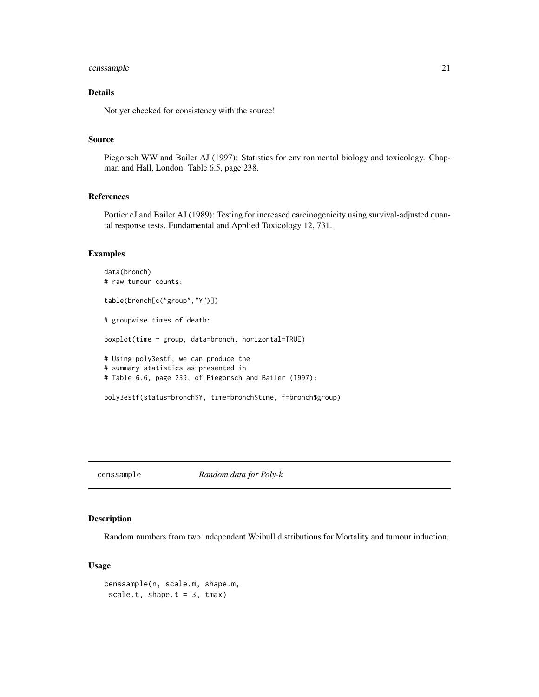# <span id="page-20-0"></span>censsample 21

# Details

Not yet checked for consistency with the source!

#### Source

Piegorsch WW and Bailer AJ (1997): Statistics for environmental biology and toxicology. Chapman and Hall, London. Table 6.5, page 238.

# References

Portier cJ and Bailer AJ (1989): Testing for increased carcinogenicity using survival-adjusted quantal response tests. Fundamental and Applied Toxicology 12, 731.

#### Examples

```
data(bronch)
# raw tumour counts:
table(bronch[c("group","Y")])
# groupwise times of death:
boxplot(time ~ group, data=bronch, horizontal=TRUE)
# Using poly3estf, we can produce the
# summary statistics as presented in
# Table 6.6, page 239, of Piegorsch and Bailer (1997):
poly3estf(status=bronch$Y, time=bronch$time, f=bronch$group)
```
censsample *Random data for Poly-k*

# Description

Random numbers from two independent Weibull distributions for Mortality and tumour induction.

# Usage

```
censsample(n, scale.m, shape.m,
 scale.t, shape.t = 3, tmax)
```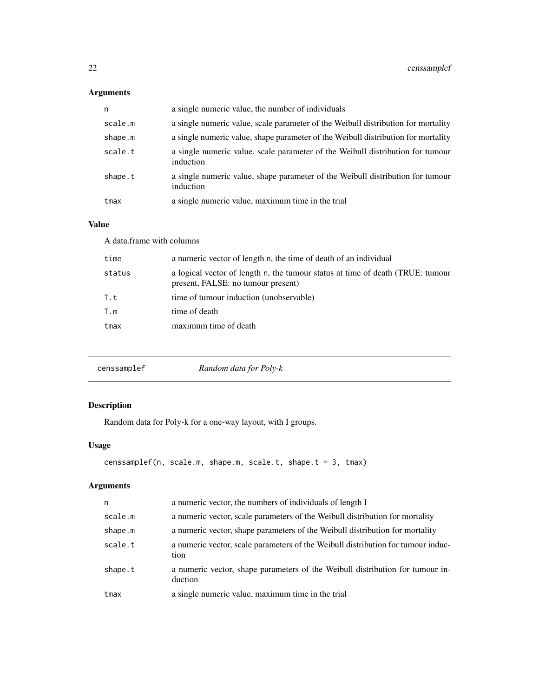# <span id="page-21-0"></span>Arguments

| n       | a single numeric value, the number of individuals                                           |
|---------|---------------------------------------------------------------------------------------------|
| scale.m | a single numeric value, scale parameter of the Weibull distribution for mortality           |
| shape.m | a single numeric value, shape parameter of the Weibull distribution for mortality           |
| scale.t | a single numeric value, scale parameter of the Weibull distribution for tumour<br>induction |
| shape.t | a single numeric value, shape parameter of the Weibull distribution for tumour<br>induction |
| tmax    | a single numeric value, maximum time in the trial                                           |

# Value

| A data frame with columns |                                                                                                                      |  |
|---------------------------|----------------------------------------------------------------------------------------------------------------------|--|
| time                      | a numeric vector of length n, the time of death of an individual                                                     |  |
| status                    | a logical vector of length n, the tumour status at time of death (TRUE: tumour<br>present, FALSE: no tumour present) |  |
| T.t                       | time of tumour induction (unobservable)                                                                              |  |
| T.m                       | time of death                                                                                                        |  |
| tmax                      | maximum time of death                                                                                                |  |
|                           |                                                                                                                      |  |

| Random data for Poly-k<br>censsamplef |
|---------------------------------------|
|---------------------------------------|

# Description

Random data for Poly-k for a one-way layout, with I groups.

# Usage

```
censsamplef(n, scale.m, shape.m, scale.t, shape.t = 3, tmax)
```
# Arguments

| n       | a numeric vector, the numbers of individuals of length I                                 |
|---------|------------------------------------------------------------------------------------------|
| scale.m | a numeric vector, scale parameters of the Weibull distribution for mortality             |
| shape.m | a numeric vector, shape parameters of the Weibull distribution for mortality             |
| scale.t | a numeric vector, scale parameters of the Weibull distribution for tumour induc-<br>tion |
| shape.t | a numeric vector, shape parameters of the Weibull distribution for tumour in-<br>duction |
| tmax    | a single numeric value, maximum time in the trial                                        |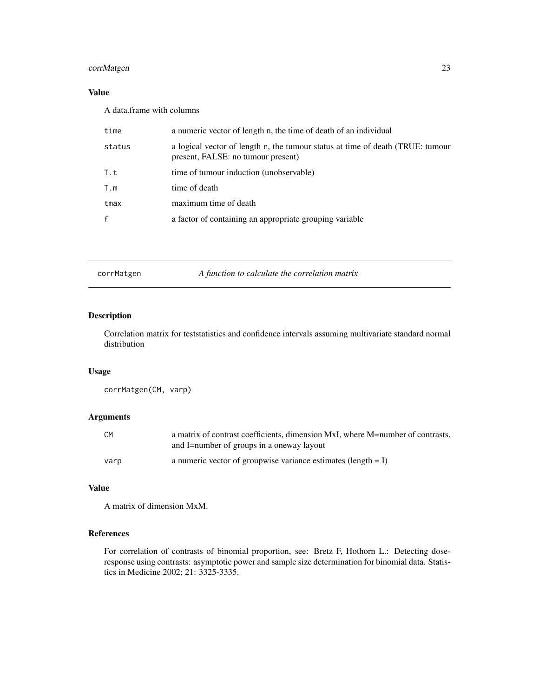# <span id="page-22-0"></span>corrMatgen 23

# Value

A data.frame with columns

| time   | a numeric vector of length n, the time of death of an individual                                                     |
|--------|----------------------------------------------------------------------------------------------------------------------|
| status | a logical vector of length n, the tumour status at time of death (TRUE: tumour<br>present, FALSE: no tumour present) |
| T.t    | time of tumour induction (unobservable)                                                                              |
| T.m    | time of death                                                                                                        |
| tmax   | maximum time of death                                                                                                |
| £.     | a factor of containing an appropriate grouping variable                                                              |
|        |                                                                                                                      |

corrMatgen *A function to calculate the correlation matrix*

# Description

Correlation matrix for teststatistics and confidence intervals assuming multivariate standard normal distribution

# Usage

corrMatgen(CM, varp)

# Arguments

| СM   | a matrix of contrast coefficients, dimension MxI, where M=number of contrasts,<br>and I=number of groups in a oneway layout |
|------|-----------------------------------------------------------------------------------------------------------------------------|
| varp | a numeric vector of groupwise variance estimates (length $= I$ )                                                            |

# Value

A matrix of dimension MxM.

# References

For correlation of contrasts of binomial proportion, see: Bretz F, Hothorn L.: Detecting doseresponse using contrasts: asymptotic power and sample size determination for binomial data. Statistics in Medicine 2002; 21: 3325-3335.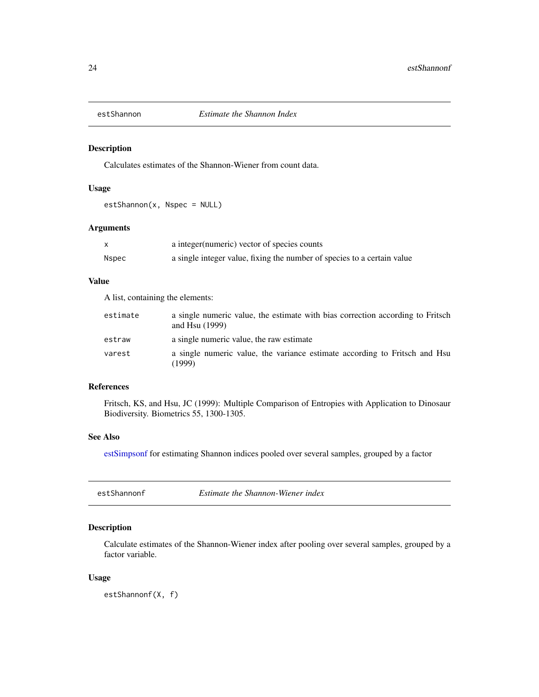<span id="page-23-0"></span>

#### Description

Calculates estimates of the Shannon-Wiener from count data.

# Usage

estShannon(x, Nspec = NULL)

# Arguments

|       | a integer (numeric) vector of species counts                            |
|-------|-------------------------------------------------------------------------|
| Nspec | a single integer value, fixing the number of species to a certain value |

# Value

A list, containing the elements:

| estimate | a single numeric value, the estimate with bias correction according to Fritsch<br>and Hsu $(1999)$ |
|----------|----------------------------------------------------------------------------------------------------|
| estraw   | a single numeric value, the raw estimate                                                           |
| varest   | a single numeric value, the variance estimate according to Fritsch and Hsu<br>(1999)               |

# References

Fritsch, KS, and Hsu, JC (1999): Multiple Comparison of Entropies with Application to Dinosaur Biodiversity. Biometrics 55, 1300-1305.

# See Also

[estSimpsonf](#page-25-1) for estimating Shannon indices pooled over several samples, grouped by a factor

<span id="page-23-1"></span>

| estShannonf | Estimate the Shannon-Wiener index |  |
|-------------|-----------------------------------|--|
|             |                                   |  |

# Description

Calculate estimates of the Shannon-Wiener index after pooling over several samples, grouped by a factor variable.

#### Usage

estShannonf(X, f)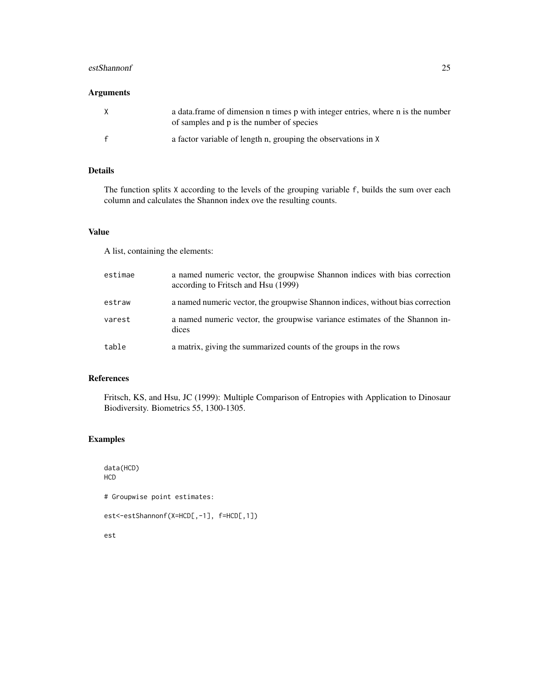# estShannonf 25

# Arguments

| a data frame of dimension n times p with integer entries, where n is the number<br>of samples and p is the number of species |
|------------------------------------------------------------------------------------------------------------------------------|
| a factor variable of length n, grouping the observations in X                                                                |

# Details

The function splits X according to the levels of the grouping variable f, builds the sum over each column and calculates the Shannon index ove the resulting counts.

# Value

A list, containing the elements:

| estimae | a named numeric vector, the groupwise Shannon indices with bias correction<br>according to Fritsch and Hsu (1999) |
|---------|-------------------------------------------------------------------------------------------------------------------|
| estraw  | a named numeric vector, the groupwise Shannon indices, without bias correction                                    |
| varest  | a named numeric vector, the groupwise variance estimates of the Shannon in-<br>dices                              |
| table   | a matrix, giving the summarized counts of the groups in the rows                                                  |

# References

Fritsch, KS, and Hsu, JC (1999): Multiple Comparison of Entropies with Application to Dinosaur Biodiversity. Biometrics 55, 1300-1305.

# Examples

data(HCD) HCD # Groupwise point estimates: est<-estShannonf(X=HCD[,-1], f=HCD[,1]) est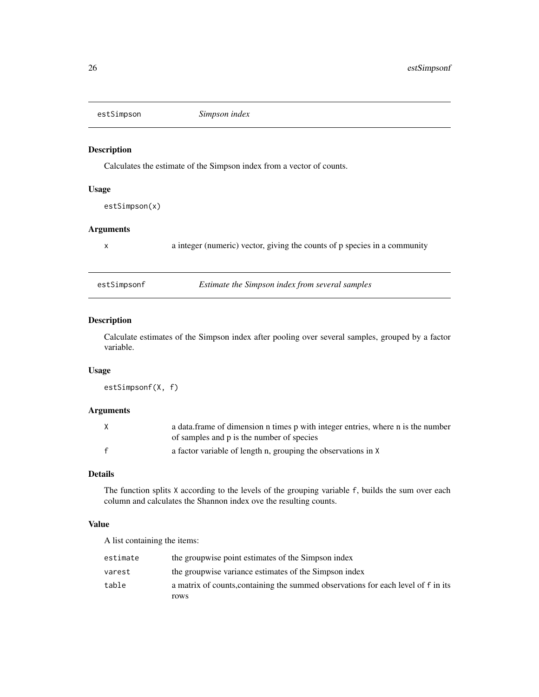<span id="page-25-0"></span>

# Description

Calculates the estimate of the Simpson index from a vector of counts.

# Usage

estSimpson(x)

# Arguments

x a integer (numeric) vector, giving the counts of p species in a community

<span id="page-25-1"></span>

| estSimpsonf | Estimate the Simpson index from several samples |
|-------------|-------------------------------------------------|
|-------------|-------------------------------------------------|

# Description

Calculate estimates of the Simpson index after pooling over several samples, grouped by a factor variable.

# Usage

estSimpsonf(X, f)

# Arguments

| X | a data frame of dimension n times p with integer entries, where n is the number |
|---|---------------------------------------------------------------------------------|
|   | of samples and p is the number of species                                       |
|   | a factor variable of length n, grouping the observations in X                   |

# Details

The function splits X according to the levels of the grouping variable f, builds the sum over each column and calculates the Shannon index ove the resulting counts.

# Value

A list containing the items:

| estimate | the groupwise point estimates of the Simpson index                                |
|----------|-----------------------------------------------------------------------------------|
| varest   | the groupwise variance estimates of the Simpson index                             |
| table    | a matrix of counts, containing the summed observations for each level of f in its |
|          | rows                                                                              |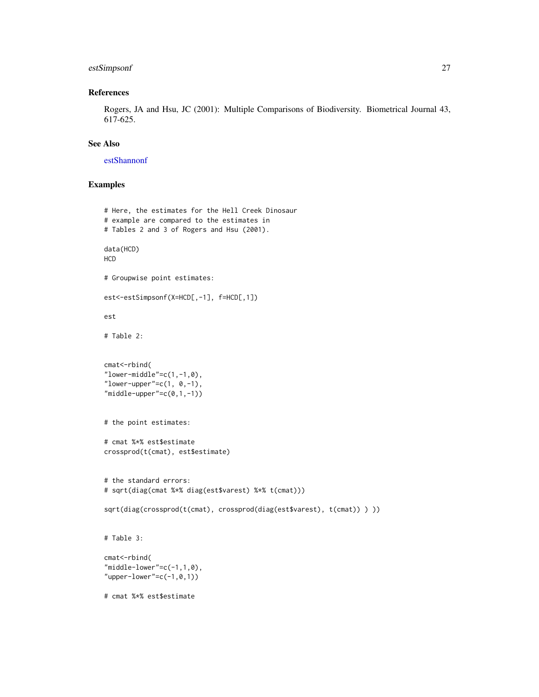# estSimpsonf 27

# References

Rogers, JA and Hsu, JC (2001): Multiple Comparisons of Biodiversity. Biometrical Journal 43, 617-625.

# See Also

[estShannonf](#page-23-1)

```
# Here, the estimates for the Hell Creek Dinosaur
# example are compared to the estimates in
# Tables 2 and 3 of Rogers and Hsu (2001).
data(HCD)
HCD
# Groupwise point estimates:
est<-estSimpsonf(X=HCD[,-1], f=HCD[,1])
est
# Table 2:
cmat<-rbind(
"lower-middle"=c(1,-1,0),
"lower-upper"=c(1, 0, -1),
"middle-upper" = c(0,1,-1))# the point estimates:
# cmat %*% est$estimate
crossprod(t(cmat), est$estimate)
# the standard errors:
# sqrt(diag(cmat %*% diag(est$varest) %*% t(cmat)))
sqrt(diag(crossprod(t(cmat), crossprod(diag(est$varest), t(cmat)) ) ))
# Table 3:
cmat<-rbind(
"middle-lower" = c(-1,1,0),
"upper-lower"=c(-1, 0, 1))
# cmat %*% est$estimate
```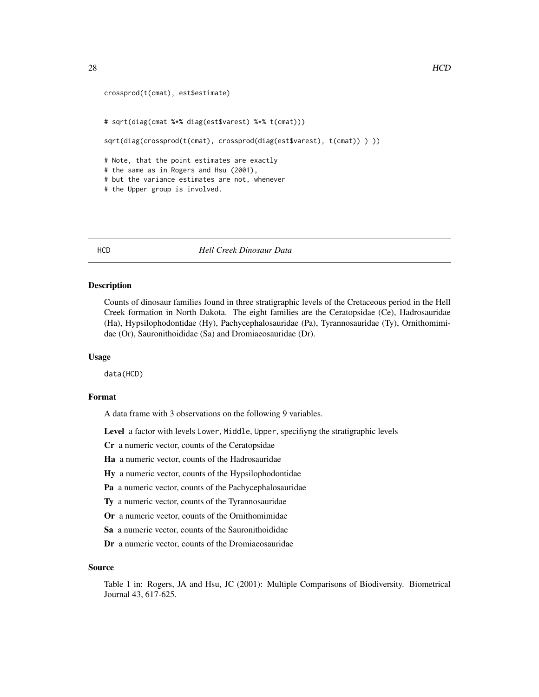```
crossprod(t(cmat), est$estimate)
# sqrt(diag(cmat %*% diag(est$varest) %*% t(cmat)))
sqrt(diag(crossprod(t(cmat), crossprod(diag(est$varest), t(cmat)) )))
# Note, that the point estimates are exactly
# the same as in Rogers and Hsu (2001),
# but the variance estimates are not, whenever
# the Upper group is involved.
```
HCD *Hell Creek Dinosaur Data*

#### Description

Counts of dinosaur families found in three stratigraphic levels of the Cretaceous period in the Hell Creek formation in North Dakota. The eight families are the Ceratopsidae (Ce), Hadrosauridae (Ha), Hypsilophodontidae (Hy), Pachycephalosauridae (Pa), Tyrannosauridae (Ty), Ornithomimidae (Or), Sauronithoididae (Sa) and Dromiaeosauridae (Dr).

#### Usage

data(HCD)

# Format

A data frame with 3 observations on the following 9 variables.

Level a factor with levels Lower, Middle, Upper, specifiyng the stratigraphic levels

Cr a numeric vector, counts of the Ceratopsidae

Ha a numeric vector, counts of the Hadrosauridae

Hy a numeric vector, counts of the Hypsilophodontidae

Pa a numeric vector, counts of the Pachycephalosauridae

Ty a numeric vector, counts of the Tyrannosauridae

Or a numeric vector, counts of the Ornithomimidae

Sa a numeric vector, counts of the Sauronithoididae

Dr a numeric vector, counts of the Dromiaeosauridae

#### Source

Table 1 in: Rogers, JA and Hsu, JC (2001): Multiple Comparisons of Biodiversity. Biometrical Journal 43, 617-625.

<span id="page-27-0"></span>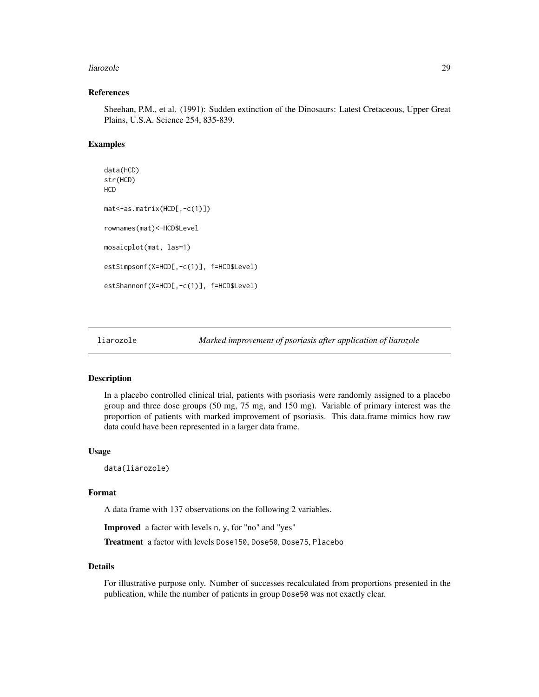#### <span id="page-28-0"></span>liarozole 29

#### References

Sheehan, P.M., et al. (1991): Sudden extinction of the Dinosaurs: Latest Cretaceous, Upper Great Plains, U.S.A. Science 254, 835-839.

# Examples

```
data(HCD)
str(HCD)
HCD
mat<-as.matrix(HCD[,-c(1)])
rownames(mat)<-HCD$Level
mosaicplot(mat, las=1)
estSimpsonf(X=HCD[,-c(1)], f=HCD$Level)
estShannonf(X=HCD[,-c(1)], f=HCD$Level)
```
liarozole *Marked improvement of psoriasis after application of liarozole*

#### Description

In a placebo controlled clinical trial, patients with psoriasis were randomly assigned to a placebo group and three dose groups (50 mg, 75 mg, and 150 mg). Variable of primary interest was the proportion of patients with marked improvement of psoriasis. This data.frame mimics how raw data could have been represented in a larger data frame.

#### Usage

data(liarozole)

#### Format

A data frame with 137 observations on the following 2 variables.

Improved a factor with levels n, y, for "no" and "yes"

Treatment a factor with levels Dose150, Dose50, Dose75, Placebo

# Details

For illustrative purpose only. Number of successes recalculated from proportions presented in the publication, while the number of patients in group Dose50 was not exactly clear.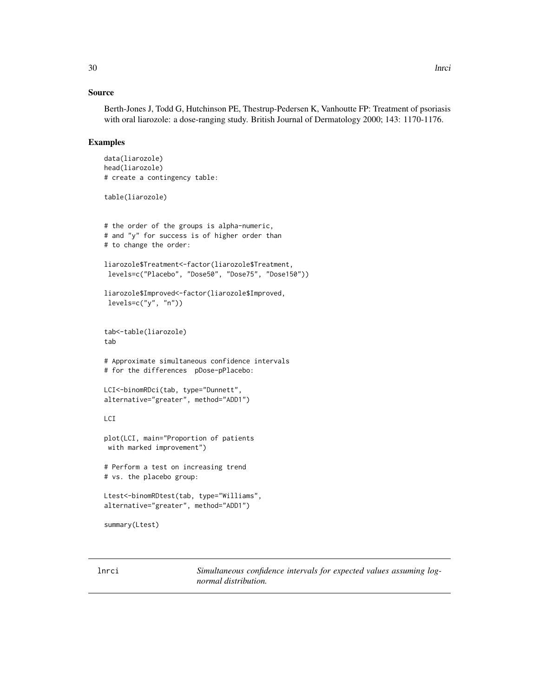# <span id="page-29-0"></span>Source

Berth-Jones J, Todd G, Hutchinson PE, Thestrup-Pedersen K, Vanhoutte FP: Treatment of psoriasis with oral liarozole: a dose-ranging study. British Journal of Dermatology 2000; 143: 1170-1176.

# Examples

```
data(liarozole)
head(liarozole)
# create a contingency table:
table(liarozole)
# the order of the groups is alpha-numeric,
# and "y" for success is of higher order than
# to change the order:
liarozole$Treatment<-factor(liarozole$Treatment,
 levels=c("Placebo", "Dose50", "Dose75", "Dose150"))
liarozole$Improved<-factor(liarozole$Improved,
 levels=c("y", "n"))
tab<-table(liarozole)
tab
# Approximate simultaneous confidence intervals
# for the differences pDose-pPlacebo:
LCI<-binomRDci(tab, type="Dunnett",
alternative="greater", method="ADD1")
LCI
plot(LCI, main="Proportion of patients
with marked improvement")
# Perform a test on increasing trend
# vs. the placebo group:
Ltest<-binomRDtest(tab, type="Williams",
alternative="greater", method="ADD1")
summary(Ltest)
```
lnrci *Simultaneous confidence intervals for expected values assuming lognormal distribution.*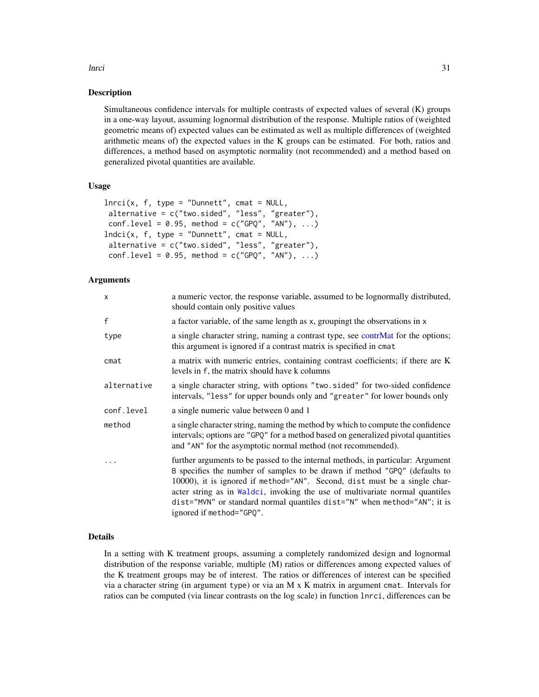#### lnrci 31

# Description

Simultaneous confidence intervals for multiple contrasts of expected values of several (K) groups in a one-way layout, assuming lognormal distribution of the response. Multiple ratios of (weighted geometric means of) expected values can be estimated as well as multiple differences of (weighted arithmetic means of) the expected values in the K groups can be estimated. For both, ratios and differences, a method based on asymptotic normality (not recommended) and a method based on generalized pivotal quantities are available.

# Usage

```
lnrci(x, f, type = "Dunnett", cmat = NULL,alternative = c("two.sided", "less", "greater"),
conf. level = 0.95, method = c("GPQ", "AN"), ...Indci(x, f, type = "Dunnett", cmat = NULL,alternative = c("two.sided", "less", "greater"),
conf. level = 0.95, method = c("GPQ", "AN"), ...
```
# Arguments

| X.          | a numeric vector, the response variable, assumed to be lognormally distributed,<br>should contain only positive values                                                                                                                                                                                                                                                                                                             |
|-------------|------------------------------------------------------------------------------------------------------------------------------------------------------------------------------------------------------------------------------------------------------------------------------------------------------------------------------------------------------------------------------------------------------------------------------------|
| f           | a factor variable, of the same length as x, groupingt the observations in x                                                                                                                                                                                                                                                                                                                                                        |
| type        | a single character string, naming a contrast type, see contrMat for the options;<br>this argument is ignored if a contrast matrix is specified in cmat                                                                                                                                                                                                                                                                             |
| cmat        | a matrix with numeric entries, containing contrast coefficients; if there are K<br>levels in f, the matrix should have k columns                                                                                                                                                                                                                                                                                                   |
| alternative | a single character string, with options "two.sided" for two-sided confidence<br>intervals, "less" for upper bounds only and "greater" for lower bounds only                                                                                                                                                                                                                                                                        |
| conf.level  | a single numeric value between 0 and 1                                                                                                                                                                                                                                                                                                                                                                                             |
| method      | a single character string, naming the method by which to compute the confidence<br>intervals; options are "GPQ" for a method based on generalized pivotal quantities<br>and "AN" for the asymptotic normal method (not recommended).                                                                                                                                                                                               |
| $\cdots$    | further arguments to be passed to the internal methods, in particular: Argument<br>B specifies the number of samples to be drawn if method "GPQ" (defaults to<br>10000), it is ignored if method="AN". Second, dist must be a single char-<br>acter string as in Waldci, invoking the use of multivariate normal quantiles<br>dist="MVN" or standard normal quantiles dist="N" when method="AN"; it is<br>ignored if method="GPQ". |

# Details

In a setting with K treatment groups, assuming a completely randomized design and lognormal distribution of the response variable, multiple (M) ratios or differences among expected values of the K treatment groups may be of interest. The ratios or differences of interest can be specified via a character string (in argument type) or via an M x K matrix in argument cmat. Intervals for ratios can be computed (via linear contrasts on the log scale) in function lnrci, differences can be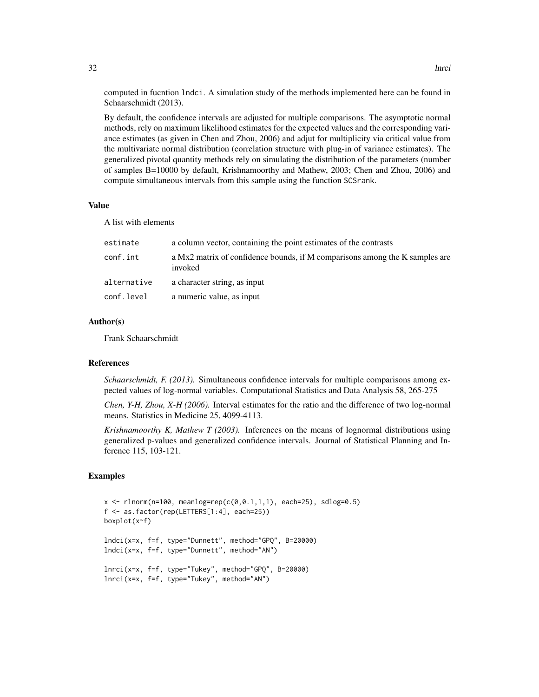computed in fucntion lndci. A simulation study of the methods implemented here can be found in Schaarschmidt (2013).

By default, the confidence intervals are adjusted for multiple comparisons. The asymptotic normal methods, rely on maximum likelihood estimates for the expected values and the corresponding variance estimates (as given in Chen and Zhou, 2006) and adjut for multiplicity via critical value from the multivariate normal distribution (correlation structure with plug-in of variance estimates). The generalized pivotal quantity methods rely on simulating the distribution of the parameters (number of samples B=10000 by default, Krishnamoorthy and Mathew, 2003; Chen and Zhou, 2006) and compute simultaneous intervals from this sample using the function SCSrank.

#### Value

A list with elements

| estimate    | a column vector, containing the point estimates of the contrasts                       |
|-------------|----------------------------------------------------------------------------------------|
| conf.int    | a Mx2 matrix of confidence bounds, if M comparisons among the K samples are<br>invoked |
| alternative | a character string, as input                                                           |
| conf.level  | a numeric value, as input                                                              |

#### Author(s)

Frank Schaarschmidt

#### References

*Schaarschmidt, F. (2013).* Simultaneous confidence intervals for multiple comparisons among expected values of log-normal variables. Computational Statistics and Data Analysis 58, 265-275

*Chen, Y-H, Zhou, X-H (2006).* Interval estimates for the ratio and the difference of two log-normal means. Statistics in Medicine 25, 4099-4113.

*Krishnamoorthy K, Mathew T (2003).* Inferences on the means of lognormal distributions using generalized p-values and generalized confidence intervals. Journal of Statistical Planning and Inference 115, 103-121.

```
x \le rlnorm(n=100, meanlog=rep(c(0,0.1,1,1), each=25), sdlog=0.5)
f <- as.factor(rep(LETTERS[1:4], each=25))
boxplot(x~f)
lndci(x=x, f=f, type="Dunnett", method="GPQ", B=20000)
lndci(x=x, f=f, type="Dunnett", method="AN")
lnrci(x=x, f=f, type="Tukey", method="GPQ", B=20000)
lnrci(x=x, f=f, type="Tukey", method="AN")
```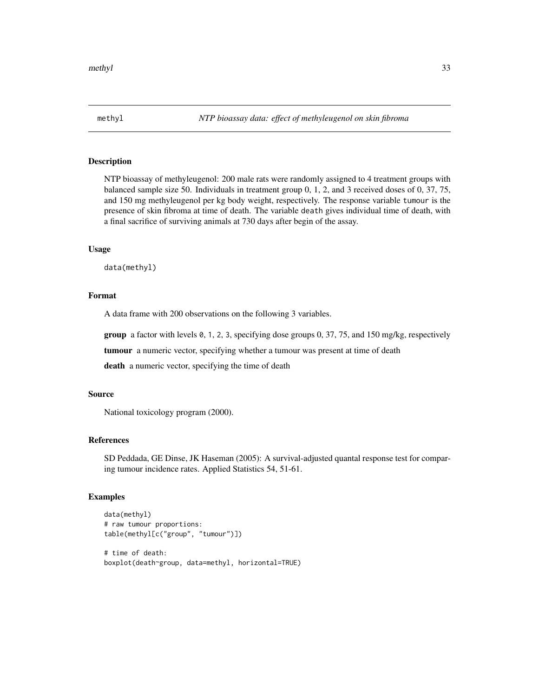#### <span id="page-32-0"></span>Description

NTP bioassay of methyleugenol: 200 male rats were randomly assigned to 4 treatment groups with balanced sample size 50. Individuals in treatment group 0, 1, 2, and 3 received doses of 0, 37, 75, and 150 mg methyleugenol per kg body weight, respectively. The response variable tumour is the presence of skin fibroma at time of death. The variable death gives individual time of death, with a final sacrifice of surviving animals at 730 days after begin of the assay.

#### Usage

data(methyl)

# Format

A data frame with 200 observations on the following 3 variables.

**group** a factor with levels  $\emptyset$ , 1, 2, 3, specifying dose groups 0, 37, 75, and 150 mg/kg, respectively

tumour a numeric vector, specifying whether a tumour was present at time of death

death a numeric vector, specifying the time of death

#### Source

National toxicology program (2000).

# References

SD Peddada, GE Dinse, JK Haseman (2005): A survival-adjusted quantal response test for comparing tumour incidence rates. Applied Statistics 54, 51-61.

```
data(methyl)
# raw tumour proportions:
table(methyl[c("group", "tumour")])
```

```
# time of death:
boxplot(death~group, data=methyl, horizontal=TRUE)
```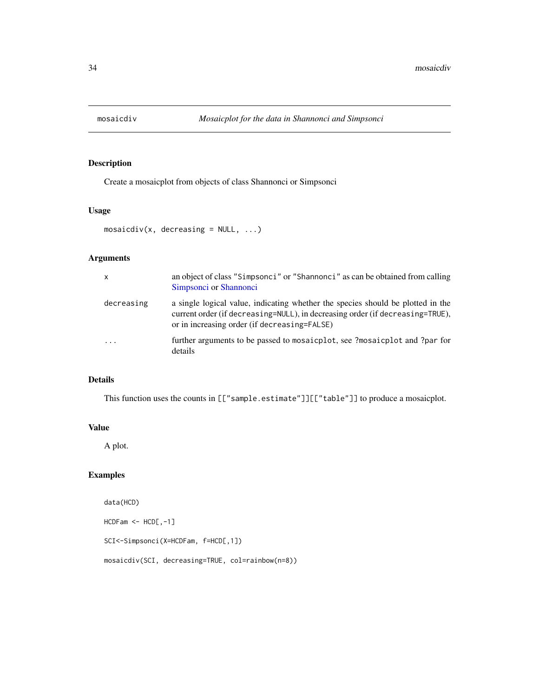<span id="page-33-0"></span>

# Description

Create a mosaicplot from objects of class Shannonci or Simpsonci

# Usage

```
mosaicdiv(x, decreasing = NULL, ...)
```
# Arguments

| X                       | an object of class "Simpsonci" or "Shannonci" as can be obtained from calling<br>Simpsonci or Shannonci                                                                                                          |
|-------------------------|------------------------------------------------------------------------------------------------------------------------------------------------------------------------------------------------------------------|
| decreasing              | a single logical value, indicating whether the species should be plotted in the<br>current order (if decreasing=NULL), in decreasing order (if decreasing=TRUE),<br>or in increasing order (if decreasing=FALSE) |
| $\cdot$ $\cdot$ $\cdot$ | further arguments to be passed to mosaicplot, see ?mosaicplot and ?par for<br>details                                                                                                                            |

# Details

This function uses the counts in [["sample.estimate"]][["table"]] to produce a mosaicplot.

#### Value

A plot.

# Examples

data(HCD) HCDFam <- HCD[,-1] SCI<-Simpsonci(X=HCDFam, f=HCD[,1]) mosaicdiv(SCI, decreasing=TRUE, col=rainbow(n=8))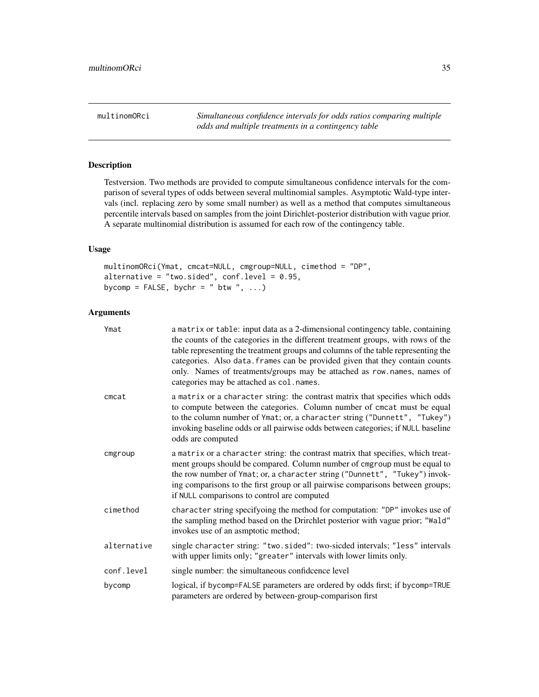<span id="page-34-0"></span>multinomORci *Simultaneous confidence intervals for odds ratios comparing multiple odds and multiple treatments in a contingency table*

# Description

Testversion. Two methods are provided to compute simultaneous confidence intervals for the comparison of several types of odds between several multinomial samples. Asymptotic Wald-type intervals (incl. replacing zero by some small number) as well as a method that computes simultaneous percentile intervals based on samples from the joint Dirichlet-posterior distribution with vague prior. A separate multinomial distribution is assumed for each row of the contingency table.

# Usage

multinomORci(Ymat, cmcat=NULL, cmgroup=NULL, cimethod = "DP", alternative = "two.sided", conf.level =  $0.95$ , bycomp = FALSE, bychr = "  $btw$  ", ...)

# Arguments

| Ymat        | a matrix or table: input data as a 2-dimensional contingency table, containing<br>the counts of the categories in the different treatment groups, with rows of the<br>table representing the treatment groups and columns of the table representing the<br>categories. Also data. frames can be provided given that they contain counts<br>only. Names of treatments/groups may be attached as row.names, names of<br>categories may be attached as col.names. |
|-------------|----------------------------------------------------------------------------------------------------------------------------------------------------------------------------------------------------------------------------------------------------------------------------------------------------------------------------------------------------------------------------------------------------------------------------------------------------------------|
| cmcat       | a matrix or a character string: the contrast matrix that specifies which odds<br>to compute between the categories. Column number of cmcat must be equal<br>to the column number of Ymat; or, a character string ("Dunnett", "Tukey")<br>invoking baseline odds or all pairwise odds between categories; if NULL baseline<br>odds are computed                                                                                                                 |
| cmgroup     | a matrix or a character string: the contrast matrix that specifies, which treat-<br>ment groups should be compared. Column number of cmgroup must be equal to<br>the row number of Ymat; or, a character string ("Dunnett", "Tukey") invok-<br>ing comparisons to the first group or all pairwise comparisons between groups;<br>if NULL comparisons to control are computed                                                                                   |
| cimethod    | character string specifyoing the method for computation: "DP" invokes use of<br>the sampling method based on the Drirchlet posterior with vague prior; "Wald"<br>invokes use of an asmptotic method;                                                                                                                                                                                                                                                           |
| alternative | single character string: "two.sided": two-sicded intervals; "less" intervals<br>with upper limits only; "greater" intervals with lower limits only.                                                                                                                                                                                                                                                                                                            |
| conf.level  | single number: the simultaneous confideence level                                                                                                                                                                                                                                                                                                                                                                                                              |
| bycomp      | logical, if bycomp=FALSE parameters are ordered by odds first; if bycomp=TRUE<br>parameters are ordered by between-group-comparison first                                                                                                                                                                                                                                                                                                                      |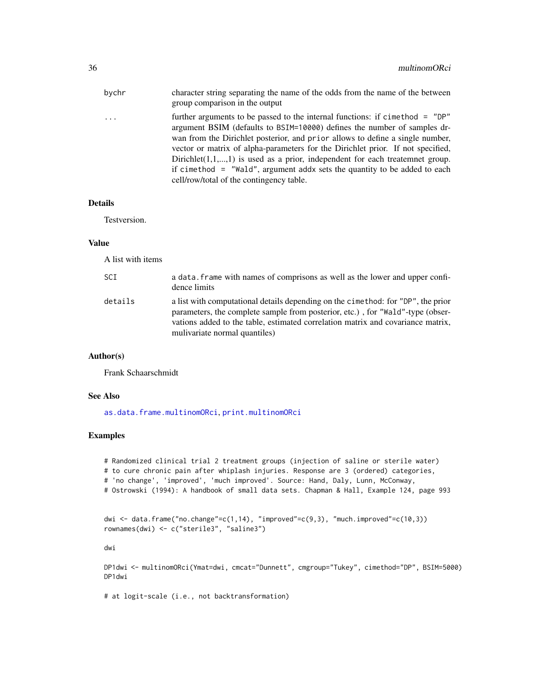| bychr | character string separating the name of the odds from the name of the between<br>group comparison in the output                                                                                                                                                                                                                                                                                                                                                                                                                           |
|-------|-------------------------------------------------------------------------------------------------------------------------------------------------------------------------------------------------------------------------------------------------------------------------------------------------------------------------------------------------------------------------------------------------------------------------------------------------------------------------------------------------------------------------------------------|
| .     | further arguments to be passed to the internal functions: if cime thod = "DP"<br>argument BSIM (defaults to BSIM=10000) defines the number of samples dr-<br>wan from the Dirichlet posterior, and prior allows to define a single number,<br>vector or matrix of alpha-parameters for the Dirichlet prior. If not specified,<br>Dirichlet $(1,1,,1)$ is used as a prior, independent for each treatemnet group.<br>if cimethod = "Wald", argument addx sets the quantity to be added to each<br>cell/row/total of the contingency table. |
|       |                                                                                                                                                                                                                                                                                                                                                                                                                                                                                                                                           |

# Details

Testversion.

#### Value

A list with items

| SCI     | a data. frame with names of comprisons as well as the lower and upper confi-<br>dence limits                                                                                                                                                                                            |
|---------|-----------------------------------------------------------------------------------------------------------------------------------------------------------------------------------------------------------------------------------------------------------------------------------------|
| details | a list with computational details depending on the cime thod: for "DP", the prior<br>parameters, the complete sample from posterior, etc.), for "Wald"-type (obser-<br>vations added to the table, estimated correlation matrix and covariance matrix,<br>mulivariate normal quantiles) |

# Author(s)

Frank Schaarschmidt

# See Also

[as.data.frame.multinomORci](#page-58-1), [print.multinomORci](#page-58-2)

# Examples

# Randomized clinical trial 2 treatment groups (injection of saline or sterile water) # to cure chronic pain after whiplash injuries. Response are 3 (ordered) categories, # 'no change', 'improved', 'much improved'. Source: Hand, Daly, Lunn, McConway, # Ostrowski (1994): A handbook of small data sets. Chapman & Hall, Example 124, page 993

dwi <- data.frame("no.change"=c(1,14), "improved"=c(9,3), "much.improved"=c(10,3)) rownames(dwi) <- c("sterile3", "saline3")

dwi

DP1dwi <- multinomORci(Ymat=dwi, cmcat="Dunnett", cmgroup="Tukey", cimethod="DP", BSIM=5000) DP1dwi

# at logit-scale (i.e., not backtransformation)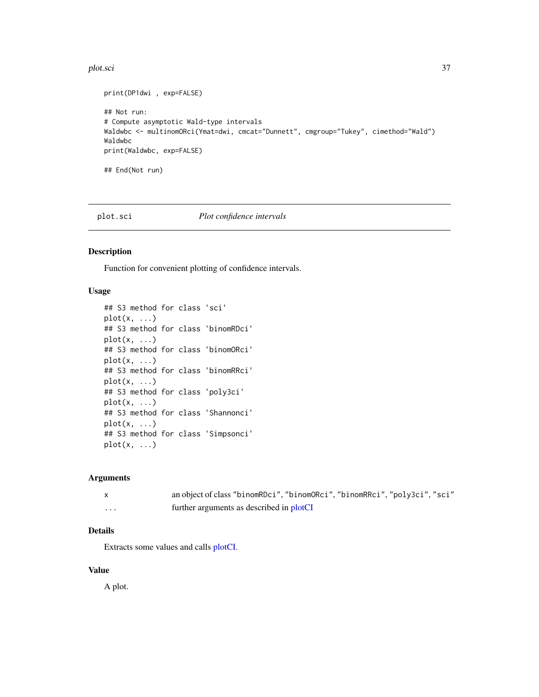#### plot.sci 37

```
print(DP1dwi , exp=FALSE)
## Not run:
# Compute asymptotic Wald-type intervals
Waldwbc <- multinomORci(Ymat=dwi, cmcat="Dunnett", cmgroup="Tukey", cimethod="Wald")
Waldwbc
print(Waldwbc, exp=FALSE)
## End(Not run)
```
# plot.sci *Plot confidence intervals*

# Description

Function for convenient plotting of confidence intervals.

# Usage

```
## S3 method for class 'sci'
plot(x, \ldots)## S3 method for class 'binomRDci'
plot(x, \ldots)## S3 method for class 'binomORci'
plot(x, \ldots)## S3 method for class 'binomRRci'
plot(x, \ldots)## S3 method for class 'poly3ci'
plot(x, \ldots)## S3 method for class 'Shannonci'
plot(x, \ldots)## S3 method for class 'Simpsonci'
plot(x, ...)
```
### Arguments

|          | an object of class "binomRDci", "binomORci", "binomRRci", "poly3ci", "sci" |
|----------|----------------------------------------------------------------------------|
| $\cdots$ | further arguments as described in plotCI                                   |

# Details

Extracts some values and calls [plotCI.](#page-37-0)

### Value

A plot.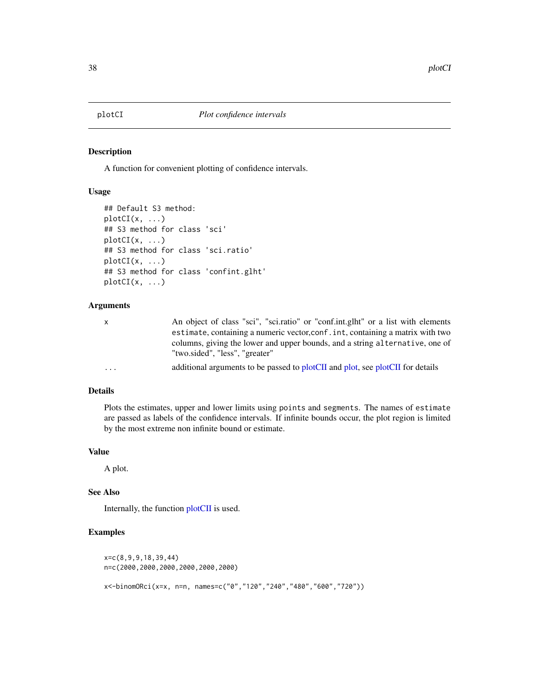<span id="page-37-0"></span>

# Description

A function for convenient plotting of confidence intervals.

### Usage

```
## Default S3 method:
plotCI(x, ...)
## S3 method for class 'sci'
plotCI(x, ...)
## S3 method for class 'sci.ratio'
plotCI(x, ...)## S3 method for class 'confint.glht'
plotCI(x, \ldots)
```
# Arguments

| X.                      | An object of class "sci", "sci.ratio" or "conf.int.glht" or a list with elements |
|-------------------------|----------------------------------------------------------------------------------|
|                         | estimate, containing a numeric vector, conf. int, containing a matrix with two   |
|                         | columns, giving the lower and upper bounds, and a string alternative, one of     |
|                         | "two.sided", "less", "greater"                                                   |
| $\cdot$ $\cdot$ $\cdot$ | additional arguments to be passed to plotCII and plot, see plotCII for details   |

# Details

Plots the estimates, upper and lower limits using points and segments. The names of estimate are passed as labels of the confidence intervals. If infinite bounds occur, the plot region is limited by the most extreme non infinite bound or estimate.

### Value

A plot.

### See Also

Internally, the function [plotCII](#page-38-0) is used.

```
x=c(8,9,9,18,39,44)
n=c(2000,2000,2000,2000,2000,2000)
x<-binomORci(x=x, n=n, names=c("0","120","240","480","600","720"))
```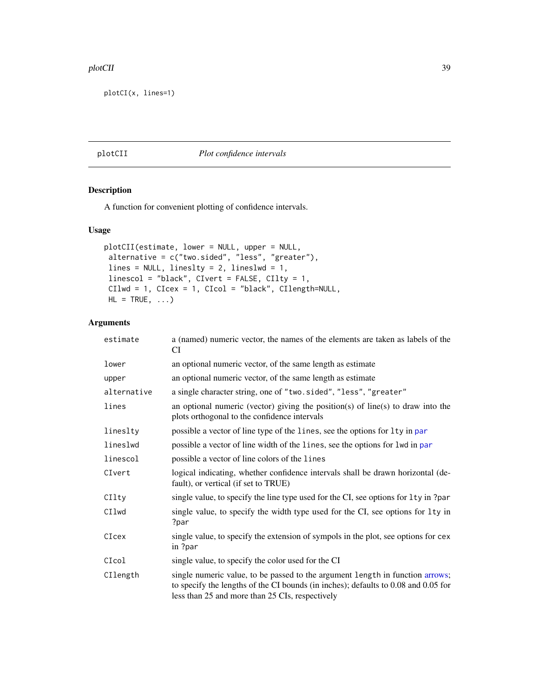#### plotCII and the set of the set of the set of the set of the set of the set of the set of the set of the set of the set of the set of the set of the set of the set of the set of the set of the set of the set of the set of t

plotCI(x, lines=1)

### <span id="page-38-0"></span>plotCII *Plot confidence intervals*

# Description

A function for convenient plotting of confidence intervals.

# Usage

```
plotCII(estimate, lower = NULL, upper = NULL,
alternative = c("two.sided", "less", "greater"),
lines = NULL, lineslty = 2, lineslwd = 1,
linescol = "black", CIvert = FALSE, CIlty = 1,
CIlwd = 1, CIcex = 1, CIcol = "black", CIlength=NULL,
HL = TRUE, ...
```

| estimate    | a (named) numeric vector, the names of the elements are taken as labels of the<br>CI                                                                                                                                   |
|-------------|------------------------------------------------------------------------------------------------------------------------------------------------------------------------------------------------------------------------|
| lower       | an optional numeric vector, of the same length as estimate                                                                                                                                                             |
| upper       | an optional numeric vector, of the same length as estimate                                                                                                                                                             |
| alternative | a single character string, one of "two.sided", "less", "greater"                                                                                                                                                       |
| lines       | an optional numeric (vector) giving the position(s) of line(s) to draw into the<br>plots orthogonal to the confidence intervals                                                                                        |
| lineslty    | possible a vector of line type of the lines, see the options for lty in par                                                                                                                                            |
| lineslwd    | possible a vector of line width of the lines, see the options for lwd in par                                                                                                                                           |
| linescol    | possible a vector of line colors of the lines                                                                                                                                                                          |
| CIvert      | logical indicating, whether confidence intervals shall be drawn horizontal (de-<br>fault), or vertical (if set to TRUE)                                                                                                |
| CIlty       | single value, to specify the line type used for the CI, see options for 1ty in ?par                                                                                                                                    |
| CIlwd       | single value, to specify the width type used for the CI, see options for 1ty in<br>?par                                                                                                                                |
| CIcex       | single value, to specify the extension of sympols in the plot, see options for cex<br>in ?par                                                                                                                          |
| CIcol       | single value, to specify the color used for the CI                                                                                                                                                                     |
| CIlength    | single numeric value, to be passed to the argument length in function arrows;<br>to specify the lengths of the CI bounds (in inches); defaults to 0.08 and 0.05 for<br>less than 25 and more than 25 CIs, respectively |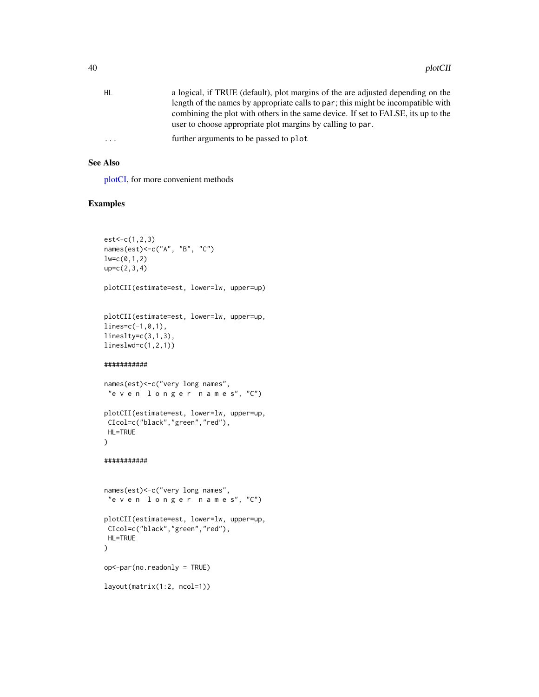| HL        | a logical, if TRUE (default), plot margins of the are adjusted depending on the   |
|-----------|-----------------------------------------------------------------------------------|
|           | length of the names by appropriate calls to par; this might be incompatible with  |
|           | combining the plot with others in the same device. If set to FALSE, its up to the |
|           | user to choose appropriate plot margins by calling to par.                        |
| $\ddotsc$ | further arguments to be passed to plot                                            |
|           |                                                                                   |

### See Also

[plotCI,](#page-37-0) for more convenient methods

```
est < -c(1, 2, 3)names(est)<-c("A", "B", "C")
lw=c(0,1,2)up=c(2,3,4)
plotCII(estimate=est, lower=lw, upper=up)
plotCII(estimate=est, lower=lw, upper=up,
lines=c(-1,0,1),
lineslty=c(3,1,3),
lineslwd=c(1,2,1))
###########
names(est)<-c("very long names",
 "e v e n l o n g e r n a m e s", "C")
plotCII(estimate=est, lower=lw, upper=up,
CIcol=c("black","green","red"),
HL=TRUE
\lambda###########
names(est)<-c("very long names",
"e v e n l o n g e r n a m e s", "C")
plotCII(estimate=est, lower=lw, upper=up,
CIcol=c("black","green","red"),
HL=TRUE
\mathcal{L}op<-par(no.readonly = TRUE)
layout(matrix(1:2, ncol=1))
```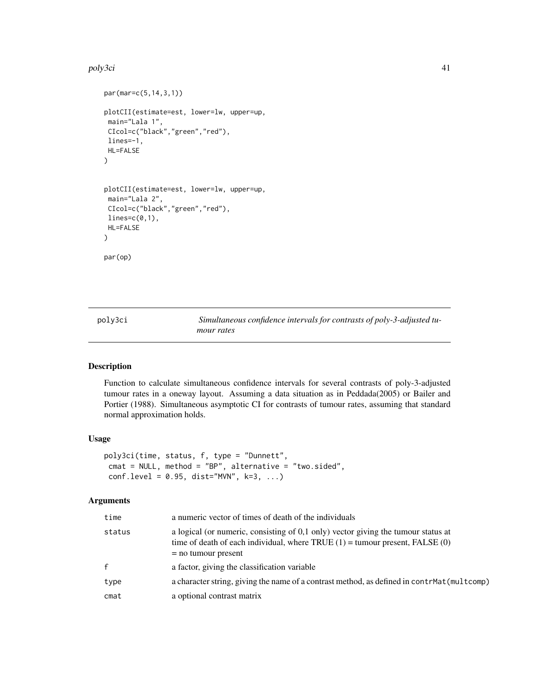#### poly3ci 41

```
par(mar=c(5,14,3,1))
plotCII(estimate=est, lower=lw, upper=up,
main="Lala 1",
CIcol=c("black","green","red"),
lines=-1,
HL=FALSE
)
plotCII(estimate=est, lower=lw, upper=up,
main="Lala 2",
CIcol=c("black","green","red"),
lines=c(0,1),HL=FALSE
)
par(op)
```
<span id="page-40-0"></span>poly3ci *Simultaneous confidence intervals for contrasts of poly-3-adjusted tumour rates*

### Description

Function to calculate simultaneous confidence intervals for several contrasts of poly-3-adjusted tumour rates in a oneway layout. Assuming a data situation as in Peddada(2005) or Bailer and Portier (1988). Simultaneous asymptotic CI for contrasts of tumour rates, assuming that standard normal approximation holds.

### Usage

```
poly3ci(time, status, f, type = "Dunnett",
cmat = NULL, method = "BP", alternative = "two.sided",
 conf. level = 0.95, dist="MVN", k=3, ...)
```

| time   | a numeric vector of times of death of the individuals                                                                                                                                            |
|--------|--------------------------------------------------------------------------------------------------------------------------------------------------------------------------------------------------|
| status | a logical (or numeric, consisting of $0,1$ only) vector giving the tumour status at<br>time of death of each individual, where TRUE $(1)$ = tumour present, FALSE $(0)$<br>$=$ no tumour present |
| f      | a factor, giving the classification variable                                                                                                                                                     |
| type   | a character string, giving the name of a contrast method, as defined in contrMat (multcomp)                                                                                                      |
| cmat   | a optional contrast matrix                                                                                                                                                                       |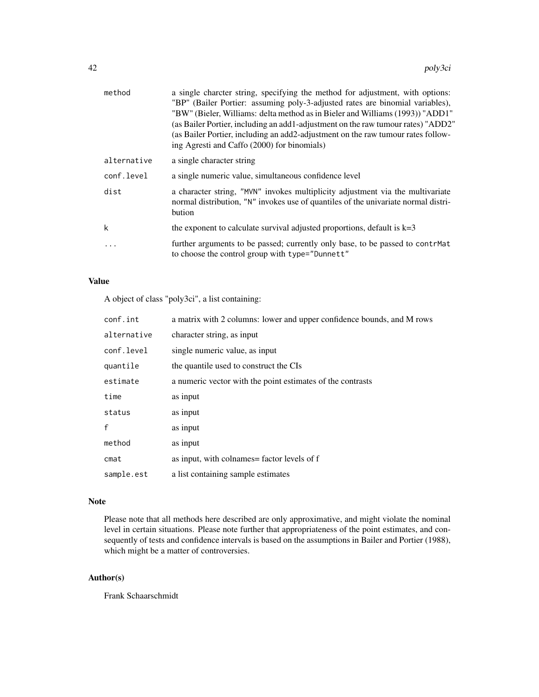| method      | a single charcter string, specifying the method for adjustment, with options:<br>"BP" (Bailer Portier: assuming poly-3-adjusted rates are binomial variables),<br>"BW" (Bieler, Williams: delta method as in Bieler and Williams (1993)) "ADD1"<br>(as Bailer Portier, including an add1-adjustment on the raw tumour rates) "ADD2"<br>(as Bailer Portier, including an add2-adjustment on the raw tumour rates follow-<br>ing Agresti and Caffo (2000) for binomials) |
|-------------|------------------------------------------------------------------------------------------------------------------------------------------------------------------------------------------------------------------------------------------------------------------------------------------------------------------------------------------------------------------------------------------------------------------------------------------------------------------------|
| alternative | a single character string                                                                                                                                                                                                                                                                                                                                                                                                                                              |
| conf.level  | a single numeric value, simultaneous confidence level                                                                                                                                                                                                                                                                                                                                                                                                                  |
| dist        | a character string, "MVN" invokes multiplicity adjustment via the multivariate<br>normal distribution, "N" invokes use of quantiles of the univariate normal distri-<br>bution                                                                                                                                                                                                                                                                                         |
| k           | the exponent to calculate survival adjusted proportions, default is $k=3$                                                                                                                                                                                                                                                                                                                                                                                              |
| $\cdot$     | further arguments to be passed; currently only base, to be passed to contrMat<br>to choose the control group with type="Dunnett"                                                                                                                                                                                                                                                                                                                                       |

# Value

A object of class "poly3ci", a list containing:

| conf.int     | a matrix with 2 columns: lower and upper confidence bounds, and M rows |
|--------------|------------------------------------------------------------------------|
| alternative  | character string, as input                                             |
| conf.level   | single numeric value, as input                                         |
| quantile     | the quantile used to construct the CIs                                 |
| estimate     | a numeric vector with the point estimates of the contrasts             |
| time         | as input                                                               |
| status       | as input                                                               |
| $\mathsf{f}$ | as input                                                               |
| method       | as input                                                               |
| cmat         | as input, with colnames = factor levels of f                           |
| sample.est   | a list containing sample estimates                                     |

# Note

Please note that all methods here described are only approximative, and might violate the nominal level in certain situations. Please note further that appropriateness of the point estimates, and consequently of tests and confidence intervals is based on the assumptions in Bailer and Portier (1988), which might be a matter of controversies.

# Author(s)

Frank Schaarschmidt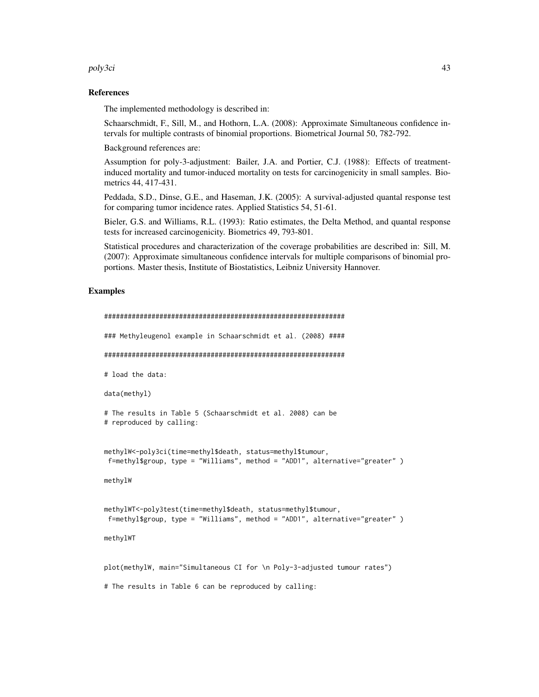poly3ci 43

### References

The implemented methodology is described in:

Schaarschmidt, F., Sill, M., and Hothorn, L.A. (2008): Approximate Simultaneous confidence intervals for multiple contrasts of binomial proportions. Biometrical Journal 50, 782-792.

Background references are:

Assumption for poly-3-adjustment: Bailer, J.A. and Portier, C.J. (1988): Effects of treatmentinduced mortality and tumor-induced mortality on tests for carcinogenicity in small samples. Biometrics 44, 417-431.

Peddada, S.D., Dinse, G.E., and Haseman, J.K. (2005): A survival-adjusted quantal response test for comparing tumor incidence rates. Applied Statistics 54, 51-61.

Bieler, G.S. and Williams, R.L. (1993): Ratio estimates, the Delta Method, and quantal response tests for increased carcinogenicity. Biometrics 49, 793-801.

Statistical procedures and characterization of the coverage probabilities are described in: Sill, M. (2007): Approximate simultaneous confidence intervals for multiple comparisons of binomial proportions. Master thesis, Institute of Biostatistics, Leibniz University Hannover.

```
#############################################################
### Methyleugenol example in Schaarschmidt et al. (2008) ####
#############################################################
# load the data:
data(methyl)
# The results in Table 5 (Schaarschmidt et al. 2008) can be
# reproduced by calling:
methylW<-poly3ci(time=methyl$death, status=methyl$tumour,
f=methyl$group, type = "Williams", method = "ADD1", alternative="greater" )
methylW
methylWT<-poly3test(time=methyl$death, status=methyl$tumour,
f=methyl$group, type = "Williams", method = "ADD1", alternative="greater" )
methylWT
plot(methylW, main="Simultaneous CI for \n Poly-3-adjusted tumour rates")
# The results in Table 6 can be reproduced by calling:
```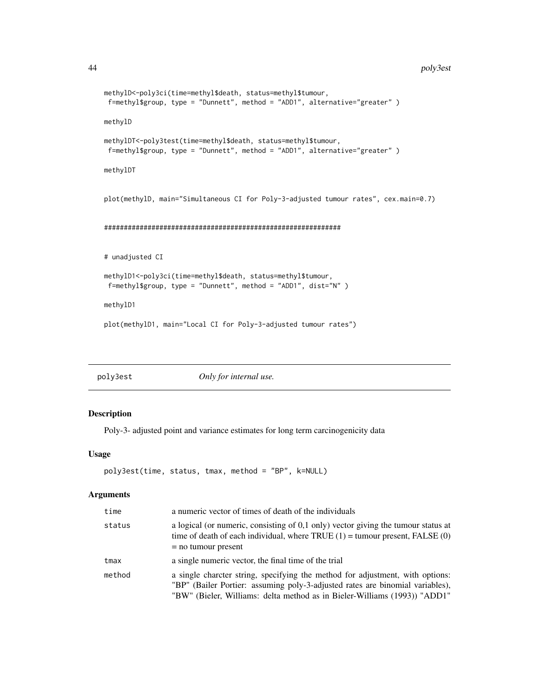```
methylD<-poly3ci(time=methyl$death, status=methyl$tumour,
f=methyl$group, type = "Dunnett", method = "ADD1", alternative="greater" )
methylD
methylDT<-poly3test(time=methyl$death, status=methyl$tumour,
f=methyl$group, type = "Dunnett", method = "ADD1", alternative="greater" )
methylDT
plot(methylD, main="Simultaneous CI for Poly-3-adjusted tumour rates", cex.main=0.7)
############################################################
# unadjusted CI
methylD1<-poly3ci(time=methyl$death, status=methyl$tumour,
f=methyl$group, type = "Dunnett", method = "ADD1", dist="N" )
methylD1
plot(methylD1, main="Local CI for Poly-3-adjusted tumour rates")
```
<span id="page-43-0"></span>poly3est *Only for internal use.*

### Description

Poly-3- adjusted point and variance estimates for long term carcinogenicity data

### Usage

```
poly3est(time, status, tmax, method = "BP", k=NULL)
```

| time   | a numeric vector of times of death of the individuals                                                                                                                                                                                       |
|--------|---------------------------------------------------------------------------------------------------------------------------------------------------------------------------------------------------------------------------------------------|
| status | a logical (or numeric, consisting of $0,1$ only) vector giving the tumour status at<br>time of death of each individual, where TRUE $(1)$ = tumour present, FALSE $(0)$<br>$=$ no tumour present                                            |
| tmax   | a single numeric vector, the final time of the trial                                                                                                                                                                                        |
| method | a single charcter string, specifying the method for adjustment, with options:<br>"BP" (Bailer Portier: assuming poly-3-adjusted rates are binomial variables),<br>"BW" (Bieler, Williams: delta method as in Bieler-Williams (1993)) "ADD1" |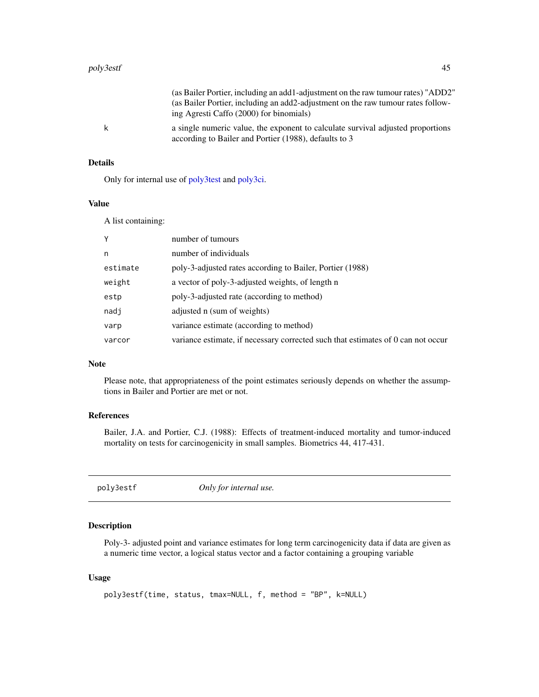|    | (as Bailer Portier, including an add1-adjustment on the raw tumour rates) "ADD2"                                                         |
|----|------------------------------------------------------------------------------------------------------------------------------------------|
|    | (as Bailer Portier, including an add2-adjustment on the raw tumour rates follow-                                                         |
|    | ing Agresti Caffo (2000) for binomials)                                                                                                  |
| k. | a single numeric value, the exponent to calculate survival adjusted proportions<br>according to Bailer and Portier (1988), defaults to 3 |

### Details

Only for internal use of [poly3test](#page-47-0) and [poly3ci.](#page-40-0)

# Value

A list containing:

| Y        | number of tumours                                                                |
|----------|----------------------------------------------------------------------------------|
| n        | number of individuals                                                            |
| estimate | poly-3-adjusted rates according to Bailer, Portier (1988)                        |
| weight   | a vector of poly-3-adjusted weights, of length n                                 |
| estp     | poly-3-adjusted rate (according to method)                                       |
| nadj     | adjusted n (sum of weights)                                                      |
| varp     | variance estimate (according to method)                                          |
| varcor   | variance estimate, if necessary corrected such that estimates of 0 can not occur |
|          |                                                                                  |

#### Note

Please note, that appropriateness of the point estimates seriously depends on whether the assumptions in Bailer and Portier are met or not.

# References

Bailer, J.A. and Portier, C.J. (1988): Effects of treatment-induced mortality and tumor-induced mortality on tests for carcinogenicity in small samples. Biometrics 44, 417-431.

poly3estf *Only for internal use.*

# Description

Poly-3- adjusted point and variance estimates for long term carcinogenicity data if data are given as a numeric time vector, a logical status vector and a factor containing a grouping variable

# Usage

```
poly3estf(time, status, tmax=NULL, f, method = "BP", k=NULL)
```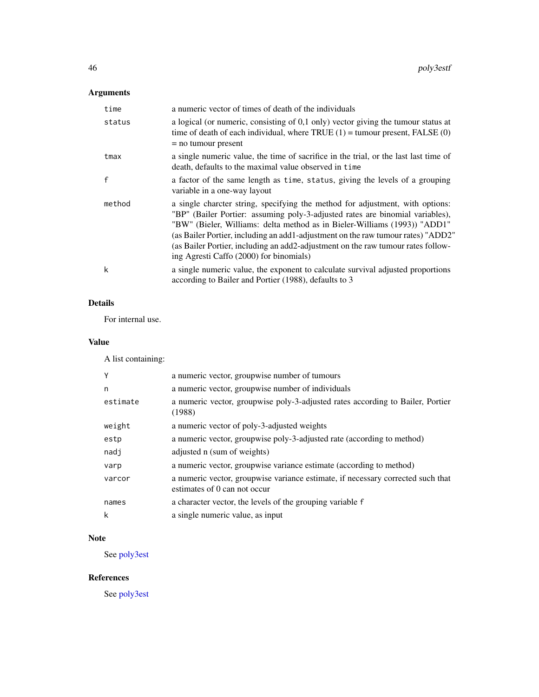# Arguments

| time         | a numeric vector of times of death of the individuals                                                                                                                                                                                                                                                                                                                                                                                                          |
|--------------|----------------------------------------------------------------------------------------------------------------------------------------------------------------------------------------------------------------------------------------------------------------------------------------------------------------------------------------------------------------------------------------------------------------------------------------------------------------|
| status       | a logical (or numeric, consisting of $0,1$ only) vector giving the tumour status at<br>time of death of each individual, where TRUE $(1)$ = tumour present, FALSE $(0)$<br>$=$ no tumour present                                                                                                                                                                                                                                                               |
| tmax         | a single numeric value, the time of sacrifice in the trial, or the last last time of<br>death, defaults to the maximal value observed in time                                                                                                                                                                                                                                                                                                                  |
| $\mathsf{f}$ | a factor of the same length as time, status, giving the levels of a grouping<br>variable in a one-way layout                                                                                                                                                                                                                                                                                                                                                   |
| method       | a single charcter string, specifying the method for adjustment, with options:<br>"BP" (Bailer Portier: assuming poly-3-adjusted rates are binomial variables),<br>"BW" (Bieler, Williams: delta method as in Bieler-Williams (1993)) "ADD1"<br>(as Bailer Portier, including an add1-adjustment on the raw tumour rates) "ADD2"<br>(as Bailer Portier, including an add2-adjustment on the raw tumour rates follow-<br>ing Agresti Caffo (2000) for binomials) |
| k            | a single numeric value, the exponent to calculate survival adjusted proportions<br>according to Bailer and Portier (1988), defaults to 3                                                                                                                                                                                                                                                                                                                       |

# Details

For internal use.

# Value

A list containing:

| Y        | a numeric vector, groupwise number of tumours                                                                   |
|----------|-----------------------------------------------------------------------------------------------------------------|
| n        | a numeric vector, groupwise number of individuals                                                               |
| estimate | a numeric vector, groupwise poly-3-adjusted rates according to Bailer, Portier<br>(1988)                        |
| weight   | a numeric vector of poly-3-adjusted weights                                                                     |
| estp     | a numeric vector, groupwise poly-3-adjusted rate (according to method)                                          |
| nadj     | adjusted n (sum of weights)                                                                                     |
| varp     | a numeric vector, groupwise variance estimate (according to method)                                             |
| varcor   | a numeric vector, groupwise variance estimate, if necessary corrected such that<br>estimates of 0 can not occur |
| names    | a character vector, the levels of the grouping variable f                                                       |
| k        | a single numeric value, as input                                                                                |

# Note

See [poly3est](#page-43-0)

# References

See [poly3est](#page-43-0)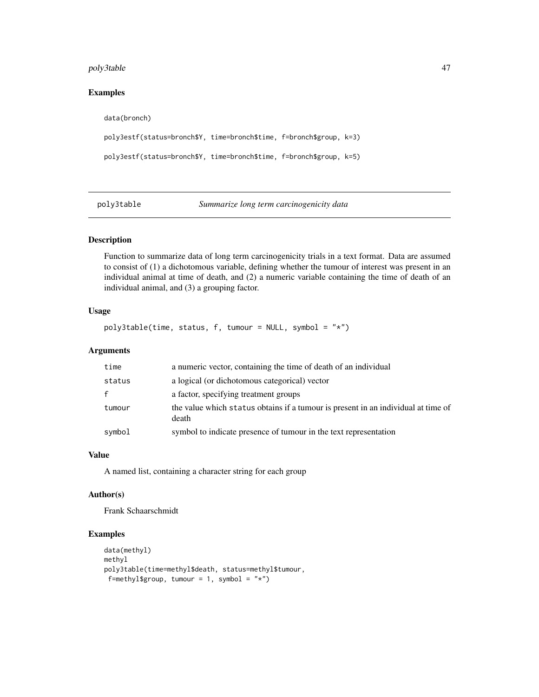# poly3table 47

# Examples

```
data(bronch)
poly3estf(status=bronch$Y, time=bronch$time, f=bronch$group, k=3)
poly3estf(status=bronch$Y, time=bronch$time, f=bronch$group, k=5)
```
poly3table *Summarize long term carcinogenicity data*

### Description

Function to summarize data of long term carcinogenicity trials in a text format. Data are assumed to consist of (1) a dichotomous variable, defining whether the tumour of interest was present in an individual animal at time of death, and (2) a numeric variable containing the time of death of an individual animal, and (3) a grouping factor.

### Usage

poly3table(time, status, f, tumour = NULL, symbol = " $*$ ")

### Arguments

| time         | a numeric vector, containing the time of death of an individual                            |
|--------------|--------------------------------------------------------------------------------------------|
| status       | a logical (or dichotomous categorical) vector                                              |
| $\mathbf{f}$ | a factor, specifying treatment groups                                                      |
| tumour       | the value which status obtains if a tumour is present in an individual at time of<br>death |
| symbol       | symbol to indicate presence of tumour in the text representation                           |

# Value

A named list, containing a character string for each group

### Author(s)

Frank Schaarschmidt

```
data(methyl)
methyl
poly3table(time=methyl$death, status=methyl$tumour,
f=methyl$group, tumour = 1, symbol = "*")
```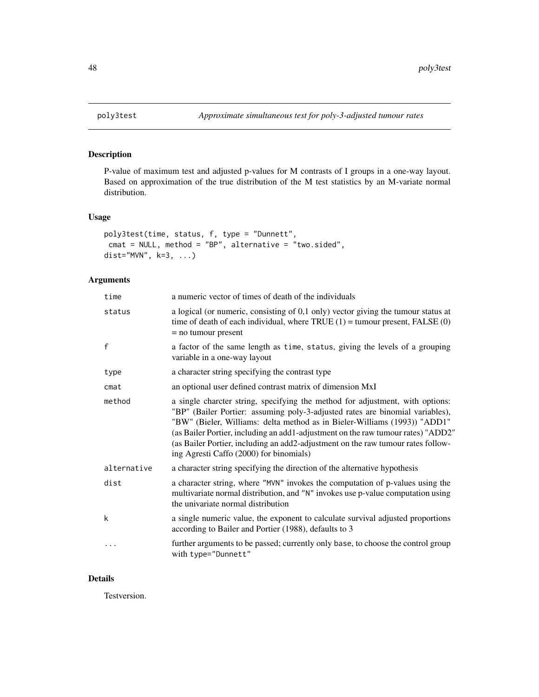# Description

P-value of maximum test and adjusted p-values for M contrasts of I groups in a one-way layout. Based on approximation of the true distribution of the M test statistics by an M-variate normal distribution.

### Usage

```
poly3test(time, status, f, type = "Dunnett",
cmat = NULL, method = "BP", alternative = "two.sided",
dist="MVN", k=3, ...)
```
# Arguments

| time         | a numeric vector of times of death of the individuals                                                                                                                                                                                                                                                                                                                                                                                                          |
|--------------|----------------------------------------------------------------------------------------------------------------------------------------------------------------------------------------------------------------------------------------------------------------------------------------------------------------------------------------------------------------------------------------------------------------------------------------------------------------|
| status       | a logical (or numeric, consisting of $0,1$ only) vector giving the tumour status at<br>time of death of each individual, where TRUE $(1)$ = tumour present, FALSE $(0)$<br>$=$ no tumour present                                                                                                                                                                                                                                                               |
| $\mathsf{f}$ | a factor of the same length as time, status, giving the levels of a grouping<br>variable in a one-way layout                                                                                                                                                                                                                                                                                                                                                   |
| type         | a character string specifying the contrast type                                                                                                                                                                                                                                                                                                                                                                                                                |
| cmat         | an optional user defined contrast matrix of dimension MxI                                                                                                                                                                                                                                                                                                                                                                                                      |
| method       | a single charcter string, specifying the method for adjustment, with options:<br>"BP" (Bailer Portier: assuming poly-3-adjusted rates are binomial variables),<br>"BW" (Bieler, Williams: delta method as in Bieler-Williams (1993)) "ADD1"<br>(as Bailer Portier, including an add1-adjustment on the raw tumour rates) "ADD2"<br>(as Bailer Portier, including an add2-adjustment on the raw tumour rates follow-<br>ing Agresti Caffo (2000) for binomials) |
| alternative  | a character string specifying the direction of the alternative hypothesis                                                                                                                                                                                                                                                                                                                                                                                      |
| dist         | a character string, where "MVN" invokes the computation of p-values using the<br>multivariate normal distribution, and "N" invokes use p-value computation using<br>the univariate normal distribution                                                                                                                                                                                                                                                         |
| k            | a single numeric value, the exponent to calculate survival adjusted proportions<br>according to Bailer and Portier (1988), defaults to 3                                                                                                                                                                                                                                                                                                                       |
| $\cdots$     | further arguments to be passed; currently only base, to choose the control group<br>with type="Dunnett"                                                                                                                                                                                                                                                                                                                                                        |

### Details

Testversion.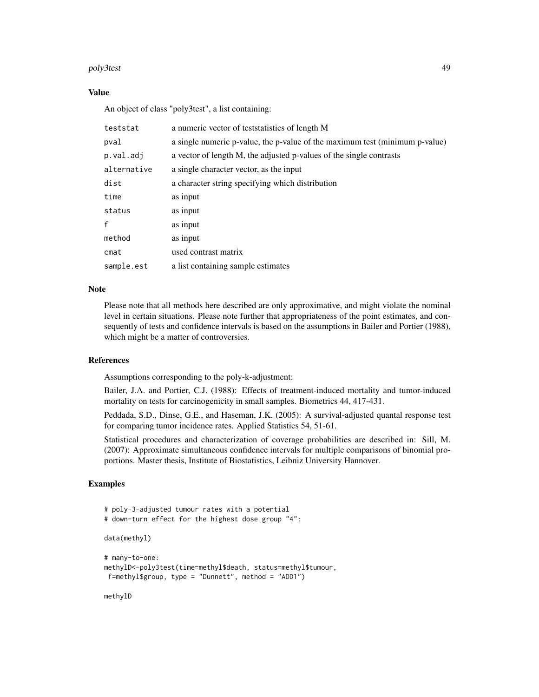#### poly3test 49

### Value

An object of class "poly3test", a list containing:

| teststat     | a numeric vector of teststatistics of length M                              |
|--------------|-----------------------------------------------------------------------------|
| pval         | a single numeric p-value, the p-value of the maximum test (minimum p-value) |
| p.val.adj    | a vector of length M, the adjusted p-values of the single contrasts         |
| alternative  | a single character vector, as the input                                     |
| dist         | a character string specifying which distribution                            |
| time         | as input                                                                    |
| status       | as input                                                                    |
| $\mathbf{f}$ | as input                                                                    |
| method       | as input                                                                    |
| cmat         | used contrast matrix                                                        |
| sample.est   | a list containing sample estimates                                          |

### **Note**

Please note that all methods here described are only approximative, and might violate the nominal level in certain situations. Please note further that appropriateness of the point estimates, and consequently of tests and confidence intervals is based on the assumptions in Bailer and Portier (1988), which might be a matter of controversies.

### References

Assumptions corresponding to the poly-k-adjustment:

Bailer, J.A. and Portier, C.J. (1988): Effects of treatment-induced mortality and tumor-induced mortality on tests for carcinogenicity in small samples. Biometrics 44, 417-431.

Peddada, S.D., Dinse, G.E., and Haseman, J.K. (2005): A survival-adjusted quantal response test for comparing tumor incidence rates. Applied Statistics 54, 51-61.

Statistical procedures and characterization of coverage probabilities are described in: Sill, M. (2007): Approximate simultaneous confidence intervals for multiple comparisons of binomial proportions. Master thesis, Institute of Biostatistics, Leibniz University Hannover.

# Examples

```
# poly-3-adjusted tumour rates with a potential
# down-turn effect for the highest dose group "4":
data(methyl)
# many-to-one:
methylD<-poly3test(time=methyl$death, status=methyl$tumour,
f=methyl$group, type = "Dunnett", method = "ADD1")
```
methylD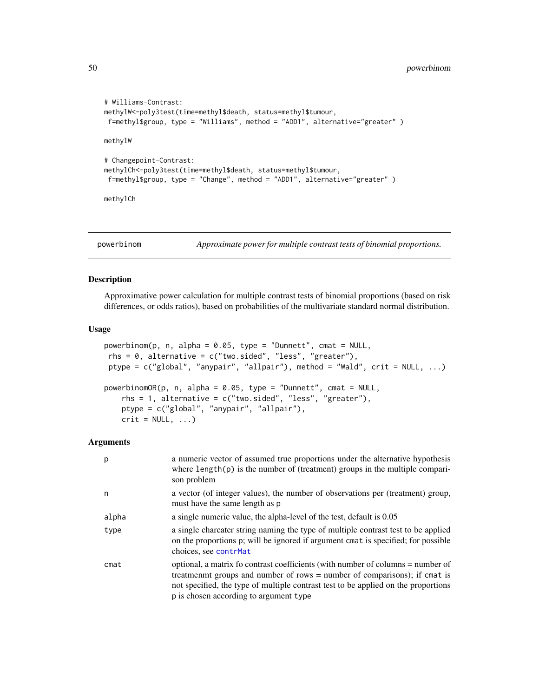```
# Williams-Contrast:
methylW<-poly3test(time=methyl$death, status=methyl$tumour,
f=methyl$group, type = "Williams", method = "ADD1", alternative="greater" )
methylW
# Changepoint-Contrast:
methylCh<-poly3test(time=methyl$death, status=methyl$tumour,
f=methyl$group, type = "Change", method = "ADD1", alternative="greater" )
```
methylCh

powerbinom *Approximate power for multiple contrast tests of binomial proportions.*

### Description

Approximative power calculation for multiple contrast tests of binomial proportions (based on risk differences, or odds ratios), based on probabilities of the multivariate standard normal distribution.

#### Usage

```
powerbinom(p, n, alpha = 0.05, type = "Dunnett", cmat = NULL,rhs = 0, alternative = c("two-sided", "less", "greater"),ptype = c("global", "anypair", "allpair"), method = "Wald", crit = NULL, ...)
powerbinomOR(p, n, alpha = 0.05, type = "Dunnett", cmat = NULL,rhs = 1, alternative = c("two-sided", "less", "greater"),ptype = c("global", "anypair", "allpair"),
   crit = NULL, ...
```

| p     | a numeric vector of assumed true proportions under the alternative hypothesis<br>where $length(p)$ is the number of (treatment) groups in the multiple compari-<br>son problem                                                                                                               |
|-------|----------------------------------------------------------------------------------------------------------------------------------------------------------------------------------------------------------------------------------------------------------------------------------------------|
| n     | a vector (of integer values), the number of observations per (treatment) group,<br>must have the same length as p                                                                                                                                                                            |
| alpha | a single numeric value, the alpha-level of the test, default is 0.05                                                                                                                                                                                                                         |
| type  | a single charcater string naming the type of multiple contrast test to be applied<br>on the proportions p; will be ignored if argument cmat is specified; for possible<br>choices, see contrMat                                                                                              |
| cmat  | optional, a matrix fo contrast coefficients (with number of columns = number of<br>treatmenmt groups and number of rows = number of comparisons); if cmat is<br>not specified, the type of multiple contrast test to be applied on the proportions<br>p is chosen according to argument type |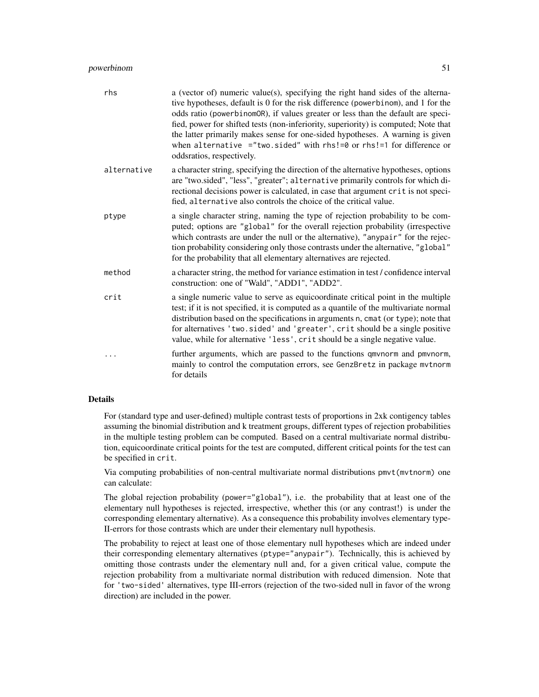### powerbinom 51

| rhs         | a (vector of) numeric value(s), specifying the right hand sides of the alterna-<br>tive hypotheses, default is 0 for the risk difference (powerbinom), and 1 for the<br>odds ratio (powerbinomOR), if values greater or less than the default are speci-<br>fied, power for shifted tests (non-inferiority, superiority) is computed; Note that<br>the latter primarily makes sense for one-sided hypotheses. A warning is given<br>when alternative $=$ "two.sided" with $rhs!=0$ or $rhs!=1$ for difference or<br>oddsratios, respectively. |
|-------------|-----------------------------------------------------------------------------------------------------------------------------------------------------------------------------------------------------------------------------------------------------------------------------------------------------------------------------------------------------------------------------------------------------------------------------------------------------------------------------------------------------------------------------------------------|
| alternative | a character string, specifying the direction of the alternative hypotheses, options<br>are "two.sided", "less", "greater"; alternative primarily controls for which di-<br>rectional decisions power is calculated, in case that argument crit is not speci-<br>fied, alternative also controls the choice of the critical value.                                                                                                                                                                                                             |
| ptype       | a single character string, naming the type of rejection probability to be com-<br>puted; options are "global" for the overall rejection probability (irrespective<br>which contrasts are under the null or the alternative), "anypair" for the rejec-<br>tion probability considering only those contrasts under the alternative, "global"<br>for the probability that all elementary alternatives are rejected.                                                                                                                              |
| method      | a character string, the method for variance estimation in test / confidence interval<br>construction: one of "Wald", "ADD1", "ADD2".                                                                                                                                                                                                                                                                                                                                                                                                          |
| crit        | a single numeric value to serve as equicoordinate critical point in the multiple<br>test; if it is not specified, it is computed as a quantile of the multivariate normal<br>distribution based on the specifications in arguments n, cmat (or type); note that<br>for alternatives 'two.sided' and 'greater', crit should be a single positive<br>value, while for alternative 'less', crit should be a single negative value.                                                                                                               |
|             | further arguments, which are passed to the functions qmvnorm and pmvnorm,<br>mainly to control the computation errors, see GenzBretz in package mvtnorm<br>for details                                                                                                                                                                                                                                                                                                                                                                        |

#### Details

For (standard type and user-defined) multiple contrast tests of proportions in 2xk contigency tables assuming the binomial distribution and k treatment groups, different types of rejection probabilities in the multiple testing problem can be computed. Based on a central multivariate normal distribution, equicoordinate critical points for the test are computed, different critical points for the test can be specified in crit.

Via computing probabilities of non-central multivariate normal distributions pmvt(mvtnorm) one can calculate:

The global rejection probability (power="global"), i.e. the probability that at least one of the elementary null hypotheses is rejected, irrespective, whether this (or any contrast!) is under the corresponding elementary alternative). As a consequence this probability involves elementary type-II-errors for those contrasts which are under their elementary null hypothesis.

The probability to reject at least one of those elementary null hypotheses which are indeed under their corresponding elementary alternatives (ptype="anypair"). Technically, this is achieved by omitting those contrasts under the elementary null and, for a given critical value, compute the rejection probability from a multivariate normal distribution with reduced dimension. Note that for 'two-sided' alternatives, type III-errors (rejection of the two-sided null in favor of the wrong direction) are included in the power.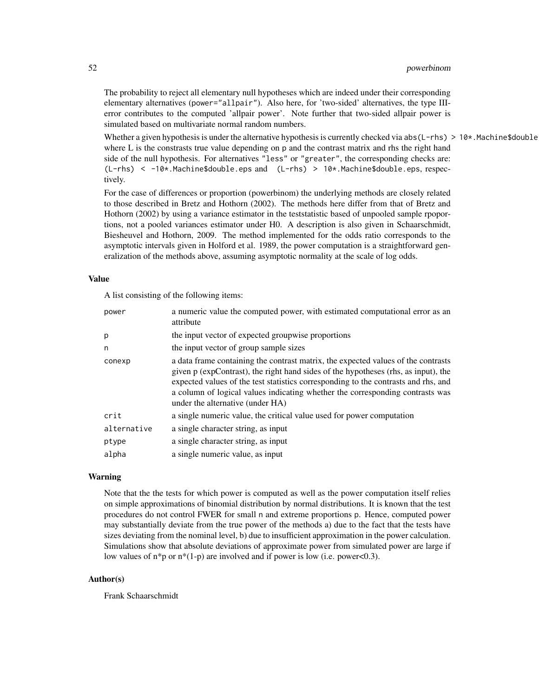The probability to reject all elementary null hypotheses which are indeed under their corresponding elementary alternatives (power="allpair"). Also here, for 'two-sided' alternatives, the type IIIerror contributes to the computed 'allpair power'. Note further that two-sided allpair power is simulated based on multivariate normal random numbers.

Whether a given hypothesis is under the alternative hypothesis is currently checked via abs(L-rhs) > 10\*. Machine\$double where L is the constrasts true value depending on p and the contrast matrix and rhs the right hand side of the null hypothesis. For alternatives "less" or "greater", the corresponding checks are: (L-rhs) < -10\*.Machine\$double.eps and (L-rhs) > 10\*.Machine\$double.eps, respectively.

For the case of differences or proportion (powerbinom) the underlying methods are closely related to those described in Bretz and Hothorn (2002). The methods here differ from that of Bretz and Hothorn (2002) by using a variance estimator in the teststatistic based of unpooled sample rpoportions, not a pooled variances estimator under H0. A description is also given in Schaarschmidt, Biesheuvel and Hothorn, 2009. The method implemented for the odds ratio corresponds to the asymptotic intervals given in Holford et al. 1989, the power computation is a straightforward generalization of the methods above, assuming asymptotic normality at the scale of log odds.

### Value

A list consisting of the following items:

| power       | a numeric value the computed power, with estimated computational error as an<br>attribute                                                                                                                                                                                                                                                                                          |
|-------------|------------------------------------------------------------------------------------------------------------------------------------------------------------------------------------------------------------------------------------------------------------------------------------------------------------------------------------------------------------------------------------|
| p           | the input vector of expected groupwise proportions                                                                                                                                                                                                                                                                                                                                 |
| n           | the input vector of group sample sizes                                                                                                                                                                                                                                                                                                                                             |
| conexp      | a data frame containing the contrast matrix, the expected values of the contrasts<br>given p (expContrast), the right hand sides of the hypotheses (rhs, as input), the<br>expected values of the test statistics corresponding to the contrasts and rhs, and<br>a column of logical values indicating whether the corresponding contrasts was<br>under the alternative (under HA) |
| crit        | a single numeric value, the critical value used for power computation                                                                                                                                                                                                                                                                                                              |
| alternative | a single character string, as input                                                                                                                                                                                                                                                                                                                                                |
| ptype       | a single character string, as input                                                                                                                                                                                                                                                                                                                                                |
| alpha       | a single numeric value, as input                                                                                                                                                                                                                                                                                                                                                   |

#### Warning

Note that the the tests for which power is computed as well as the power computation itself relies on simple approximations of binomial distribution by normal distributions. It is known that the test procedures do not control FWER for small n and extreme proportions p. Hence, computed power may substantially deviate from the true power of the methods a) due to the fact that the tests have sizes deviating from the nominal level, b) due to insufficient approximation in the power calculation. Simulations show that absolute deviations of approximate power from simulated power are large if low values of  $n*p$  or  $n*(1-p)$  are involved and if power is low (i.e. power<0.3).

### Author(s)

Frank Schaarschmidt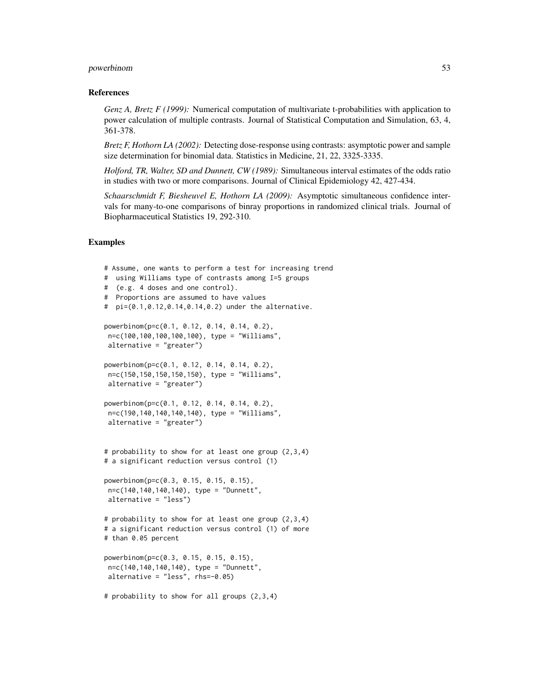#### powerbinom 53

#### References

*Genz A, Bretz F (1999):* Numerical computation of multivariate t-probabilities with application to power calculation of multiple contrasts. Journal of Statistical Computation and Simulation, 63, 4, 361-378.

*Bretz F, Hothorn LA (2002):* Detecting dose-response using contrasts: asymptotic power and sample size determination for binomial data. Statistics in Medicine, 21, 22, 3325-3335.

*Holford, TR, Walter, SD and Dunnett, CW (1989):* Simultaneous interval estimates of the odds ratio in studies with two or more comparisons. Journal of Clinical Epidemiology 42, 427-434.

*Schaarschmidt F, Biesheuvel E, Hothorn LA (2009):* Asymptotic simultaneous confidence intervals for many-to-one comparisons of binray proportions in randomized clinical trials. Journal of Biopharmaceutical Statistics 19, 292-310.

```
# Assume, one wants to perform a test for increasing trend
# using Williams type of contrasts among I=5 groups
# (e.g. 4 doses and one control).
# Proportions are assumed to have values
# pi=(0.1,0.12,0.14,0.14,0.2) under the alternative.
powerbinom(p=c(0.1, 0.12, 0.14, 0.14, 0.2),
n=c(100,100,100,100,100), type = "Williams",
 alternative = "greater")
powerbinom(p=c(0.1, 0.12, 0.14, 0.14, 0.2),
n=c(150,150,150,150,150), type = "Williams",
 alternative = "greater")
powerbinom(p=c(0.1, 0.12, 0.14, 0.14, 0.2),
n=c(190,140,140,140,140), type = "Williams",
 alternative = "greater")
# probability to show for at least one group (2,3,4)
# a significant reduction versus control (1)
powerbinom(p=c(0.3, 0.15, 0.15, 0.15),
n=c(140,140,140,140), type = "Dunnett",
 alternative = "less")
# probability to show for at least one group (2,3,4)
# a significant reduction versus control (1) of more
# than 0.05 percent
powerbinom(p=c(0.3, 0.15, 0.15, 0.15),
n=c(140,140,140,140), type = "Dunnett",
alternative = "less", rhs=-0.05)
# probability to show for all groups (2,3,4)
```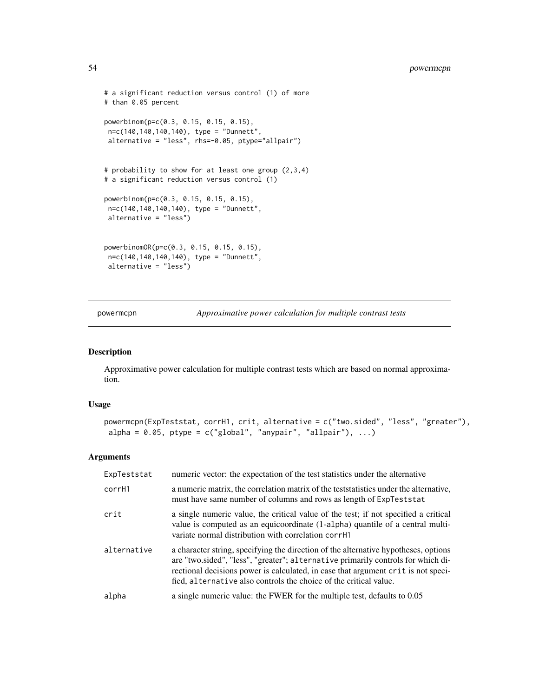```
# a significant reduction versus control (1) of more
# than 0.05 percent
powerbinom(p=c(0.3, 0.15, 0.15, 0.15),
n=c(140,140,140,140), type = "Dunnett",
alternative = "less", rhs=-0.05, ptype="allpair")
# probability to show for at least one group (2,3,4)
# a significant reduction versus control (1)
powerbinom(p=c(0.3, 0.15, 0.15, 0.15),
n=c(140,140,140,140), type = "Dunnett",
alternative = "less")
powerbinomOR(p=c(0.3, 0.15, 0.15, 0.15),
n=c(140,140,140,140), type = "Dunnett",
alternative = "less")
```
powermcpn *Approximative power calculation for multiple contrast tests*

#### Description

Approximative power calculation for multiple contrast tests which are based on normal approximation.

#### Usage

```
powermcpn(ExpTeststat, corrH1, crit, alternative = c("two.sided", "less", "greater"),
alpha = 0.05, ptype = c("global", "anypair", "allpair"), ...)
```

| ExpTeststat | numeric vector: the expectation of the test statistics under the alternative                                                                                                                                                                                                                                                      |
|-------------|-----------------------------------------------------------------------------------------------------------------------------------------------------------------------------------------------------------------------------------------------------------------------------------------------------------------------------------|
| corrH1      | a numeric matrix, the correlation matrix of the test statistics under the alternative,<br>must have same number of columns and rows as length of ExpTest stat                                                                                                                                                                     |
| crit        | a single numeric value, the critical value of the test; if not specified a critical<br>value is computed as an equicoordinate (1-alpha) quantile of a central multi-<br>variate normal distribution with correlation corrH1                                                                                                       |
| alternative | a character string, specifying the direction of the alternative hypotheses, options<br>are "two.sided", "less", "greater"; alternative primarily controls for which di-<br>rectional decisions power is calculated, in case that argument crit is not speci-<br>fied, alternative also controls the choice of the critical value. |
| alpha       | a single numeric value: the FWER for the multiple test, defaults to 0.05                                                                                                                                                                                                                                                          |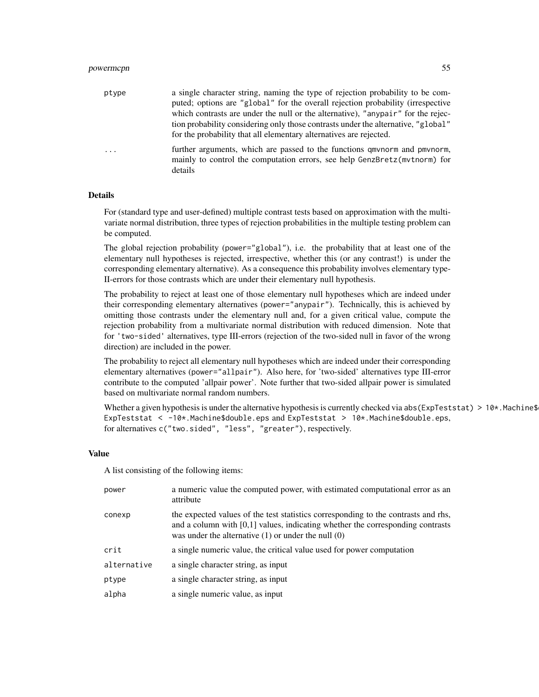| ptype   | a single character string, naming the type of rejection probability to be com-<br>puted; options are "global" for the overall rejection probability (irrespective<br>which contrasts are under the null or the alternative), "anypair" for the rejec-<br>"globality considering only those contrasts under the alternative, "global"<br>for the probability that all elementary alternatives are rejected. |
|---------|------------------------------------------------------------------------------------------------------------------------------------------------------------------------------------------------------------------------------------------------------------------------------------------------------------------------------------------------------------------------------------------------------------|
| $\cdot$ | further arguments, which are passed to the functions gmynorm and pmynorm,<br>mainly to control the computation errors, see help GenzBretz(mythorm) for<br>details                                                                                                                                                                                                                                          |

#### Details

For (standard type and user-defined) multiple contrast tests based on approximation with the multivariate normal distribution, three types of rejection probabilities in the multiple testing problem can be computed.

The global rejection probability (power="global"), i.e. the probability that at least one of the elementary null hypotheses is rejected, irrespective, whether this (or any contrast!) is under the corresponding elementary alternative). As a consequence this probability involves elementary type-II-errors for those contrasts which are under their elementary null hypothesis.

The probability to reject at least one of those elementary null hypotheses which are indeed under their corresponding elementary alternatives (power="anypair"). Technically, this is achieved by omitting those contrasts under the elementary null and, for a given critical value, compute the rejection probability from a multivariate normal distribution with reduced dimension. Note that for 'two-sided' alternatives, type III-errors (rejection of the two-sided null in favor of the wrong direction) are included in the power.

The probability to reject all elementary null hypotheses which are indeed under their corresponding elementary alternatives (power="allpair"). Also here, for 'two-sided' alternatives type III-error contribute to the computed 'allpair power'. Note further that two-sided allpair power is simulated based on multivariate normal random numbers.

Whether a given hypothesis is under the alternative hypothesis is currently checked via abs (ExpTeststat) > 10 $*$ . Machine\$ ExpTeststat < -10\*.Machine\$double.eps and ExpTeststat > 10\*.Machine\$double.eps, for alternatives c("two.sided", "less", "greater"), respectively.

#### Value

A list consisting of the following items:

| power       | a numeric value the computed power, with estimated computational error as an<br>attribute                                                                                                                                         |
|-------------|-----------------------------------------------------------------------------------------------------------------------------------------------------------------------------------------------------------------------------------|
| conexp      | the expected values of the test statistics corresponding to the contrasts and rhs,<br>and a column with $[0,1]$ values, indicating whether the corresponding contrasts<br>was under the alternative $(1)$ or under the null $(0)$ |
| crit        | a single numeric value, the critical value used for power computation                                                                                                                                                             |
| alternative | a single character string, as input                                                                                                                                                                                               |
| ptype       | a single character string, as input                                                                                                                                                                                               |
| alpha       | a single numeric value, as input                                                                                                                                                                                                  |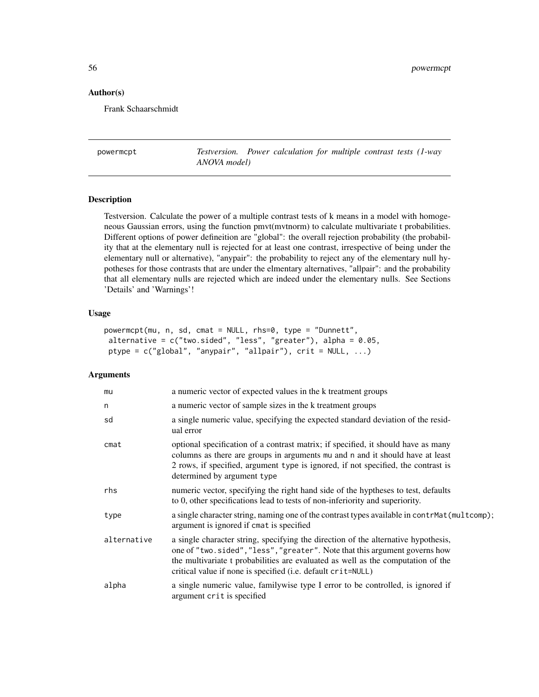### Author(s)

Frank Schaarschmidt

powermcpt *Testversion. Power calculation for multiple contrast tests (1-way ANOVA model)*

## **Description**

Testversion. Calculate the power of a multiple contrast tests of k means in a model with homogeneous Gaussian errors, using the function pmvt(mvtnorm) to calculate multivariate t probabilities. Different options of power defineition are "global": the overall rejection probability (the probability that at the elementary null is rejected for at least one contrast, irrespective of being under the elementary null or alternative), "anypair": the probability to reject any of the elementary null hypotheses for those contrasts that are under the elmentary alternatives, "allpair": and the probability that all elementary nulls are rejected which are indeed under the elementary nulls. See Sections 'Details' and 'Warnings'!

### Usage

```
powermcpt(mu, n, sd, cmat = NULL, rhs=0, type = "Dunnett",
alternative = c("two.sided", "less", "greater"), alpha = 0.05,ptype = c("global", "anypair", "allpair"), crit = NULL, ...)
```

| mu          | a numeric vector of expected values in the k treatment groups                                                                                                                                                                                                                                                        |
|-------------|----------------------------------------------------------------------------------------------------------------------------------------------------------------------------------------------------------------------------------------------------------------------------------------------------------------------|
| n           | a numeric vector of sample sizes in the k treatment groups                                                                                                                                                                                                                                                           |
| sd          | a single numeric value, specifying the expected standard deviation of the resid-<br>ual error                                                                                                                                                                                                                        |
| cmat        | optional specification of a contrast matrix; if specified, it should have as many<br>columns as there are groups in arguments mu and n and it should have at least<br>2 rows, if specified, argument type is ignored, if not specified, the contrast is<br>determined by argument type                               |
| rhs         | numeric vector, specifying the right hand side of the hyptheses to test, defaults<br>to 0, other specifications lead to tests of non-inferiority and superiority.                                                                                                                                                    |
| type        | a single character string, naming one of the contrast types available in contrMat(multcomp);<br>argument is ignored if cmat is specified                                                                                                                                                                             |
| alternative | a single character string, specifying the direction of the alternative hypothesis,<br>one of "two.sided", "less", "greater". Note that this argument governs how<br>the multivariate t probabilities are evaluated as well as the computation of the<br>critical value if none is specified (i.e. default crit=NULL) |
| alpha       | a single numeric value, familywise type I error to be controlled, is ignored if<br>argument crit is specified                                                                                                                                                                                                        |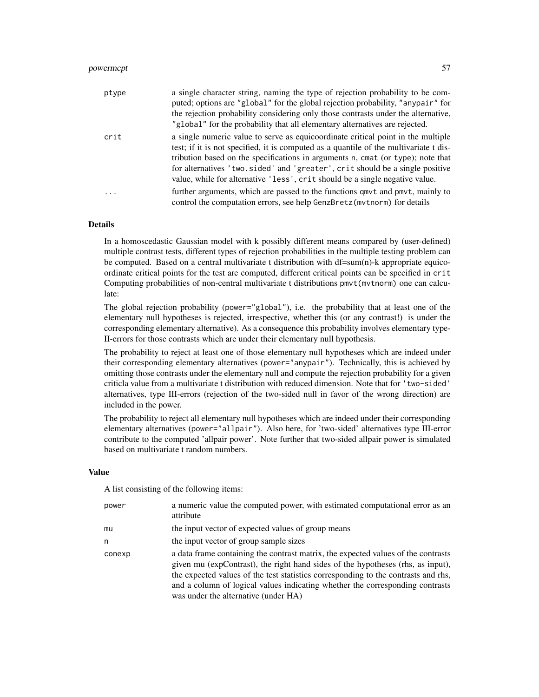# powermcpt 57

| ptype   | a single character string, naming the type of rejection probability to be com-<br>puted; options are "global" for the global rejection probability, "any pair" for<br>the rejection probability considering only those contrasts under the alternative,<br>"global" for the probability that all elementary alternatives are rejected.                                                                                       |
|---------|------------------------------------------------------------------------------------------------------------------------------------------------------------------------------------------------------------------------------------------------------------------------------------------------------------------------------------------------------------------------------------------------------------------------------|
| crit    | a single numeric value to serve as equicoordinate critical point in the multiple<br>test; if it is not specified, it is computed as a quantile of the multivariate t dis-<br>tribution based on the specifications in arguments n, cmat (or type); note that<br>for alternatives 'two.sided' and 'greater', crit should be a single positive<br>value, while for alternative 'less', crit should be a single negative value. |
| $\cdot$ | further arguments, which are passed to the functions gmvt and pmvt, mainly to<br>control the computation errors, see help GenzBretz (mythorm) for details                                                                                                                                                                                                                                                                    |

#### Details

In a homoscedastic Gaussian model with k possibly different means compared by (user-defined) multiple contrast tests, different types of rejection probabilities in the multiple testing problem can be computed. Based on a central multivariate t distribution with df=sum(n)-k appropriate equicoordinate critical points for the test are computed, different critical points can be specified in crit Computing probabilities of non-central multivariate t distributions pmvt(mvtnorm) one can calculate:

The global rejection probability (power="global"), i.e. the probability that at least one of the elementary null hypotheses is rejected, irrespective, whether this (or any contrast!) is under the corresponding elementary alternative). As a consequence this probability involves elementary type-II-errors for those contrasts which are under their elementary null hypothesis.

The probability to reject at least one of those elementary null hypotheses which are indeed under their corresponding elementary alternatives (power="anypair"). Technically, this is achieved by omitting those contrasts under the elementary null and compute the rejection probability for a given criticla value from a multivariate t distribution with reduced dimension. Note that for 'two-sided' alternatives, type III-errors (rejection of the two-sided null in favor of the wrong direction) are included in the power.

The probability to reject all elementary null hypotheses which are indeed under their corresponding elementary alternatives (power="allpair"). Also here, for 'two-sided' alternatives type III-error contribute to the computed 'allpair power'. Note further that two-sided allpair power is simulated based on multivariate t random numbers.

### Value

A list consisting of the following items:

| power  | a numeric value the computed power, with estimated computational error as an<br>attribute                                                                                                                                                                                                                                                                                           |
|--------|-------------------------------------------------------------------------------------------------------------------------------------------------------------------------------------------------------------------------------------------------------------------------------------------------------------------------------------------------------------------------------------|
| mu     | the input vector of expected values of group means                                                                                                                                                                                                                                                                                                                                  |
| n      | the input vector of group sample sizes                                                                                                                                                                                                                                                                                                                                              |
| conexp | a data frame containing the contrast matrix, the expected values of the contrasts<br>given mu (expContrast), the right hand sides of the hypotheses (rhs, as input),<br>the expected values of the test statistics corresponding to the contrasts and rhs,<br>and a column of logical values indicating whether the corresponding contrasts<br>was under the alternative (under HA) |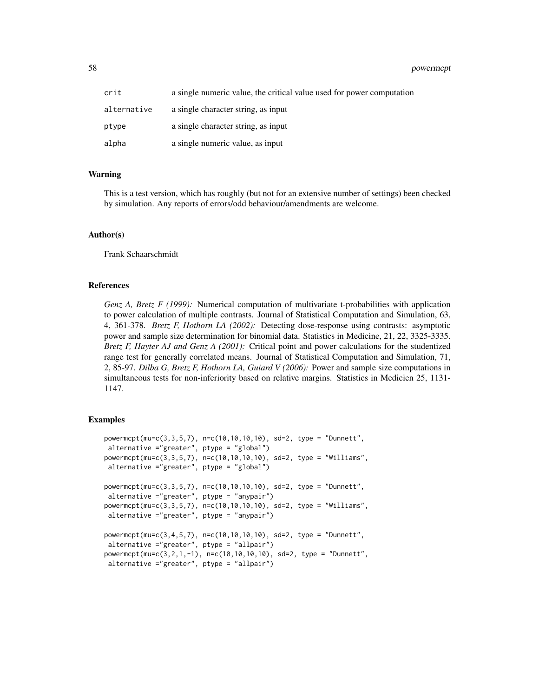58 powermcpt and the contract of the contract of the contract of the contract of the contract of the contract of the contract of the contract of the contract of the contract of the contract of the contract of the contract

| crit        | a single numeric value, the critical value used for power computation |
|-------------|-----------------------------------------------------------------------|
| alternative | a single character string, as input                                   |
| ptype       | a single character string, as input                                   |
| alpha       | a single numeric value, as input                                      |

### Warning

This is a test version, which has roughly (but not for an extensive number of settings) been checked by simulation. Any reports of errors/odd behaviour/amendments are welcome.

#### Author(s)

Frank Schaarschmidt

#### References

*Genz A, Bretz F (1999):* Numerical computation of multivariate t-probabilities with application to power calculation of multiple contrasts. Journal of Statistical Computation and Simulation, 63, 4, 361-378. *Bretz F, Hothorn LA (2002):* Detecting dose-response using contrasts: asymptotic power and sample size determination for binomial data. Statistics in Medicine, 21, 22, 3325-3335. *Bretz F, Hayter AJ and Genz A (2001):* Critical point and power calculations for the studentized range test for generally correlated means. Journal of Statistical Computation and Simulation, 71, 2, 85-97. *Dilba G, Bretz F, Hothorn LA, Guiard V (2006):* Power and sample size computations in simultaneous tests for non-inferiority based on relative margins. Statistics in Medicien 25, 1131- 1147.

```
powermcpt(mu=c(3,3,5,7), n=c(10,10,10,10), sd=2, type = "Dunnett",
alternative ="greater", ptype = "global")
powermcpt(mu=c(3,3,5,7), n=c(10,10,10,10), sd=2, type = "Williams",
alternative ="greater", ptype = "global")
powermcpt(mu=c(3,3,5,7), n=c(10,10,10,10), sd=2, type = "Dunnett",
 alternative ="greater", ptype = "anypair")
powermcpt(mu=c(3,3,5,7), n=c(10,10,10,10), sd=2, type = "Williams",
alternative ="greater", ptype = "anypair")
powermcpt(mu=c(3,4,5,7), n=c(10,10,10,10), sd=2, type = "Dunnett",
alternative ="greater", ptype = "allpair")
powermcpt(mu=c(3,2,1,-1), n=c(10,10,10,10), sd=2, type = "Dunnett",
 alternative ="greater", ptype = "allpair")
```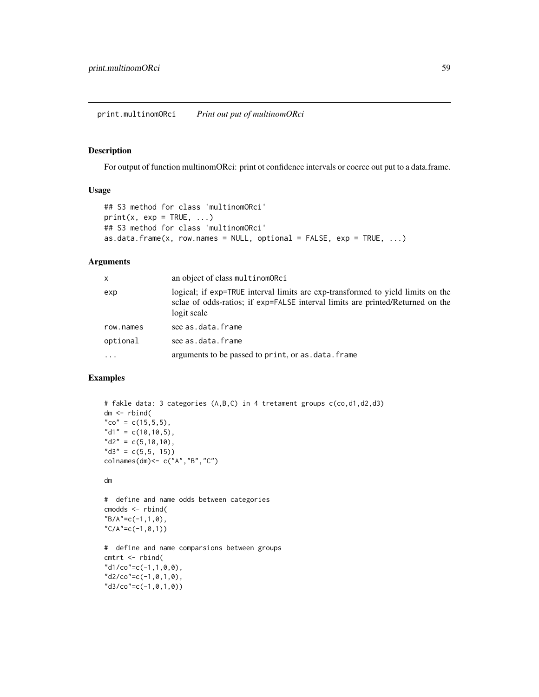## Description

For output of function multinomORci: print ot confidence intervals or coerce out put to a data.frame.

### Usage

```
## S3 method for class 'multinomORci'
print(x, exp = TRUE, ...)## S3 method for class 'multinomORci'
as.data.frame(x, row.names = NULL, optional = FALSE, exp = TRUE, ...)
```
### Arguments

| $\mathsf{x}$ | an object of class multinomORci                                                                                                                                                  |
|--------------|----------------------------------------------------------------------------------------------------------------------------------------------------------------------------------|
| exp          | logical; if exp=TRUE interval limits are exp-transformed to yield limits on the<br>sclae of odds-ratios; if exp=FALSE interval limits are printed/Returned on the<br>logit scale |
| row.names    | see as.data.frame                                                                                                                                                                |
| optional     | see as.data.frame                                                                                                                                                                |
| .            | arguments to be passed to print, or as . data. frame                                                                                                                             |

```
# fakle data: 3 categories (A,B,C) in 4 tretament groups c(co,d1,d2,d3)
dm <- rbind(
"co" = c(15, 5, 5),
"d1" = c(10, 10, 5),
"d2" = c(5,10,10),
"d3" = c(5,5, 15))colnames(dm)<- c("A","B","C")
dm
# define and name odds between categories
cmodds <- rbind(
"B/A" = c(-1,1,0),
"C/A" = c(-1, 0, 1))# define and name comparsions between groups
cmtrt <- rbind(
"d1/co" = c(-1,1,0,0),
"d2/co" = c(-1, 0, 1, 0),
"d3/co"=c(-1,0,1,0))
```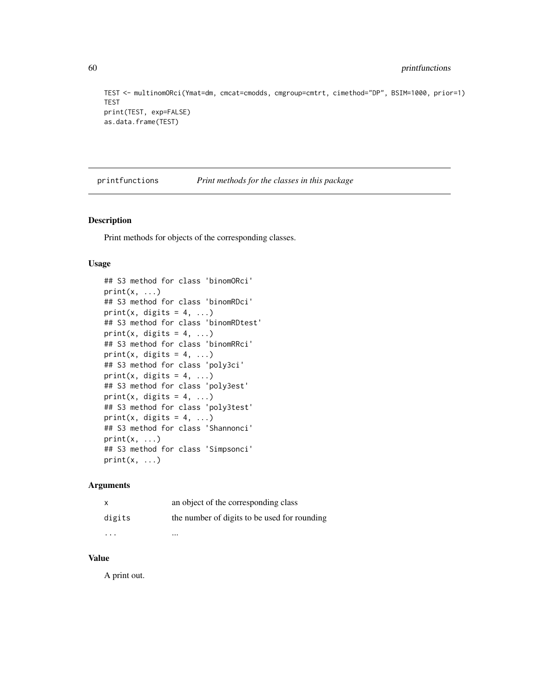```
TEST <- multinomORci(Ymat=dm, cmcat=cmodds, cmgroup=cmtrt, cimethod="DP", BSIM=1000, prior=1)
TEST
print(TEST, exp=FALSE)
as.data.frame(TEST)
```
printfunctions *Print methods for the classes in this package*

#### Description

Print methods for objects of the corresponding classes.

### Usage

```
## S3 method for class 'binomORci'
print(x, \ldots)## S3 method for class 'binomRDci'
print(x, digits = 4, ...)
## S3 method for class 'binomRDtest'
print(x, digits = 4, ...)
## S3 method for class 'binomRRci'
print(x, digits = 4, ...)
## S3 method for class 'poly3ci'
print(x, digits = 4, ...)
## S3 method for class 'poly3est'
print(x, digits = 4, ...)
## S3 method for class 'poly3test'
print(x, digits = 4, ...)
## S3 method for class 'Shannonci'
print(x, \ldots)## S3 method for class 'Simpsonci'
print(x, \ldots)
```
#### Arguments

| X      | an object of the corresponding class         |
|--------|----------------------------------------------|
| digits | the number of digits to be used for rounding |
| .      | $\cdots$                                     |

# Value

A print out.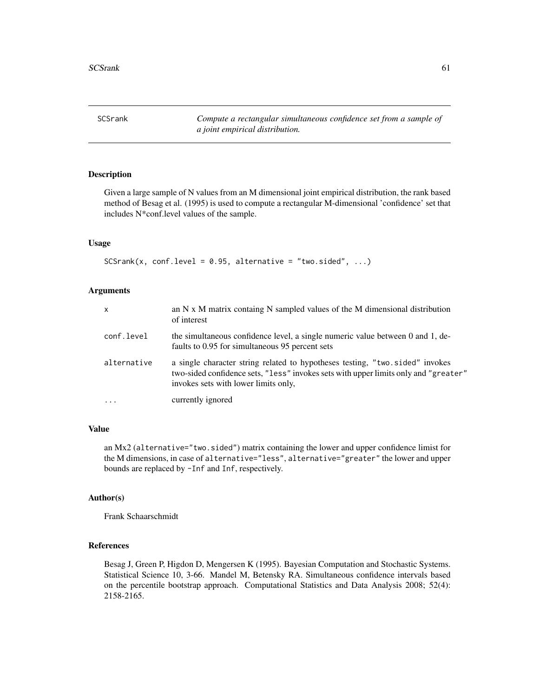SCSrank *Compute a rectangular simultaneous confidence set from a sample of a joint empirical distribution.*

# Description

Given a large sample of N values from an M dimensional joint empirical distribution, the rank based method of Besag et al. (1995) is used to compute a rectangular M-dimensional 'confidence' set that includes N\*conf.level values of the sample.

### Usage

 $SCSrank(x, conf.level = 0.95, alternative = "two.sided", ...)$ 

# Arguments

| $\mathsf{x}$ | an $N \times M$ matrix containg $N$ sampled values of the M dimensional distribution<br>of interest                                                                                                         |
|--------------|-------------------------------------------------------------------------------------------------------------------------------------------------------------------------------------------------------------|
| conf.level   | the simultaneous confidence level, a single numeric value between 0 and 1, de-<br>faults to 0.95 for simultaneous 95 percent sets                                                                           |
| alternative  | a single character string related to hypotheses testing, "two.sided" invokes<br>two-sided confidence sets, "less" invokes sets with upper limits only and "greater"<br>invokes sets with lower limits only, |
| $\ddotsc$    | currently ignored                                                                                                                                                                                           |

### Value

an Mx2 (alternative="two.sided") matrix containing the lower and upper confidence limist for the M dimensions, in case of alternative="less", alternative="greater" the lower and upper bounds are replaced by -Inf and Inf, respectively.

## Author(s)

Frank Schaarschmidt

### References

Besag J, Green P, Higdon D, Mengersen K (1995). Bayesian Computation and Stochastic Systems. Statistical Science 10, 3-66. Mandel M, Betensky RA. Simultaneous confidence intervals based on the percentile bootstrap approach. Computational Statistics and Data Analysis 2008; 52(4): 2158-2165.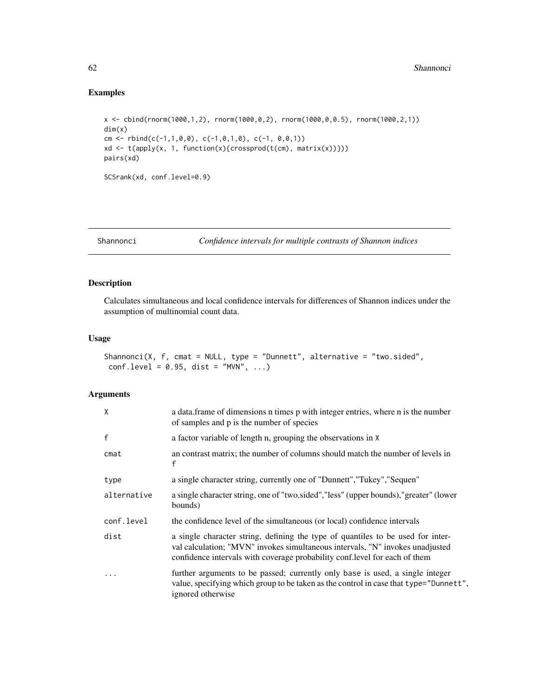# Examples

```
x <- cbind(rnorm(1000,1,2), rnorm(1000,0,2), rnorm(1000,0,0.5), rnorm(1000,2,1))
dim(x)
cm <- rbind(c(-1,1,0,0), c(-1,0,1,0), c(-1, 0,0,1))
xd <- t(apply(x, 1, function(x){crossprod(t(cm), matrix(x))}))
pairs(xd)
SCSrank(xd, conf.level=0.9)
```
<span id="page-61-0"></span>Shannonci *Confidence intervals for multiple contrasts of Shannon indices*

# Description

Calculates simultaneous and local confidence intervals for differences of Shannon indices under the assumption of multinomial count data.

# Usage

```
Shannonci(X, f, cmat = NULL, type = "Dunnett", alternative = "two.sided",
conf. level = 0.95, dist = "MVN", ...)
```

| X            | a data.frame of dimensions n times p with integer entries, where n is the number<br>of samples and p is the number of species                                                                                                                   |
|--------------|-------------------------------------------------------------------------------------------------------------------------------------------------------------------------------------------------------------------------------------------------|
| $\mathsf{f}$ | a factor variable of length n, grouping the observations in X                                                                                                                                                                                   |
| cmat         | an contrast matrix; the number of columns should match the number of levels in<br>f                                                                                                                                                             |
| type         | a single character string, currently one of "Dunnett", "Tukey", "Sequen"                                                                                                                                                                        |
| alternative  | a single character string, one of "two sided", "less" (upper bounds), "greater" (lower<br>bounds)                                                                                                                                               |
| conf.level   | the confidence level of the simultaneous (or local) confidence intervals                                                                                                                                                                        |
| dist         | a single character string, defining the type of quantiles to be used for inter-<br>val calculation; "MVN" invokes simultaneous intervals, "N" invokes unadjusted<br>confidence intervals with coverage probability conf. level for each of them |
| $\cdot$      | further arguments to be passed; currently only base is used, a single integer<br>value, specifying which group to be taken as the control in case that type="Dunnett",<br>ignored otherwise                                                     |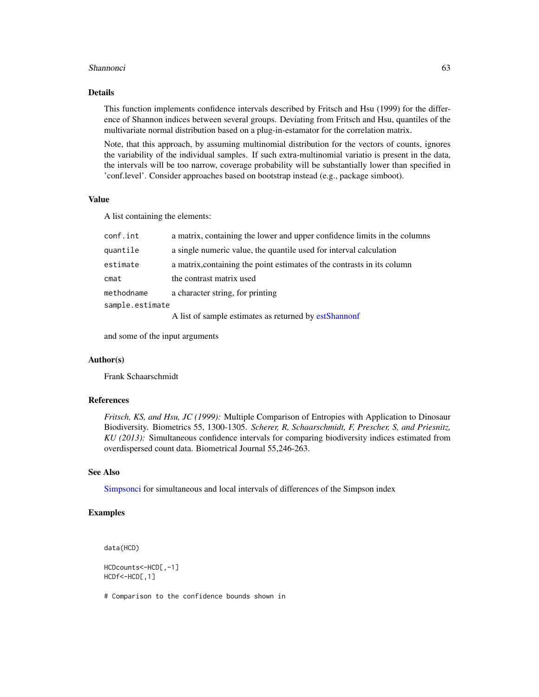#### Shannonci 63

### Details

This function implements confidence intervals described by Fritsch and Hsu (1999) for the difference of Shannon indices between several groups. Deviating from Fritsch and Hsu, quantiles of the multivariate normal distribution based on a plug-in-estamator for the correlation matrix.

Note, that this approach, by assuming multinomial distribution for the vectors of counts, ignores the variability of the individual samples. If such extra-multinomial variatio is present in the data, the intervals will be too narrow, coverage probability will be substantially lower than specified in 'conf.level'. Consider approaches based on bootstrap instead (e.g., package simboot).

#### Value

A list containing the elements:

| a matrix, containing the lower and upper confidence limits in the columns |
|---------------------------------------------------------------------------|
| a single numeric value, the quantile used for interval calculation        |
| a matrix, containing the point estimates of the contrasts in its column   |
| the contrast matrix used                                                  |
| a character string, for printing                                          |
| sample.estimate                                                           |
| A list of sample estimates as returned by estShannonf                     |
|                                                                           |

and some of the input arguments

### Author(s)

Frank Schaarschmidt

#### References

*Fritsch, KS, and Hsu, JC (1999):* Multiple Comparison of Entropies with Application to Dinosaur Biodiversity. Biometrics 55, 1300-1305. *Scherer, R, Schaarschmidt, F, Prescher, S, and Priesnitz, KU (2013):* Simultaneous confidence intervals for comparing biodiversity indices estimated from overdispersed count data. Biometrical Journal 55,246-263.

### See Also

[Simpsonci](#page-64-0) for simultaneous and local intervals of differences of the Simpson index

### Examples

data(HCD)

HCDcounts<-HCD[,-1] HCDf<-HCD[,1]

# Comparison to the confidence bounds shown in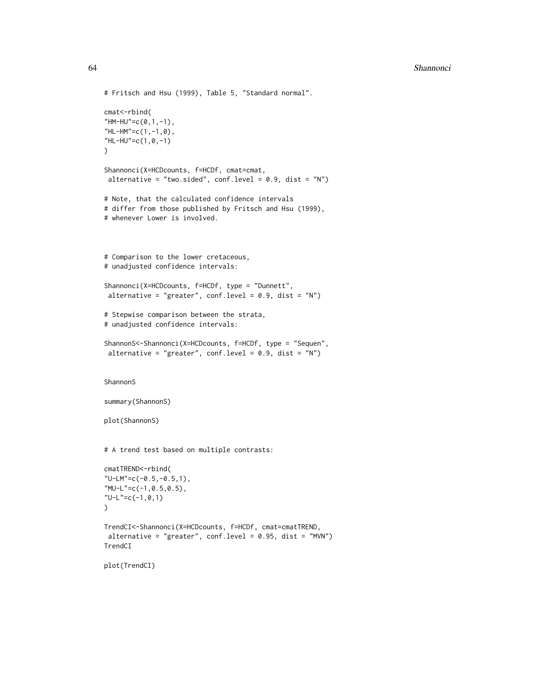```
# Fritsch and Hsu (1999), Table 5, "Standard normal".
cmat<-rbind(
"HM-HU"=c(0,1,-1),
"HL-HM"=c(1,-1,0),
"HL-HU"=c(1,0,-1)
\mathcal{L}Shannonci(X=HCDcounts, f=HCDf, cmat=cmat,
alternative = "two.sided", conf.level = 0.9, dist = "N")
# Note, that the calculated confidence intervals
# differ from those published by Fritsch and Hsu (1999),
# whenever Lower is involved.
# Comparison to the lower cretaceous,
# unadjusted confidence intervals:
Shannonci(X=HCDcounts, f=HCDf, type = "Dunnett",
 alternative = "greater", conf. level = 0.9, dist = "N")# Stepwise comparison between the strata,
# unadjusted confidence intervals:
ShannonS<-Shannonci(X=HCDcounts, f=HCDf, type = "Sequen",
 alternative = "greater", conf.level = 0.9, dist = "N")
ShannonS
summary(ShannonS)
plot(ShannonS)
# A trend test based on multiple contrasts:
cmatTREND<-rbind(
"U-LM"=c(-0.5,-0.5,1),
"MU-L"=c(-1,0.5,0.5),
"U-L"=c(-1,0,1)
)
TrendCI<-Shannonci(X=HCDcounts, f=HCDf, cmat=cmatTREND,
alternative = "greater", conf.level = 0.95, dist = "MVN")
TrendCI
plot(TrendCI)
```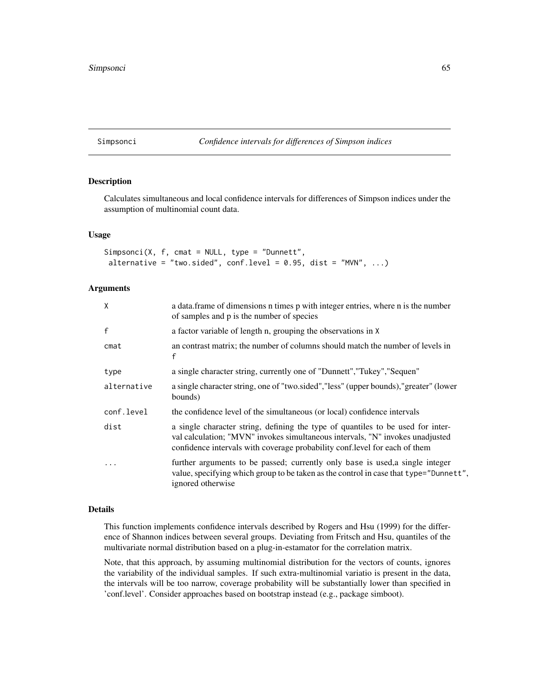### <span id="page-64-0"></span>Simpsonci *Confidence intervals for differences of Simpson indices*

### Description

Calculates simultaneous and local confidence intervals for differences of Simpson indices under the assumption of multinomial count data.

### Usage

```
Simpsonci(X, f, cmat = NULL, type = "Dunnett",
alternative = "two.sided", conf.level = 0.95, dist = "MVN", ...)
```
### **Arguments**

| X            | a data. frame of dimensions n times p with integer entries, where n is the number<br>of samples and p is the number of species                                                                                                                  |
|--------------|-------------------------------------------------------------------------------------------------------------------------------------------------------------------------------------------------------------------------------------------------|
| $\mathbf{f}$ | a factor variable of length n, grouping the observations in X                                                                                                                                                                                   |
| cmat         | an contrast matrix; the number of columns should match the number of levels in<br>f                                                                                                                                                             |
| type         | a single character string, currently one of "Dunnett", "Tukey", "Sequen"                                                                                                                                                                        |
| alternative  | a single character string, one of "two.sided", "less" (upper bounds), "greater" (lower<br>bounds)                                                                                                                                               |
| conf.level   | the confidence level of the simultaneous (or local) confidence intervals                                                                                                                                                                        |
| dist         | a single character string, defining the type of quantiles to be used for inter-<br>val calculation; "MVN" invokes simultaneous intervals, "N" invokes unadjusted<br>confidence intervals with coverage probability conf. level for each of them |
| $\ddots$ .   | further arguments to be passed; currently only base is used, a single integer<br>value, specifying which group to be taken as the control in case that type="Dunnett",<br>ignored otherwise                                                     |

## Details

This function implements confidence intervals described by Rogers and Hsu (1999) for the difference of Shannon indices between several groups. Deviating from Fritsch and Hsu, quantiles of the multivariate normal distribution based on a plug-in-estamator for the correlation matrix.

Note, that this approach, by assuming multinomial distribution for the vectors of counts, ignores the variability of the individual samples. If such extra-multinomial variatio is present in the data, the intervals will be too narrow, coverage probability will be substantially lower than specified in 'conf.level'. Consider approaches based on bootstrap instead (e.g., package simboot).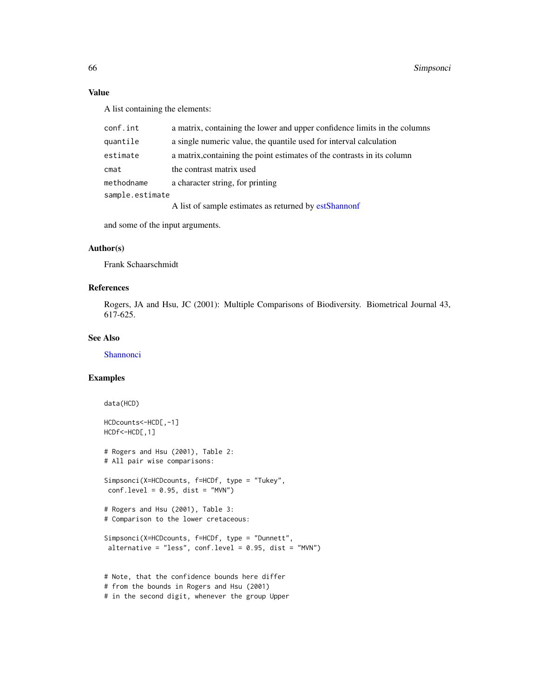### Value

A list containing the elements:

| conf.int        | a matrix, containing the lower and upper confidence limits in the columns |
|-----------------|---------------------------------------------------------------------------|
| quantile        | a single numeric value, the quantile used for interval calculation        |
| estimate        | a matrix, containing the point estimates of the contrasts in its column   |
| cmat            | the contrast matrix used                                                  |
| methodname      | a character string, for printing                                          |
| sample.estimate |                                                                           |
|                 | A list of sample estimates as returned by estShannonf                     |

and some of the input arguments.

### Author(s)

Frank Schaarschmidt

### References

Rogers, JA and Hsu, JC (2001): Multiple Comparisons of Biodiversity. Biometrical Journal 43, 617-625.

### See Also

**[Shannonci](#page-61-0)** 

```
data(HCD)
HCDcounts<-HCD[,-1]
HCDf<-HCD[,1]
# Rogers and Hsu (2001), Table 2:
# All pair wise comparisons:
Simpsonci(X=HCDcounts, f=HCDf, type = "Tukey",
 conf<math>level = 0.95, dist = "MVN")
# Rogers and Hsu (2001), Table 3:
# Comparison to the lower cretaceous:
Simpsonci(X=HCDcounts, f=HCDf, type = "Dunnett",
 alternative = "less", conf. level = 0.95, dist = "MVN")
# Note, that the confidence bounds here differ
# from the bounds in Rogers and Hsu (2001)
# in the second digit, whenever the group Upper
```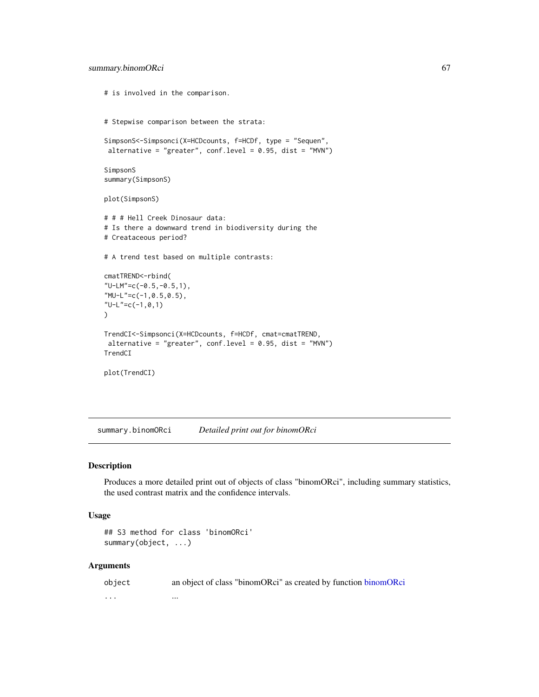```
# is involved in the comparison.
# Stepwise comparison between the strata:
SimpsonS<-Simpsonci(X=HCDcounts, f=HCDf, type = "Sequen",
alternative = "greater", conf. level = 0.95, dist = "MVN")SimpsonS
summary(SimpsonS)
plot(SimpsonS)
# # # Hell Creek Dinosaur data:
# Is there a downward trend in biodiversity during the
# Creataceous period?
# A trend test based on multiple contrasts:
cmatTREND<-rbind(
"U-LM"=c(-0.5,-0.5,1),
"MU-L"=c(-1,0.5,0.5),
"U-L"=c(-1,0,1)
)
TrendCI<-Simpsonci(X=HCDcounts, f=HCDf, cmat=cmatTREND,
alternative = "greater", conf. level = 0.95, dist = "MVN")TrendCI
plot(TrendCI)
```
summary.binomORci *Detailed print out for binomORci*

### Description

Produces a more detailed print out of objects of class "binomORci", including summary statistics, the used contrast matrix and the confidence intervals.

### Usage

```
## S3 method for class 'binomORci'
summary(object, ...)
```

| object  | an object of class "binomORci" as created by function binomORci |
|---------|-----------------------------------------------------------------|
| $\cdot$ | $\cdots$                                                        |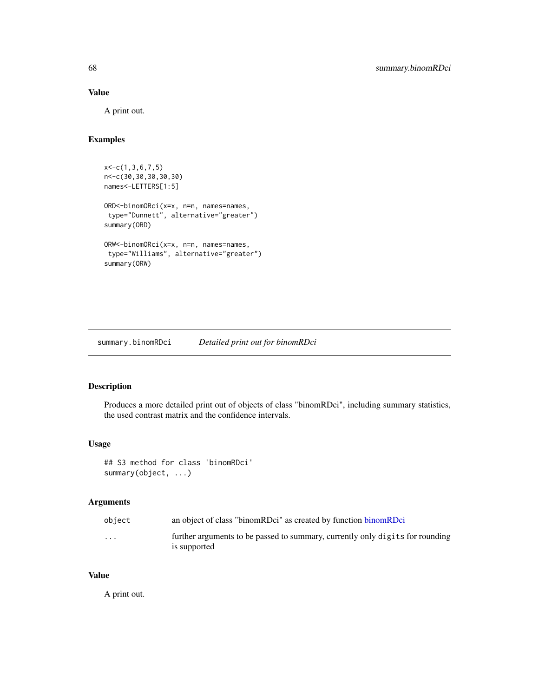# Value

A print out.

# Examples

```
x < -c(1, 3, 6, 7, 5)n<-c(30,30,30,30,30)
names<-LETTERS[1:5]
ORD<-binomORci(x=x, n=n, names=names,
type="Dunnett", alternative="greater")
summary(ORD)
ORW<-binomORci(x=x, n=n, names=names,
 type="Williams", alternative="greater")
summary(ORW)
```
summary.binomRDci *Detailed print out for binomRDci*

# Description

Produces a more detailed print out of objects of class "binomRDci", including summary statistics, the used contrast matrix and the confidence intervals.

### Usage

## S3 method for class 'binomRDci' summary(object, ...)

# Arguments

| object                  | an object of class "binomRDci" as created by function binomRDci                               |
|-------------------------|-----------------------------------------------------------------------------------------------|
| $\cdot$ $\cdot$ $\cdot$ | further arguments to be passed to summary, currently only digits for rounding<br>is supported |

# Value

A print out.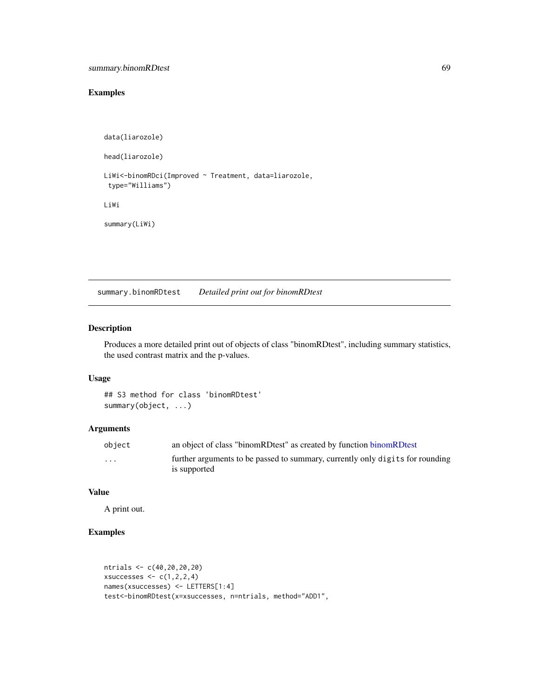# Examples

```
data(liarozole)
head(liarozole)
LiWi<-binomRDci(Improved ~ Treatment, data=liarozole,
 type="Williams")
LiWi
summary(LiWi)
```
summary.binomRDtest *Detailed print out for binomRDtest*

# Description

Produces a more detailed print out of objects of class "binomRDtest", including summary statistics, the used contrast matrix and the p-values.

## Usage

```
## S3 method for class 'binomRDtest'
summary(object, ...)
```
# Arguments

| object | an object of class "binomRDtest" as created by function binomRDtest                           |
|--------|-----------------------------------------------------------------------------------------------|
| .      | further arguments to be passed to summary, currently only digits for rounding<br>is supported |

### Value

A print out.

```
ntrials <- c(40,20,20,20)
xsuccesses \leq c(1,2,2,4)names(xsuccesses) <- LETTERS[1:4]
test<-binomRDtest(x=xsuccesses, n=ntrials, method="ADD1",
```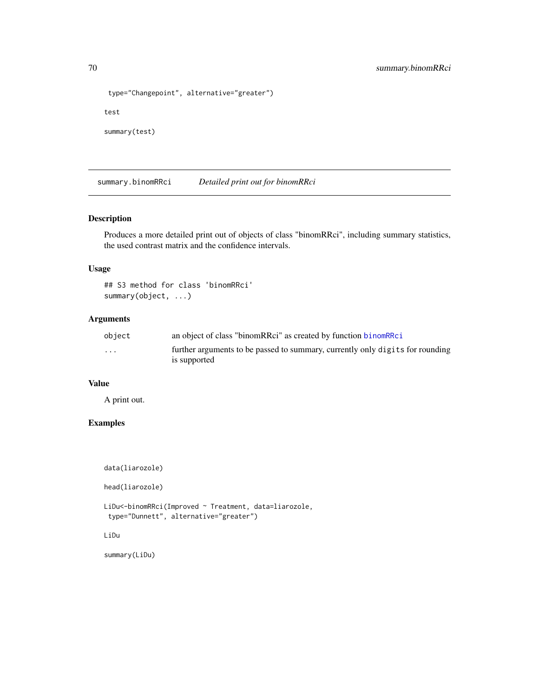```
type="Changepoint", alternative="greater")
test
summary(test)
```
summary.binomRRci *Detailed print out for binomRRci*

# Description

Produces a more detailed print out of objects of class "binomRRci", including summary statistics, the used contrast matrix and the confidence intervals.

# Usage

```
## S3 method for class 'binomRRci'
summary(object, ...)
```
# Arguments

| object   | an object of class "binomRRci" as created by function binomRRci                               |
|----------|-----------------------------------------------------------------------------------------------|
| $\cdots$ | further arguments to be passed to summary, currently only digits for rounding<br>is supported |

# Value

A print out.

# Examples

```
data(liarozole)
```
head(liarozole)

LiDu<-binomRRci(Improved ~ Treatment, data=liarozole, type="Dunnett", alternative="greater")

LiDu

summary(LiDu)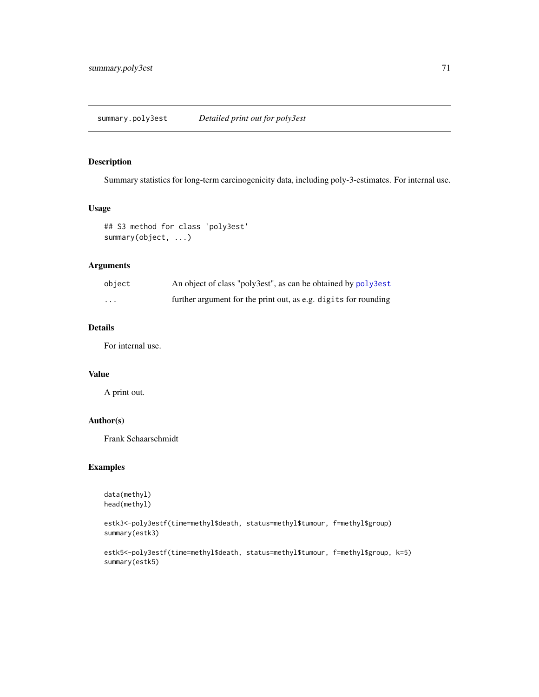### Description

Summary statistics for long-term carcinogenicity data, including poly-3-estimates. For internal use.

### Usage

```
## S3 method for class 'poly3est'
summary(object, ...)
```
### Arguments

| object   | An object of class "poly3est", as can be obtained by poly3est   |
|----------|-----------------------------------------------------------------|
| $\cdots$ | further argument for the print out, as e.g. digits for rounding |

### Details

For internal use.

# Value

A print out.

# Author(s)

Frank Schaarschmidt

```
data(methyl)
head(methyl)
```

```
estk3<-poly3estf(time=methyl$death, status=methyl$tumour, f=methyl$group)
summary(estk3)
```

```
estk5<-poly3estf(time=methyl$death, status=methyl$tumour, f=methyl$group, k=5)
summary(estk5)
```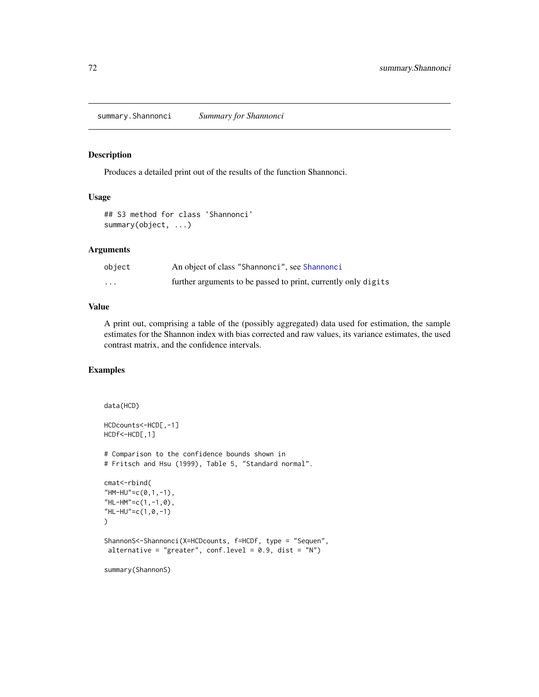summary.Shannonci *Summary for Shannonci*

# Description

Produces a detailed print out of the results of the function Shannonci.

#### Usage

```
## S3 method for class 'Shannonci'
summary(object, ...)
```
# Arguments

| object   | An object of class "Shannonci", see Shannonci                  |
|----------|----------------------------------------------------------------|
| $\cdots$ | further arguments to be passed to print, currently only digits |

### Value

A print out, comprising a table of the (possibly aggregated) data used for estimation, the sample estimates for the Shannon index with bias corrected and raw values, its variance estimates, the used contrast matrix, and the confidence intervals.

```
data(HCD)
HCDcounts<-HCD[,-1]
HCDf<-HCD[,1]
# Comparison to the confidence bounds shown in
# Fritsch and Hsu (1999), Table 5, "Standard normal".
cmat<-rbind(
"HM-HU"=c(0,1,-1),
"HL-HM"=c(1,-1,0),
"HL-HU"=c(1,0,-1)
)
ShannonS<-Shannonci(X=HCDcounts, f=HCDf, type = "Sequen",
alternative = "greater", conf.level = 0.9, dist = "N")
summary(ShannonS)
```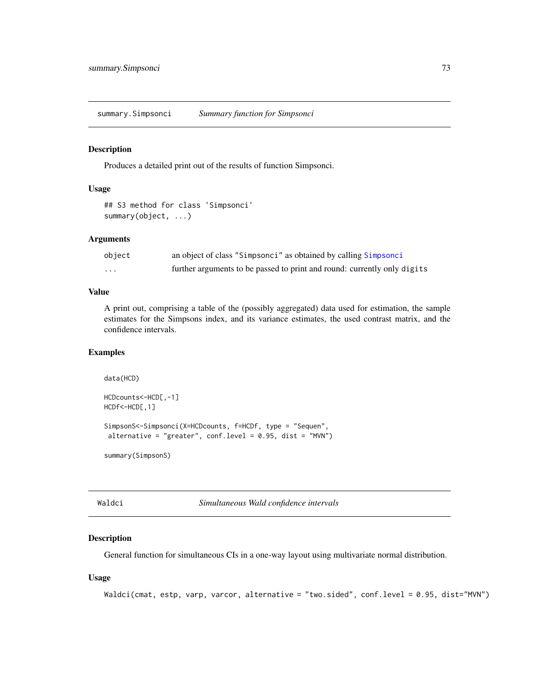<span id="page-72-0"></span>summary.Simpsonci *Summary function for Simpsonci*

#### Description

Produces a detailed print out of the results of function Simpsonci.

### Usage

```
## S3 method for class 'Simpsonci'
summary(object, ...)
```
#### Arguments

| object | an object of class "Simpsonci" as obtained by calling Simpsonci          |
|--------|--------------------------------------------------------------------------|
| .      | further arguments to be passed to print and round: currently only digits |

#### Value

A print out, comprising a table of the (possibly aggregated) data used for estimation, the sample estimates for the Simpsons index, and its variance estimates, the used contrast matrix, and the confidence intervals.

## Examples

```
data(HCD)
HCDcounts<-HCD[,-1]
HCDf<-HCD[,1]
SimpsonS<-Simpsonci(X=HCDcounts, f=HCDf, type = "Sequen",
alternative = "greater", conf. level = 0.95, dist = "MVN")summary(SimpsonS)
```
Waldci *Simultaneous Wald confidence intervals*

#### Description

General function for simultaneous CIs in a one-way layout using multivariate normal distribution.

#### Usage

```
Waldci(cmat, estp, varp, varcor, alternative = "two.sided", conf.level = 0.95, dist="MVN")
```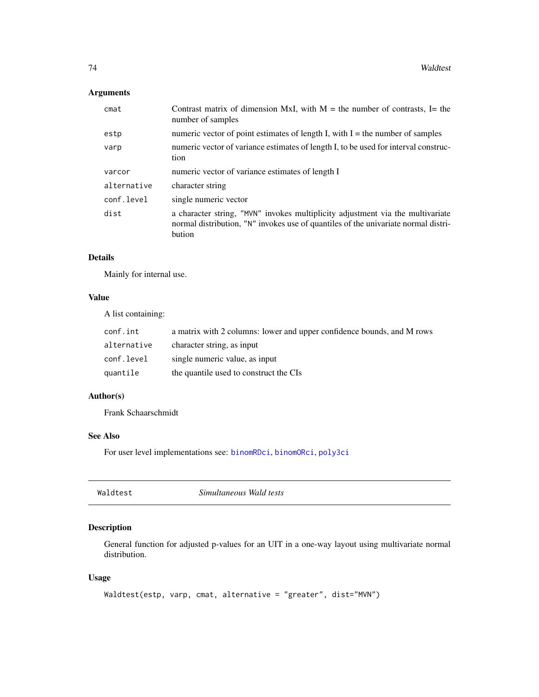## <span id="page-73-0"></span>Arguments

| $c$ mat     | Contrast matrix of dimension MxI, with $M =$ the number of contrasts, I= the<br>number of samples                                                                              |
|-------------|--------------------------------------------------------------------------------------------------------------------------------------------------------------------------------|
| estp        | numeric vector of point estimates of length I, with $I =$ the number of samples                                                                                                |
| varp        | numeric vector of variance estimates of length I, to be used for interval construc-<br>tion                                                                                    |
| varcor      | numeric vector of variance estimates of length I                                                                                                                               |
| alternative | character string                                                                                                                                                               |
| conf.level  | single numeric vector                                                                                                                                                          |
| dist        | a character string, "MVN" invokes multiplicity adjustment via the multivariate<br>normal distribution, "N" invokes use of quantiles of the univariate normal distri-<br>bution |

## Details

Mainly for internal use.

### Value

A list containing:

| conf.int    | a matrix with 2 columns: lower and upper confidence bounds, and M rows |
|-------------|------------------------------------------------------------------------|
| alternative | character string, as input                                             |
| conf.level  | single numeric value, as input                                         |
| quantile    | the quantile used to construct the CIs                                 |

## Author(s)

Frank Schaarschmidt

## See Also

For user level implementations see: [binomRDci](#page-8-0), [binomORci](#page-5-0), [poly3ci](#page-40-0)

| Simultaneous Wald tests<br>Waldtest |
|-------------------------------------|
|-------------------------------------|

## Description

General function for adjusted p-values for an UIT in a one-way layout using multivariate normal distribution.

## Usage

```
Waldtest(estp, varp, cmat, alternative = "greater", dist="MVN")
```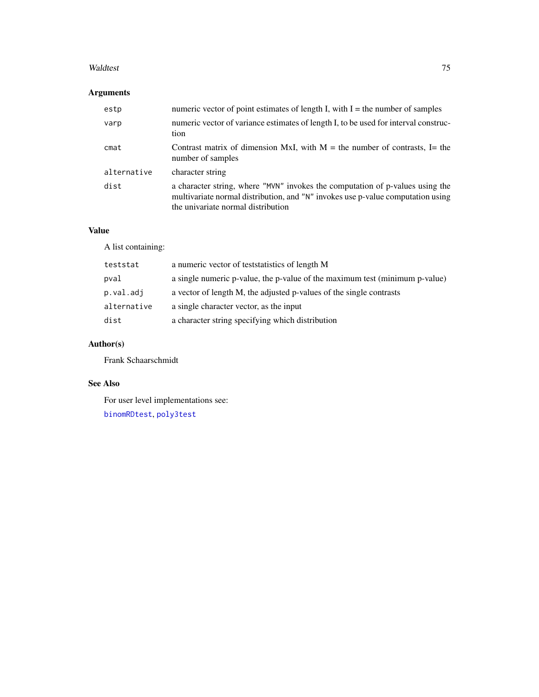#### <span id="page-74-0"></span>Waldtest 75

# Arguments

| estp        | numeric vector of point estimates of length I, with $I =$ the number of samples                                                                                                                        |
|-------------|--------------------------------------------------------------------------------------------------------------------------------------------------------------------------------------------------------|
| varp        | numeric vector of variance estimates of length I, to be used for interval construc-<br>tion                                                                                                            |
| cmat        | Contrast matrix of dimension MxI, with $M =$ the number of contrasts, I= the<br>number of samples                                                                                                      |
| alternative | character string                                                                                                                                                                                       |
| dist        | a character string, where "MVN" invokes the computation of p-values using the<br>multivariate normal distribution, and "N" invokes use p-value computation using<br>the univariate normal distribution |

## Value

A list containing:

| teststat    | a numeric vector of teststatistics of length M                              |
|-------------|-----------------------------------------------------------------------------|
| pval        | a single numeric p-value, the p-value of the maximum test (minimum p-value) |
| p.val.adj   | a vector of length M, the adjusted p-values of the single contrasts         |
| alternative | a single character vector, as the input                                     |
| dist        | a character string specifying which distribution                            |

# Author(s)

Frank Schaarschmidt

## See Also

For user level implementations see: [binomRDtest](#page-13-0), [poly3test](#page-47-0)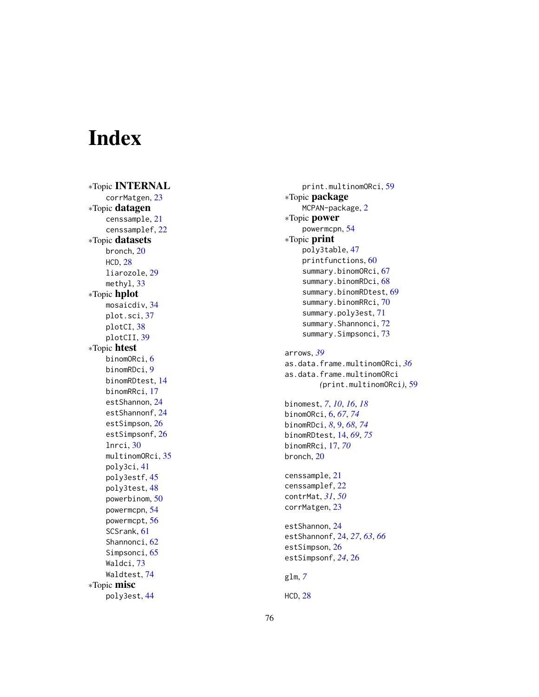# Index

∗Topic INTERNAL corrMatgen , [23](#page-22-0) ∗Topic datagen censsample , [21](#page-20-0) censsamplef , [22](#page-21-0) ∗Topic datasets bronch , [20](#page-19-0) HCD , [28](#page-27-0) liarozole , [29](#page-28-0) methyl , [33](#page-32-0) ∗Topic hplot mosaicdiv , [34](#page-33-0) plot.sci , [37](#page-36-0) plotCI , [38](#page-37-0) plotCII , [39](#page-38-0) ∗Topic htest binomORci, [6](#page-5-1) binomRDci , [9](#page-8-1) binomRDtest , [14](#page-13-1) binomRRci , [17](#page-16-0) estShannon , [24](#page-23-0) estShannonf, [24](#page-23-0) estSimpson, [26](#page-25-0) estSimpsonf, [26](#page-25-0) lnrci , [30](#page-29-0) multinomORci, <mark>[35](#page-34-0)</mark> poly3ci , [41](#page-40-1) poly3estf , [45](#page-44-0) poly3test , [48](#page-47-1) powerbinom , [50](#page-49-0) powermcpn , [54](#page-53-0) powermcpt , [56](#page-55-0) SCSrank, [61](#page-60-0) Shannonci , [62](#page-61-0) Simpsonci, [65](#page-64-1) Waldci , [73](#page-72-0) Waldtest , [74](#page-73-0) ∗Topic misc poly3est , [44](#page-43-0)

print.multinomORci , [59](#page-58-0) ∗Topic package MCPAN-package , [2](#page-1-0) ∗Topic power powermcpn , [54](#page-53-0) ∗Topic print poly3table , [47](#page-46-0) printfunctions , [60](#page-59-0) summary.binomORci, [67](#page-66-0) summary.binomRDci, [68](#page-67-0) summary.binomRDtest, [69](#page-68-0) summary.binomRRci, [70](#page-69-0) summary.poly3est , [71](#page-70-0) summary. Shannonci, [72](#page-71-0) summary. Simpsonci, [73](#page-72-0) arrows , *[39](#page-38-0)* as.data.frame.multinomORci , *[36](#page-35-0)* as.data.frame.multinomORci *(*print.multinomORci *)* , [59](#page-58-0) binomest , *[7](#page-6-0)* , *[10](#page-9-0)* , *[16](#page-15-0)* , *[18](#page-17-0)* binomORci , [6](#page-5-1) , *[67](#page-66-0)* , *[74](#page-73-0)* binomRDci , *[8](#page-7-0)* , [9](#page-8-1) , *[68](#page-67-0)* , *[74](#page-73-0)* binomRDtest , [14](#page-13-1) , *[69](#page-68-0)* , *[75](#page-74-0)* binomRRci , [17](#page-16-0) , *[70](#page-69-0)* bronch , [20](#page-19-0) censsample , [21](#page-20-0) censsamplef , [22](#page-21-0) contrMat , *[31](#page-30-0)* , *[50](#page-49-0)* corrMatgen , [23](#page-22-0) estShannon , [24](#page-23-0) estShannonf , [24](#page-23-0) , *[27](#page-26-0)* , *[63](#page-62-0)* , *[66](#page-65-0)* estSimpson, [26](#page-25-0) estSimpsonf , *[24](#page-23-0)* , [26](#page-25-0) glm , *[7](#page-6-0)* HCD , [28](#page-27-0)